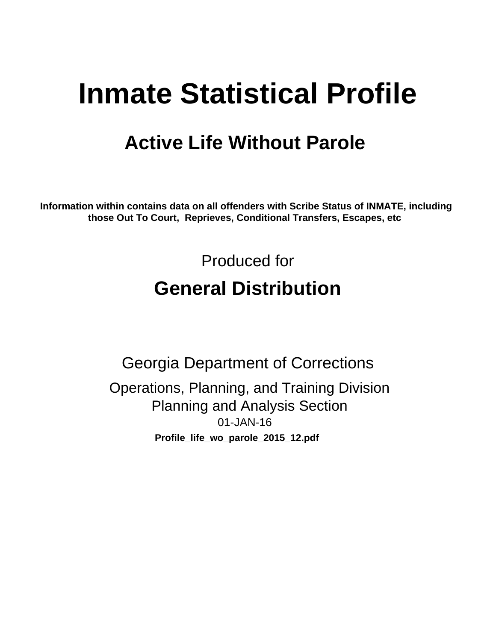# **Inmate Statistical Profile**

# **Active Life Without Parole**

Information within contains data on all offenders with Scribe Status of INMATE, including those Out To Court, Reprieves, Conditional Transfers, Escapes, etc

> Produced for **General Distribution**

**Georgia Department of Corrections** Operations, Planning, and Training Division **Planning and Analysis Section** 01-JAN-16 Profile\_life\_wo\_parole\_2015\_12.pdf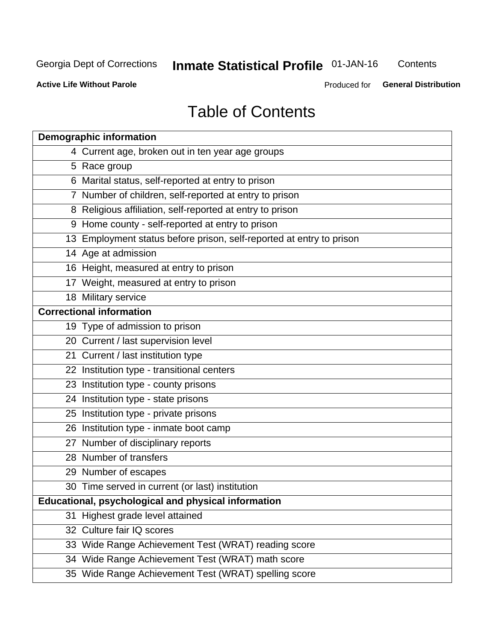# **Inmate Statistical Profile 01-JAN-16**

Contents

**Active Life Without Parole** 

Produced for General Distribution

# **Table of Contents**

| <b>Demographic information</b>                                       |
|----------------------------------------------------------------------|
| 4 Current age, broken out in ten year age groups                     |
| 5 Race group                                                         |
| 6 Marital status, self-reported at entry to prison                   |
| 7 Number of children, self-reported at entry to prison               |
| 8 Religious affiliation, self-reported at entry to prison            |
| 9 Home county - self-reported at entry to prison                     |
| 13 Employment status before prison, self-reported at entry to prison |
| 14 Age at admission                                                  |
| 16 Height, measured at entry to prison                               |
| 17 Weight, measured at entry to prison                               |
| 18 Military service                                                  |
| <b>Correctional information</b>                                      |
| 19 Type of admission to prison                                       |
| 20 Current / last supervision level                                  |
| 21 Current / last institution type                                   |
| 22 Institution type - transitional centers                           |
| 23 Institution type - county prisons                                 |
| 24 Institution type - state prisons                                  |
| 25 Institution type - private prisons                                |
| 26 Institution type - inmate boot camp                               |
| 27 Number of disciplinary reports                                    |
| 28 Number of transfers                                               |
| 29 Number of escapes                                                 |
| 30 Time served in current (or last) institution                      |
| Educational, psychological and physical information                  |
| 31 Highest grade level attained                                      |
| 32 Culture fair IQ scores                                            |
| 33 Wide Range Achievement Test (WRAT) reading score                  |
| 34 Wide Range Achievement Test (WRAT) math score                     |
| 35 Wide Range Achievement Test (WRAT) spelling score                 |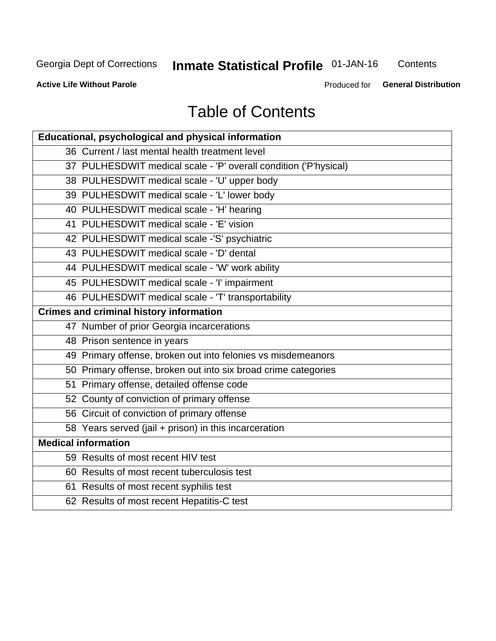# **Inmate Statistical Profile 01-JAN-16**

Contents

**Active Life Without Parole** 

Produced for General Distribution

# **Table of Contents**

| Educational, psychological and physical information              |
|------------------------------------------------------------------|
| 36 Current / last mental health treatment level                  |
| 37 PULHESDWIT medical scale - 'P' overall condition ('P'hysical) |
| 38 PULHESDWIT medical scale - 'U' upper body                     |
| 39 PULHESDWIT medical scale - 'L' lower body                     |
| 40 PULHESDWIT medical scale - 'H' hearing                        |
| 41 PULHESDWIT medical scale - 'E' vision                         |
| 42 PULHESDWIT medical scale -'S' psychiatric                     |
| 43 PULHESDWIT medical scale - 'D' dental                         |
| 44 PULHESDWIT medical scale - 'W' work ability                   |
| 45 PULHESDWIT medical scale - 'I' impairment                     |
| 46 PULHESDWIT medical scale - 'T' transportability               |
| <b>Crimes and criminal history information</b>                   |
| 47 Number of prior Georgia incarcerations                        |
| 48 Prison sentence in years                                      |
| 49 Primary offense, broken out into felonies vs misdemeanors     |
| 50 Primary offense, broken out into six broad crime categories   |
| 51 Primary offense, detailed offense code                        |
| 52 County of conviction of primary offense                       |
| 56 Circuit of conviction of primary offense                      |
| 58 Years served (jail + prison) in this incarceration            |
| <b>Medical information</b>                                       |
| 59 Results of most recent HIV test                               |
| 60 Results of most recent tuberculosis test                      |
| 61 Results of most recent syphilis test                          |
| 62 Results of most recent Hepatitis-C test                       |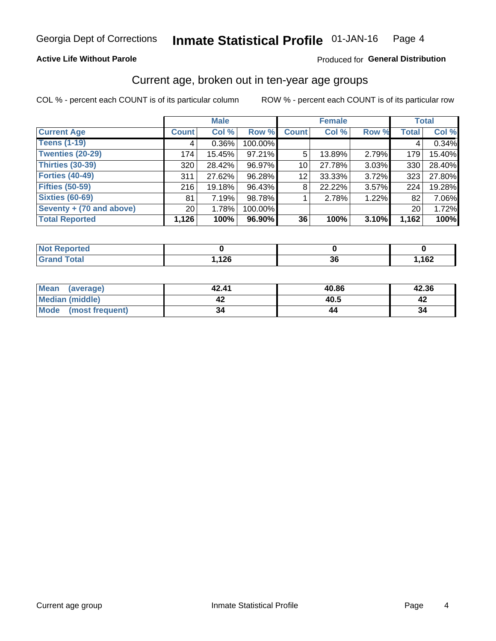### **Active Life Without Parole**

### Produced for General Distribution

# Current age, broken out in ten-year age groups

COL % - percent each COUNT is of its particular column

|                          | <b>Male</b>  |          |         | <b>Female</b>   |        |       | <b>Total</b> |        |
|--------------------------|--------------|----------|---------|-----------------|--------|-------|--------------|--------|
| <b>Current Age</b>       | <b>Count</b> | Col %    | Row %   | <b>Count</b>    | Col %  | Row % | <b>Total</b> | Col %  |
| <b>Teens (1-19)</b>      | 4            | $0.36\%$ | 100.00% |                 |        |       | 4            | 0.34%  |
| <b>Twenties (20-29)</b>  | 174          | 15.45%   | 97.21%  | 5               | 13.89% | 2.79% | 179          | 15.40% |
| Thirties (30-39)         | 320          | 28.42%   | 96.97%  | 10              | 27.78% | 3.03% | 330          | 28.40% |
| <b>Forties (40-49)</b>   | 311          | 27.62%   | 96.28%  | 12 <sub>1</sub> | 33.33% | 3.72% | 323          | 27.80% |
| <b>Fifties (50-59)</b>   | 216          | 19.18%   | 96.43%  | 8               | 22.22% | 3.57% | 224          | 19.28% |
| <b>Sixties (60-69)</b>   | 81           | 7.19%    | 98.78%  |                 | 2.78%  | 1.22% | 82           | 7.06%  |
| Seventy + (70 and above) | 20           | 1.78%    | 100.00% |                 |        |       | 20           | 1.72%  |
| <b>Total Reported</b>    | 1,126        | 100%     | 96.90%  | 36              | 100%   | 3.10% | 1,162        | 100%   |

| <b>Not Reported</b> |      |           |      |
|---------------------|------|-----------|------|
| <b>Total</b>        | 12C  | ^^        | ,162 |
| Cror                | ט∡ו, | <b>JU</b> |      |

| Mean<br>(average)       | 42.41 | 40.86 | 42.36 |
|-------------------------|-------|-------|-------|
| <b>Median (middle)</b>  |       | 40.5  |       |
| Mode<br>(most frequent) | 34    |       | 34    |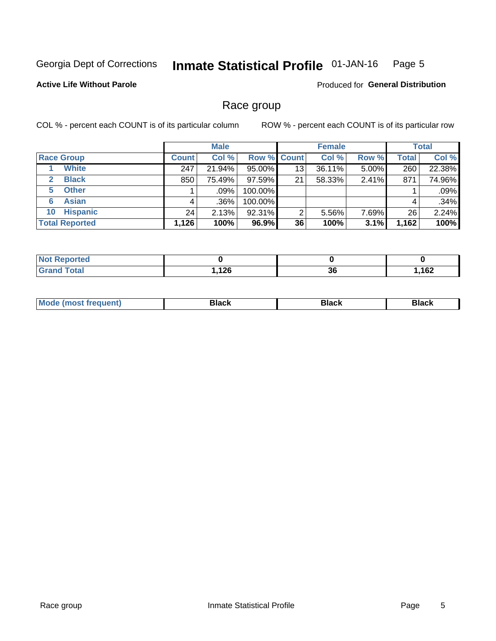#### **Inmate Statistical Profile 01-JAN-16** Page 5

### **Active Life Without Parole**

**Produced for General Distribution** 

# Race group

COL % - percent each COUNT is of its particular column

|                              | <b>Male</b>  |         |                    | <b>Female</b> |        |       | <b>Total</b> |        |
|------------------------------|--------------|---------|--------------------|---------------|--------|-------|--------------|--------|
| <b>Race Group</b>            | <b>Count</b> | Col %   | <b>Row % Count</b> |               | Col %  | Row % | <b>Total</b> | Col %  |
| <b>White</b>                 | 247          | 21.94%  | 95.00%             | 13            | 36.11% | 5.00% | 260          | 22.38% |
| <b>Black</b><br>$\mathbf{2}$ | 850          | 75.49%  | $97.59\%$          | 21            | 58.33% | 2.41% | 871          | 74.96% |
| <b>Other</b><br>5.           |              | $.09\%$ | 100.00%            |               |        |       |              | .09%   |
| <b>Asian</b><br>6            | 4            | $.36\%$ | 100.00%            |               |        |       | 4            | .34%   |
| <b>Hispanic</b><br>10        | 24           | 2.13%   | 92.31%             | 2             | 5.56%  | 7.69% | 26           | 2.24%  |
| <b>Total Reported</b>        | 1,126        | 100%    | 96.9%              | 36            | 100%   | 3.1%  | 1,162        | 100%   |

| <b>orted</b>      |             |          |      |
|-------------------|-------------|----------|------|
| $T \cap f \cap L$ | 12C<br>44 V | ^^<br>კნ | ,162 |

| M | - - - |  |
|---|-------|--|
|   |       |  |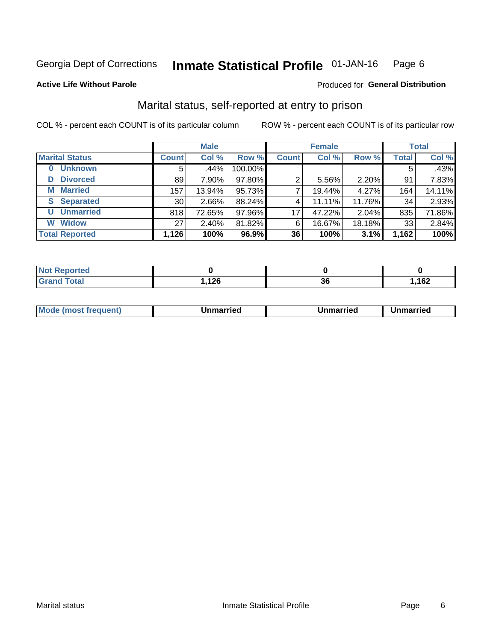#### Inmate Statistical Profile 01-JAN-16 Page 6

**Active Life Without Parole** 

#### Produced for General Distribution

# Marital status, self-reported at entry to prison

COL % - percent each COUNT is of its particular column

|                            | <b>Male</b>     |        |         | <b>Female</b> |        |        | <b>Total</b> |        |
|----------------------------|-----------------|--------|---------|---------------|--------|--------|--------------|--------|
| <b>Marital Status</b>      | <b>Count</b>    | Col %  | Row %   | <b>Count</b>  | Col %  | Row %  | <b>Total</b> | Col %  |
| <b>Unknown</b><br>$\bf{0}$ | 5               | .44%   | 100.00% |               |        |        | 5            | .43%   |
| <b>Divorced</b><br>D       | 89              | 7.90%  | 97.80%  | 2             | 5.56%  | 2.20%  | 91           | 7.83%  |
| <b>Married</b><br>М        | 157             | 13.94% | 95.73%  |               | 19.44% | 4.27%  | 164          | 14.11% |
| <b>Separated</b><br>S      | 30 <sub>1</sub> | 2.66%  | 88.24%  | 4             | 11.11% | 11.76% | 34           | 2.93%  |
| <b>Unmarried</b><br>U      | 818             | 72.65% | 97.96%  | 17            | 47.22% | 2.04%  | 835          | 71.86% |
| <b>Widow</b><br>W          | 27              | 2.40%  | 81.82%  | 6             | 16.67% | 18.18% | 33           | 2.84%  |
| <b>Total Reported</b>      | 1,126           | 100%   | 96.9%   | 36            | 100%   | 3.1%   | 1,162        | 100%   |

| <b>Not Reported</b>              |               |    |     |
|----------------------------------|---------------|----|-----|
| <b>Total</b><br><b>UI 41 I 4</b> | מר ו<br>, 120 | ათ | 162 |

| Mo | . | Unmarried | າmarried |
|----|---|-----------|----------|
|    |   |           |          |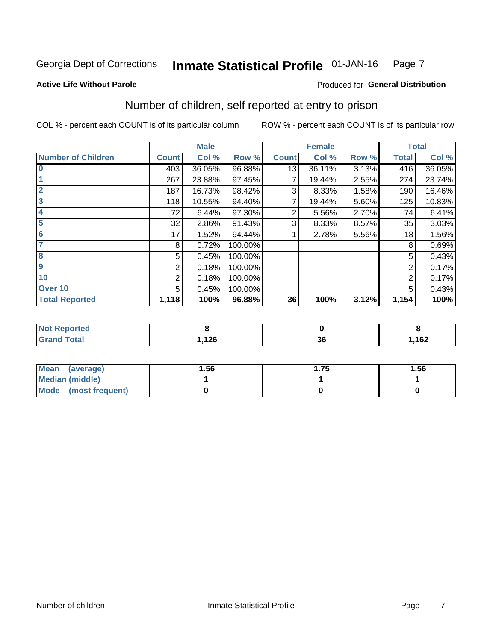#### Inmate Statistical Profile 01-JAN-16 Page 7

#### **Active Life Without Parole**

# **Produced for General Distribution**

# Number of children, self reported at entry to prison

COL % - percent each COUNT is of its particular column

|                           |                | <b>Male</b> |         |                | <b>Female</b> |       |              | <b>Total</b> |
|---------------------------|----------------|-------------|---------|----------------|---------------|-------|--------------|--------------|
| <b>Number of Children</b> | <b>Count</b>   | Col %       | Row %   | <b>Count</b>   | Col %         | Row % | <b>Total</b> | Col %        |
| $\overline{0}$            | 403            | 36.05%      | 96.88%  | 13             | 36.11%        | 3.13% | 416          | 36.05%       |
|                           | 267            | 23.88%      | 97.45%  | $\overline{7}$ | 19.44%        | 2.55% | 274          | 23.74%       |
| $\overline{2}$            | 187            | 16.73%      | 98.42%  | 3              | 8.33%         | 1.58% | 190          | 16.46%       |
| $\overline{\mathbf{3}}$   | 118            | 10.55%      | 94.40%  | 7              | 19.44%        | 5.60% | 125          | 10.83%       |
| 4                         | 72             | 6.44%       | 97.30%  | 2              | 5.56%         | 2.70% | 74           | 6.41%        |
| $\overline{5}$            | 32             | 2.86%       | 91.43%  | 3              | 8.33%         | 8.57% | 35           | 3.03%        |
| 6                         | 17             | 1.52%       | 94.44%  |                | 2.78%         | 5.56% | 18           | 1.56%        |
| 7                         | 8              | 0.72%       | 100.00% |                |               |       | 8            | 0.69%        |
| $\overline{\mathbf{8}}$   | 5              | 0.45%       | 100.00% |                |               |       | 5            | 0.43%        |
| 9                         | 2              | 0.18%       | 100.00% |                |               |       | 2            | 0.17%        |
| 10                        | $\overline{2}$ | 0.18%       | 100.00% |                |               |       | 2            | 0.17%        |
| Over 10                   | 5              | 0.45%       | 100.00% |                |               |       | 5            | 0.43%        |
| <b>Total Reported</b>     | 1,118          | 100%        | 96.88%  | 36             | 100%          | 3.12% | 1,154        | 100%         |

| neo                              |                 |           |      |
|----------------------------------|-----------------|-----------|------|
| المقماد<br><b>Jlai</b><br>$\sim$ | 12c<br><u>.</u> | - -<br>ათ | ,162 |

| Mean<br>(average)       | 1.56 | l.75 | 1.56 |
|-------------------------|------|------|------|
| <b>Median (middle)</b>  |      |      |      |
| Mode<br>(most frequent) |      |      |      |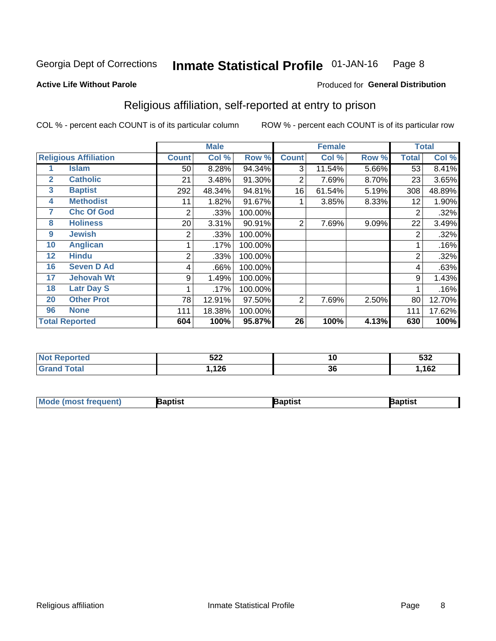#### **Inmate Statistical Profile 01-JAN-16** Page 8

#### **Active Life Without Parole**

### Produced for General Distribution

# Religious affiliation, self-reported at entry to prison

COL % - percent each COUNT is of its particular column

|              |                              |              | <b>Male</b> |         |              | <b>Female</b> |       |              | <b>Total</b> |
|--------------|------------------------------|--------------|-------------|---------|--------------|---------------|-------|--------------|--------------|
|              | <b>Religious Affiliation</b> | <b>Count</b> | Col %       | Row %   | <b>Count</b> | Col %         | Row % | <b>Total</b> | Col %        |
|              | Islam                        | 50           | 8.28%       | 94.34%  | 3            | 11.54%        | 5.66% | 53           | 8.41%        |
| $\mathbf{2}$ | <b>Catholic</b>              | 21           | 3.48%       | 91.30%  | 2            | 7.69%         | 8.70% | 23           | 3.65%        |
| 3            | <b>Baptist</b>               | 292          | 48.34%      | 94.81%  | 16           | 61.54%        | 5.19% | 308          | 48.89%       |
| 4            | <b>Methodist</b>             | 11           | 1.82%       | 91.67%  |              | 3.85%         | 8.33% | 12           | 1.90%        |
| 7            | <b>Chc Of God</b>            | 2            | .33%        | 100.00% |              |               |       | 2            | .32%         |
| 8            | <b>Holiness</b>              | 20           | 3.31%       | 90.91%  | 2            | 7.69%         | 9.09% | 22           | 3.49%        |
| 9            | <b>Jewish</b>                | 2            | .33%        | 100.00% |              |               |       | 2            | .32%         |
| 10           | <b>Anglican</b>              |              | .17%        | 100.00% |              |               |       |              | .16%         |
| 12           | <b>Hindu</b>                 | 2            | .33%        | 100.00% |              |               |       | 2            | .32%         |
| 16           | <b>Seven D Ad</b>            | 4            | .66%        | 100.00% |              |               |       | 4            | .63%         |
| 17           | <b>Jehovah Wt</b>            | 9            | 1.49%       | 100.00% |              |               |       | 9            | 1.43%        |
| 18           | <b>Latr Day S</b>            |              | .17%        | 100.00% |              |               |       |              | .16%         |
| 20           | <b>Other Prot</b>            | 78           | 12.91%      | 97.50%  | 2            | 7.69%         | 2.50% | 80           | 12.70%       |
| 96           | <b>None</b>                  | 111          | 18.38%      | 100.00% |              |               |       | 111          | 17.62%       |
|              | <b>Total Reported</b>        | 604          | 100%        | 95.87%  | 26           | 100%          | 4.13% | 630          | 100%         |

| <b>NOT Reported</b> | よつつ<br>JZZ  | 10 | よっへ<br>ວວ∠ |
|---------------------|-------------|----|------------|
| $f$ oto'            | 10C<br>14 Y | 36 | 162        |

| <b>Mode (most frequent)</b> | Baptist | Baptist | Baptist |
|-----------------------------|---------|---------|---------|
|-----------------------------|---------|---------|---------|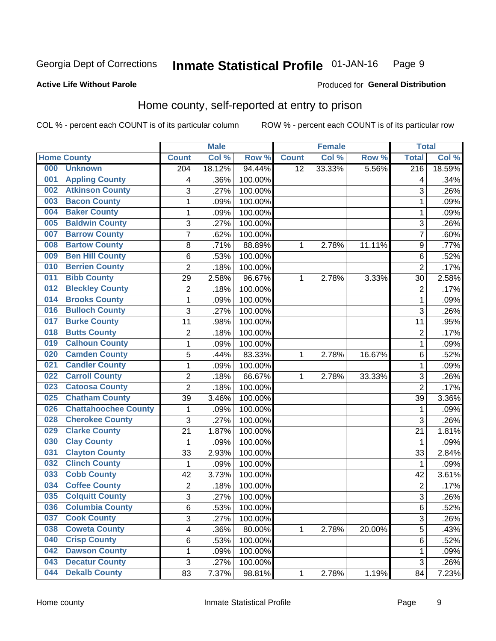#### Inmate Statistical Profile 01-JAN-16 Page 9

### **Active Life Without Parole**

#### Produced for General Distribution

# Home county, self-reported at entry to prison

COL % - percent each COUNT is of its particular column

|     |                             |                         | <b>Male</b> |         |                 | <b>Female</b> |        | <b>Total</b>     |        |
|-----|-----------------------------|-------------------------|-------------|---------|-----------------|---------------|--------|------------------|--------|
|     | <b>Home County</b>          | <b>Count</b>            | Col %       | Row %   | <b>Count</b>    | Col %         | Row %  | <b>Total</b>     | Col %  |
| 000 | <b>Unknown</b>              | 204                     | 18.12%      | 94.44%  | $\overline{12}$ | 33.33%        | 5.56%  | $\overline{216}$ | 18.59% |
| 001 | <b>Appling County</b>       | 4                       | .36%        | 100.00% |                 |               |        | 4                | .34%   |
| 002 | <b>Atkinson County</b>      | 3                       | .27%        | 100.00% |                 |               |        | 3                | .26%   |
| 003 | <b>Bacon County</b>         | 1                       | .09%        | 100.00% |                 |               |        | 1                | .09%   |
| 004 | <b>Baker County</b>         | $\mathbf 1$             | .09%        | 100.00% |                 |               |        | 1                | .09%   |
| 005 | <b>Baldwin County</b>       | 3                       | .27%        | 100.00% |                 |               |        | 3                | .26%   |
| 007 | <b>Barrow County</b>        | $\overline{7}$          | .62%        | 100.00% |                 |               |        | $\overline{7}$   | .60%   |
| 008 | <b>Bartow County</b>        | 8                       | .71%        | 88.89%  | 1               | 2.78%         | 11.11% | 9                | .77%   |
| 009 | <b>Ben Hill County</b>      | 6                       | .53%        | 100.00% |                 |               |        | 6                | .52%   |
| 010 | <b>Berrien County</b>       | $\overline{2}$          | .18%        | 100.00% |                 |               |        | $\overline{2}$   | .17%   |
| 011 | <b>Bibb County</b>          | 29                      | 2.58%       | 96.67%  | 1               | 2.78%         | 3.33%  | 30               | 2.58%  |
| 012 | <b>Bleckley County</b>      | $\overline{2}$          | .18%        | 100.00% |                 |               |        | $\overline{2}$   | .17%   |
| 014 | <b>Brooks County</b>        | $\mathbf{1}$            | .09%        | 100.00% |                 |               |        | 1                | .09%   |
| 016 | <b>Bulloch County</b>       | 3                       | .27%        | 100.00% |                 |               |        | 3                | .26%   |
| 017 | <b>Burke County</b>         | 11                      | .98%        | 100.00% |                 |               |        | 11               | .95%   |
| 018 | <b>Butts County</b>         | $\overline{2}$          | .18%        | 100.00% |                 |               |        | $\overline{2}$   | .17%   |
| 019 | <b>Calhoun County</b>       | $\mathbf 1$             | .09%        | 100.00% |                 |               |        | 1                | .09%   |
| 020 | <b>Camden County</b>        | 5                       | .44%        | 83.33%  | 1               | 2.78%         | 16.67% | $\,6$            | .52%   |
| 021 | <b>Candler County</b>       | $\mathbf 1$             | .09%        | 100.00% |                 |               |        | 1                | .09%   |
| 022 | <b>Carroll County</b>       | $\overline{c}$          | .18%        | 66.67%  | 1               | 2.78%         | 33.33% | 3                | .26%   |
| 023 | <b>Catoosa County</b>       | $\overline{2}$          | .18%        | 100.00% |                 |               |        | $\overline{2}$   | .17%   |
| 025 | <b>Chatham County</b>       | 39                      | 3.46%       | 100.00% |                 |               |        | 39               | 3.36%  |
| 026 | <b>Chattahoochee County</b> | 1                       | .09%        | 100.00% |                 |               |        | 1                | .09%   |
| 028 | <b>Cherokee County</b>      | 3                       | .27%        | 100.00% |                 |               |        | 3                | .26%   |
| 029 | <b>Clarke County</b>        | 21                      | 1.87%       | 100.00% |                 |               |        | 21               | 1.81%  |
| 030 | <b>Clay County</b>          | 1                       | .09%        | 100.00% |                 |               |        | 1                | .09%   |
| 031 | <b>Clayton County</b>       | 33                      | 2.93%       | 100.00% |                 |               |        | 33               | 2.84%  |
| 032 | <b>Clinch County</b>        | 1                       | .09%        | 100.00% |                 |               |        | 1                | .09%   |
| 033 | <b>Cobb County</b>          | 42                      | 3.73%       | 100.00% |                 |               |        | 42               | 3.61%  |
| 034 | <b>Coffee County</b>        | $\overline{2}$          | .18%        | 100.00% |                 |               |        | $\overline{2}$   | .17%   |
| 035 | <b>Colquitt County</b>      | $\overline{3}$          | .27%        | 100.00% |                 |               |        | $\overline{3}$   | .26%   |
| 036 | <b>Columbia County</b>      | 6                       | .53%        | 100.00% |                 |               |        | 6                | .52%   |
| 037 | <b>Cook County</b>          | $\overline{3}$          | .27%        | 100.00% |                 |               |        | 3                | .26%   |
| 038 | <b>Coweta County</b>        | $\overline{\mathbf{4}}$ | .36%        | 80.00%  | 1               | 2.78%         | 20.00% | 5                | .43%   |
| 040 | <b>Crisp County</b>         | 6                       | .53%        | 100.00% |                 |               |        | 6                | .52%   |
| 042 | <b>Dawson County</b>        | 1                       | .09%        | 100.00% |                 |               |        | 1                | .09%   |
| 043 | <b>Decatur County</b>       | 3                       | .27%        | 100.00% |                 |               |        | $\sqrt{3}$       | .26%   |
| 044 | <b>Dekalb County</b>        | 83                      | 7.37%       | 98.81%  | $\mathbf 1$     | 2.78%         | 1.19%  | 84               | 7.23%  |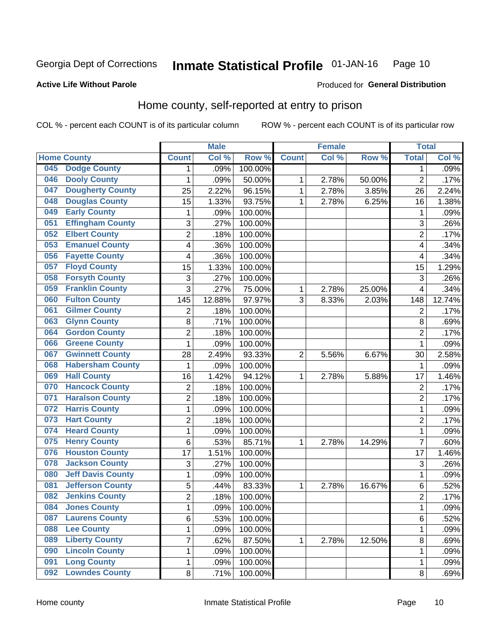#### **Inmate Statistical Profile 01-JAN-16** Page 10

### **Active Life Without Parole**

### Produced for General Distribution

# Home county, self-reported at entry to prison

COL % - percent each COUNT is of its particular column

|     |                          |                | <b>Male</b> |         |                | <b>Female</b> |        | <b>Total</b>   |        |
|-----|--------------------------|----------------|-------------|---------|----------------|---------------|--------|----------------|--------|
|     | <b>Home County</b>       | <b>Count</b>   | Col %       | Row %   | <b>Count</b>   | Col %         | Row %  | <b>Total</b>   | Col %  |
| 045 | <b>Dodge County</b>      | 1              | .09%        | 100.00% |                |               |        | 1              | .09%   |
| 046 | <b>Dooly County</b>      | 1              | .09%        | 50.00%  | 1              | 2.78%         | 50.00% | $\overline{2}$ | .17%   |
| 047 | <b>Dougherty County</b>  | 25             | 2.22%       | 96.15%  | 1              | 2.78%         | 3.85%  | 26             | 2.24%  |
| 048 | <b>Douglas County</b>    | 15             | 1.33%       | 93.75%  | 1              | 2.78%         | 6.25%  | 16             | 1.38%  |
| 049 | <b>Early County</b>      | 1              | .09%        | 100.00% |                |               |        | 1              | .09%   |
| 051 | <b>Effingham County</b>  | 3              | .27%        | 100.00% |                |               |        | 3              | .26%   |
| 052 | <b>Elbert County</b>     | $\overline{2}$ | .18%        | 100.00% |                |               |        | $\overline{2}$ | .17%   |
| 053 | <b>Emanuel County</b>    | 4              | .36%        | 100.00% |                |               |        | 4              | .34%   |
| 056 | <b>Fayette County</b>    | 4              | .36%        | 100.00% |                |               |        | 4              | .34%   |
| 057 | <b>Floyd County</b>      | 15             | 1.33%       | 100.00% |                |               |        | 15             | 1.29%  |
| 058 | <b>Forsyth County</b>    | 3              | .27%        | 100.00% |                |               |        | 3              | .26%   |
| 059 | <b>Franklin County</b>   | 3              | .27%        | 75.00%  | 1              | 2.78%         | 25.00% | 4              | .34%   |
| 060 | <b>Fulton County</b>     | 145            | 12.88%      | 97.97%  | 3              | 8.33%         | 2.03%  | 148            | 12.74% |
| 061 | <b>Gilmer County</b>     | 2              | .18%        | 100.00% |                |               |        | $\overline{2}$ | .17%   |
| 063 | <b>Glynn County</b>      | 8              | .71%        | 100.00% |                |               |        | 8              | .69%   |
| 064 | <b>Gordon County</b>     | 2              | .18%        | 100.00% |                |               |        | $\overline{2}$ | .17%   |
| 066 | <b>Greene County</b>     | 1              | .09%        | 100.00% |                |               |        | 1              | .09%   |
| 067 | <b>Gwinnett County</b>   | 28             | 2.49%       | 93.33%  | $\overline{2}$ | 5.56%         | 6.67%  | 30             | 2.58%  |
| 068 | <b>Habersham County</b>  | 1              | .09%        | 100.00% |                |               |        | 1              | .09%   |
| 069 | <b>Hall County</b>       | 16             | 1.42%       | 94.12%  | 1              | 2.78%         | 5.88%  | 17             | 1.46%  |
| 070 | <b>Hancock County</b>    | $\overline{2}$ | .18%        | 100.00% |                |               |        | $\overline{2}$ | .17%   |
| 071 | <b>Haralson County</b>   | 2              | .18%        | 100.00% |                |               |        | $\overline{2}$ | .17%   |
| 072 | <b>Harris County</b>     | $\mathbf{1}$   | .09%        | 100.00% |                |               |        | 1              | .09%   |
| 073 | <b>Hart County</b>       | 2              | .18%        | 100.00% |                |               |        | $\overline{2}$ | .17%   |
| 074 | <b>Heard County</b>      | 1              | .09%        | 100.00% |                |               |        | 1              | .09%   |
| 075 | <b>Henry County</b>      | 6              | .53%        | 85.71%  | 1              | 2.78%         | 14.29% | $\overline{7}$ | .60%   |
| 076 | <b>Houston County</b>    | 17             | 1.51%       | 100.00% |                |               |        | 17             | 1.46%  |
| 078 | <b>Jackson County</b>    | 3              | .27%        | 100.00% |                |               |        | 3              | .26%   |
| 080 | <b>Jeff Davis County</b> | 1              | .09%        | 100.00% |                |               |        | 1              | .09%   |
| 081 | <b>Jefferson County</b>  | 5              | .44%        | 83.33%  | 1              | 2.78%         | 16.67% | 6              | .52%   |
| 082 | <b>Jenkins County</b>    | $\overline{2}$ | .18%        | 100.00% |                |               |        | $\overline{2}$ | .17%   |
| 084 | <b>Jones County</b>      | 1              | .09%        | 100.00% |                |               |        | 1              | .09%   |
| 087 | <b>Laurens County</b>    | 6              | .53%        | 100.00% |                |               |        | 6              | .52%   |
| 088 | <b>Lee County</b>        | 1              | .09%        | 100.00% |                |               |        | 1              | .09%   |
| 089 | <b>Liberty County</b>    | $\overline{7}$ | .62%        | 87.50%  | 1              | 2.78%         | 12.50% | 8              | .69%   |
| 090 | <b>Lincoln County</b>    | 1              | .09%        | 100.00% |                |               |        | 1              | .09%   |
| 091 | <b>Long County</b>       | 1              | .09%        | 100.00% |                |               |        | 1              | .09%   |
| 092 | <b>Lowndes County</b>    | 8              | .71%        | 100.00% |                |               |        | 8              | .69%   |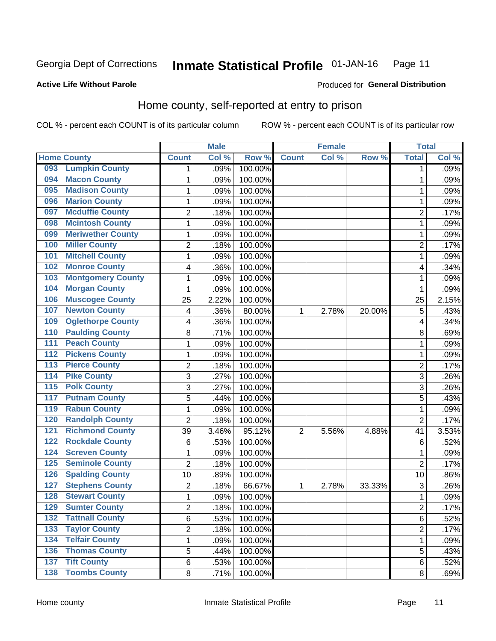#### **Inmate Statistical Profile 01-JAN-16** Page 11

### **Active Life Without Parole**

### Produced for General Distribution

# Home county, self-reported at entry to prison

COL % - percent each COUNT is of its particular column

|                  |                          |                | <b>Male</b> |         |                | <b>Female</b> |        | <b>Total</b>   |       |
|------------------|--------------------------|----------------|-------------|---------|----------------|---------------|--------|----------------|-------|
|                  | <b>Home County</b>       | <b>Count</b>   | Col %       | Row %   | <b>Count</b>   | Col %         | Row %  | <b>Total</b>   | Col % |
| 093              | <b>Lumpkin County</b>    | 1              | .09%        | 100.00% |                |               |        | 1              | .09%  |
| 094              | <b>Macon County</b>      | 1              | .09%        | 100.00% |                |               |        | 1              | .09%  |
| 095              | <b>Madison County</b>    | $\mathbf 1$    | .09%        | 100.00% |                |               |        | 1              | .09%  |
| 096              | <b>Marion County</b>     | $\mathbf 1$    | .09%        | 100.00% |                |               |        | 1              | .09%  |
| 097              | <b>Mcduffie County</b>   | $\overline{2}$ | .18%        | 100.00% |                |               |        | $\overline{2}$ | .17%  |
| 098              | <b>Mcintosh County</b>   | $\mathbf{1}$   | .09%        | 100.00% |                |               |        | 1              | .09%  |
| 099              | <b>Meriwether County</b> | $\mathbf 1$    | .09%        | 100.00% |                |               |        | 1              | .09%  |
| 100              | <b>Miller County</b>     | $\overline{2}$ | .18%        | 100.00% |                |               |        | $\overline{2}$ | .17%  |
| 101              | <b>Mitchell County</b>   | $\mathbf 1$    | .09%        | 100.00% |                |               |        | 1              | .09%  |
| 102              | <b>Monroe County</b>     | 4              | .36%        | 100.00% |                |               |        | 4              | .34%  |
| 103              | <b>Montgomery County</b> | $\mathbf 1$    | .09%        | 100.00% |                |               |        | 1              | .09%  |
| 104              | <b>Morgan County</b>     | 1              | .09%        | 100.00% |                |               |        | 1              | .09%  |
| 106              | <b>Muscogee County</b>   | 25             | 2.22%       | 100.00% |                |               |        | 25             | 2.15% |
| 107              | <b>Newton County</b>     | 4              | .36%        | 80.00%  | 1              | 2.78%         | 20.00% | 5              | .43%  |
| 109              | <b>Oglethorpe County</b> | 4              | .36%        | 100.00% |                |               |        | 4              | .34%  |
| 110              | <b>Paulding County</b>   | 8              | .71%        | 100.00% |                |               |        | 8              | .69%  |
| 111              | <b>Peach County</b>      | 1              | .09%        | 100.00% |                |               |        | 1              | .09%  |
| $\overline{112}$ | <b>Pickens County</b>    | $\mathbf 1$    | .09%        | 100.00% |                |               |        | 1              | .09%  |
| $\overline{113}$ | <b>Pierce County</b>     | $\overline{2}$ | .18%        | 100.00% |                |               |        | $\overline{2}$ | .17%  |
| 114              | <b>Pike County</b>       | 3              | .27%        | 100.00% |                |               |        | 3              | .26%  |
| $\overline{115}$ | <b>Polk County</b>       | 3              | .27%        | 100.00% |                |               |        | 3              | .26%  |
| 117              | <b>Putnam County</b>     | 5              | .44%        | 100.00% |                |               |        | 5              | .43%  |
| 119              | <b>Rabun County</b>      | $\mathbf{1}$   | .09%        | 100.00% |                |               |        | 1              | .09%  |
| 120              | <b>Randolph County</b>   | $\overline{2}$ | .18%        | 100.00% |                |               |        | $\overline{2}$ | .17%  |
| $121$            | <b>Richmond County</b>   | 39             | 3.46%       | 95.12%  | $\overline{2}$ | 5.56%         | 4.88%  | 41             | 3.53% |
| 122              | <b>Rockdale County</b>   | 6              | .53%        | 100.00% |                |               |        | 6              | .52%  |
| 124              | <b>Screven County</b>    | $\mathbf 1$    | .09%        | 100.00% |                |               |        | 1              | .09%  |
| 125              | <b>Seminole County</b>   | $\overline{2}$ | .18%        | 100.00% |                |               |        | $\overline{2}$ | .17%  |
| 126              | <b>Spalding County</b>   | 10             | .89%        | 100.00% |                |               |        | 10             | .86%  |
| 127              | <b>Stephens County</b>   | 2              | .18%        | 66.67%  | 1              | 2.78%         | 33.33% | 3              | .26%  |
| 128              | <b>Stewart County</b>    | $\mathbf{1}$   | .09%        | 100.00% |                |               |        | 1              | .09%  |
| 129              | <b>Sumter County</b>     | 2              | .18%        | 100.00% |                |               |        | $\overline{c}$ | .17%  |
| 132              | <b>Tattnall County</b>   | 6              | .53%        | 100.00% |                |               |        | 6              | .52%  |
| 133              | <b>Taylor County</b>     | $\overline{2}$ | .18%        | 100.00% |                |               |        | $\overline{2}$ | .17%  |
| 134              | <b>Telfair County</b>    | $\mathbf{1}$   | .09%        | 100.00% |                |               |        | 1              | .09%  |
| 136              | <b>Thomas County</b>     | 5              | .44%        | 100.00% |                |               |        | 5              | .43%  |
| $\overline{137}$ | <b>Tift County</b>       | 6              | .53%        | 100.00% |                |               |        | 6              | .52%  |
| 138              | <b>Toombs County</b>     | 8              | .71%        | 100.00% |                |               |        | 8              | .69%  |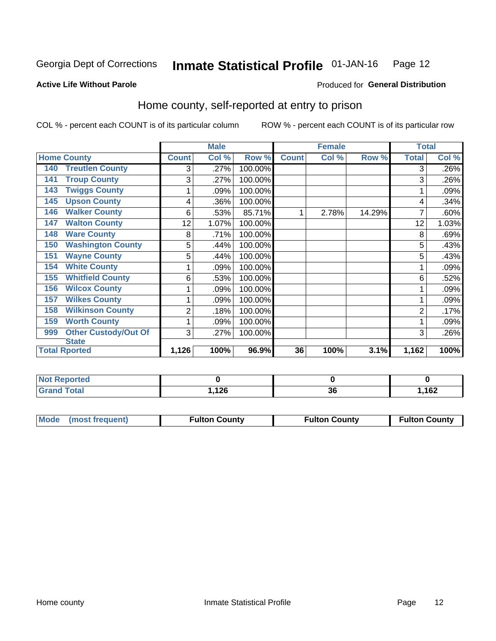#### Inmate Statistical Profile 01-JAN-16 Page 12

Produced for General Distribution

### **Active Life Without Parole**

# Home county, self-reported at entry to prison

COL % - percent each COUNT is of its particular column

|                                    |                | <b>Male</b> |         |              | <b>Female</b> |        | <b>Total</b> |       |
|------------------------------------|----------------|-------------|---------|--------------|---------------|--------|--------------|-------|
| <b>Home County</b>                 | <b>Count</b>   | Col %       | Row %   | <b>Count</b> | Col %         | Row %  | <b>Total</b> | Col % |
| <b>Treutlen County</b><br>140      | 3              | .27%        | 100.00% |              |               |        | 3            | .26%  |
| <b>Troup County</b><br>141         | 3              | .27%        | 100.00% |              |               |        | 3            | .26%  |
| <b>Twiggs County</b><br>143        |                | .09%        | 100.00% |              |               |        |              | .09%  |
| <b>Upson County</b><br>145         | 4              | .36%        | 100.00% |              |               |        | 4            | .34%  |
| <b>Walker County</b><br>146        | 6              | .53%        | 85.71%  |              | 2.78%         | 14.29% |              | .60%  |
| <b>Walton County</b><br>147        | 12             | 1.07%       | 100.00% |              |               |        | 12           | 1.03% |
| <b>Ware County</b><br>148          | 8              | .71%        | 100.00% |              |               |        | 8            | .69%  |
| <b>Washington County</b><br>150    | 5              | .44%        | 100.00% |              |               |        | 5            | .43%  |
| <b>Wayne County</b><br>151         | 5              | .44%        | 100.00% |              |               |        | 5            | .43%  |
| <b>White County</b><br>154         | 1              | .09%        | 100.00% |              |               |        |              | .09%  |
| <b>Whitfield County</b><br>155     | 6              | .53%        | 100.00% |              |               |        | 6            | .52%  |
| 156<br><b>Wilcox County</b>        |                | .09%        | 100.00% |              |               |        |              | .09%  |
| <b>Wilkes County</b><br>157        | 1              | .09%        | 100.00% |              |               |        |              | .09%  |
| <b>Wilkinson County</b><br>158     | $\overline{2}$ | .18%        | 100.00% |              |               |        | 2            | .17%  |
| <b>Worth County</b><br>159         | 1              | .09%        | 100.00% |              |               |        |              | .09%  |
| <b>Other Custody/Out Of</b><br>999 | 3              | .27%        | 100.00% |              |               |        | 3            | .26%  |
| <b>State</b>                       |                |             |         |              |               |        |              |       |
| <b>Total Rported</b>               | 1,126          | 100%        | 96.9%   | 36           | 100%          | 3.1%   | 1,162        | 100%  |

| Reported |              |           |      |
|----------|--------------|-----------|------|
| "otal    | 12c<br>59.14 | ^^<br>IJυ | ,162 |

| <b>Mode</b><br>(most frequent) | Fulton County | <b>Fulton County</b> | <b>Fulton County</b> |
|--------------------------------|---------------|----------------------|----------------------|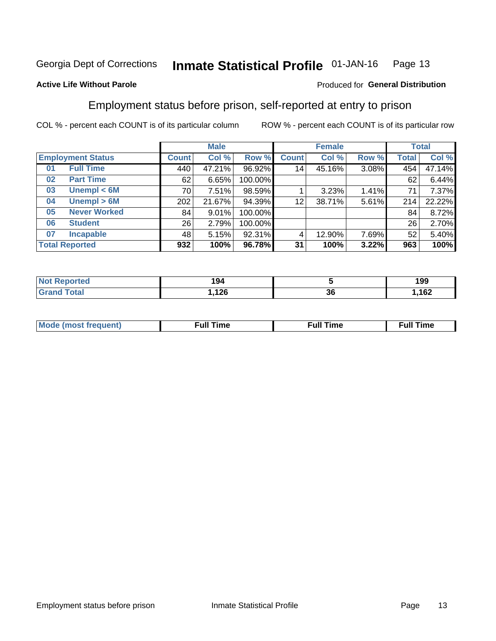#### Inmate Statistical Profile 01-JAN-16 Page 13

### **Active Life Without Parole**

### Produced for General Distribution

# Employment status before prison, self-reported at entry to prison

COL % - percent each COUNT is of its particular column

|                           |              | <b>Male</b> |         |                 | <b>Female</b> |       |       | <b>Total</b> |
|---------------------------|--------------|-------------|---------|-----------------|---------------|-------|-------|--------------|
| <b>Employment Status</b>  | <b>Count</b> | Col %       | Row %   | <b>Count</b>    | Col %         | Row % | Total | Col %        |
| <b>Full Time</b><br>01    | 440          | 47.21%      | 96.92%  | 14 <sub>1</sub> | 45.16%        | 3.08% | 454   | 47.14%       |
| <b>Part Time</b><br>02    | 62           | 6.65%       | 100.00% |                 |               |       | 62    | 6.44%        |
| Unempl $<$ 6M<br>03       | 70 l         | 7.51%       | 98.59%  |                 | 3.23%         | 1.41% | 71    | 7.37%        |
| Unempl > 6M<br>04         | 202          | 21.67%      | 94.39%  | 12              | 38.71%        | 5.61% | 214   | 22.22%       |
| <b>Never Worked</b><br>05 | 84           | 9.01%       | 100.00% |                 |               |       | 84    | 8.72%        |
| <b>Student</b><br>06      | 26           | 2.79%       | 100.00% |                 |               |       | 26    | 2.70%        |
| <b>Incapable</b><br>07    | 481          | 5.15%       | 92.31%  |                 | 12.90%        | 7.69% | 52    | 5.40%        |
| <b>Total Reported</b>     | 932          | 100%        | 96.78%  | 31              | 100%          | 3.22% | 963   | 100%         |

| <b>Allan</b><br>тео<br>NOT | 194                                 |    | 199   |
|----------------------------|-------------------------------------|----|-------|
| <b>Total</b>               | ,126<br>and the control of the con- | 36 | 1,162 |

| Mc | ∙u∥<br>----<br>ıme | ίuΙ<br>Πmε |
|----|--------------------|------------|
|    |                    |            |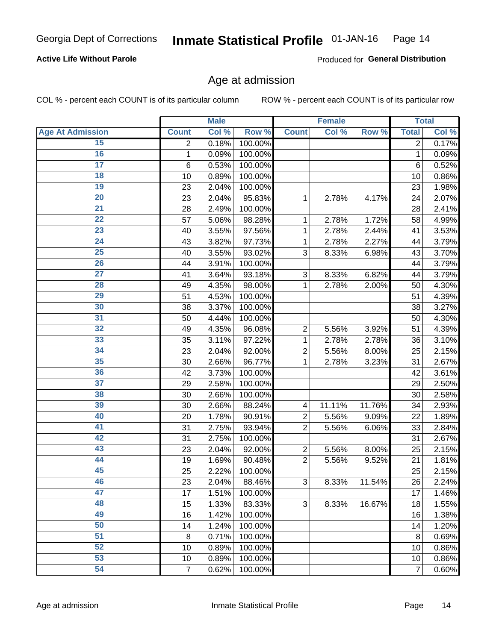### **Active Life Without Parole**

Produced for General Distribution

# Age at admission

COL % - percent each COUNT is of its particular column

|                         |                | <b>Male</b> |         |                | <b>Female</b> |        |                | <b>Total</b> |
|-------------------------|----------------|-------------|---------|----------------|---------------|--------|----------------|--------------|
| <b>Age At Admission</b> | <b>Count</b>   | Col %       | Row %   | <b>Count</b>   | Col %         | Row %  | <b>Total</b>   | Col %        |
| 15                      | $\overline{2}$ | 0.18%       | 100.00% |                |               |        | $\overline{2}$ | 0.17%        |
| 16                      | 1              | 0.09%       | 100.00% |                |               |        | $\mathbf{1}$   | 0.09%        |
| $\overline{17}$         | 6              | 0.53%       | 100.00% |                |               |        | 6              | 0.52%        |
| 18                      | 10             | 0.89%       | 100.00% |                |               |        | 10             | 0.86%        |
| 19                      | 23             | 2.04%       | 100.00% |                |               |        | 23             | 1.98%        |
| $\overline{20}$         | 23             | 2.04%       | 95.83%  | 1              | 2.78%         | 4.17%  | 24             | 2.07%        |
| $\overline{21}$         | 28             | 2.49%       | 100.00% |                |               |        | 28             | 2.41%        |
| 22                      | 57             | 5.06%       | 98.28%  | 1              | 2.78%         | 1.72%  | 58             | 4.99%        |
| $\overline{23}$         | 40             | 3.55%       | 97.56%  | 1              | 2.78%         | 2.44%  | 41             | 3.53%        |
| $\overline{24}$         | 43             | 3.82%       | 97.73%  | 1              | 2.78%         | 2.27%  | 44             | 3.79%        |
| $\overline{25}$         | 40             | 3.55%       | 93.02%  | 3              | 8.33%         | 6.98%  | 43             | 3.70%        |
| 26                      | 44             | 3.91%       | 100.00% |                |               |        | 44             | 3.79%        |
| $\overline{27}$         | 41             | 3.64%       | 93.18%  | 3              | 8.33%         | 6.82%  | 44             | 3.79%        |
| 28                      | 49             | 4.35%       | 98.00%  | 1              | 2.78%         | 2.00%  | 50             | 4.30%        |
| 29                      | 51             | 4.53%       | 100.00% |                |               |        | 51             | 4.39%        |
| 30                      | 38             | 3.37%       | 100.00% |                |               |        | 38             | 3.27%        |
| 31                      | 50             | 4.44%       | 100.00% |                |               |        | 50             | 4.30%        |
| 32                      | 49             | 4.35%       | 96.08%  | 2              | 5.56%         | 3.92%  | 51             | 4.39%        |
| 33                      | 35             | 3.11%       | 97.22%  | 1              | 2.78%         | 2.78%  | 36             | 3.10%        |
| 34                      | 23             | 2.04%       | 92.00%  | $\overline{2}$ | 5.56%         | 8.00%  | 25             | 2.15%        |
| 35                      | 30             | 2.66%       | 96.77%  | 1              | 2.78%         | 3.23%  | 31             | 2.67%        |
| 36                      | 42             | 3.73%       | 100.00% |                |               |        | 42             | 3.61%        |
| $\overline{37}$         | 29             | 2.58%       | 100.00% |                |               |        | 29             | 2.50%        |
| 38                      | 30             | 2.66%       | 100.00% |                |               |        | 30             | 2.58%        |
| 39                      | 30             | 2.66%       | 88.24%  | 4              | 11.11%        | 11.76% | 34             | 2.93%        |
| 40                      | 20             | 1.78%       | 90.91%  | $\overline{2}$ | 5.56%         | 9.09%  | 22             | 1.89%        |
| 41                      | 31             | 2.75%       | 93.94%  | $\overline{2}$ | 5.56%         | 6.06%  | 33             | 2.84%        |
| 42                      | 31             | 2.75%       | 100.00% |                |               |        | 31             | 2.67%        |
| 43                      | 23             | 2.04%       | 92.00%  | $\overline{2}$ | 5.56%         | 8.00%  | 25             | 2.15%        |
| 44                      | 19             | 1.69%       | 90.48%  | $\overline{2}$ | 5.56%         | 9.52%  | 21             | 1.81%        |
| 45                      | 25             | 2.22%       | 100.00% |                |               |        | 25             | 2.15%        |
| 46                      | 23             | 2.04%       | 88.46%  | 3              | 8.33%         | 11.54% | 26             | 2.24%        |
| 47                      | 17             | 1.51%       | 100.00% |                |               |        | 17             | 1.46%        |
| 48                      | 15             | 1.33%       | 83.33%  | $\mathfrak{S}$ | 8.33%         | 16.67% | 18             | 1.55%        |
| 49                      | 16             | 1.42%       | 100.00% |                |               |        | 16             | 1.38%        |
| 50                      | 14             | 1.24%       | 100.00% |                |               |        | 14             | 1.20%        |
| 51                      | 8              | 0.71%       | 100.00% |                |               |        | 8              | 0.69%        |
| 52                      | 10             | 0.89%       | 100.00% |                |               |        | 10             | 0.86%        |
| 53                      | 10             | 0.89%       | 100.00% |                |               |        | 10             | 0.86%        |
| 54                      | $\overline{7}$ | 0.62%       | 100.00% |                |               |        | 7              | 0.60%        |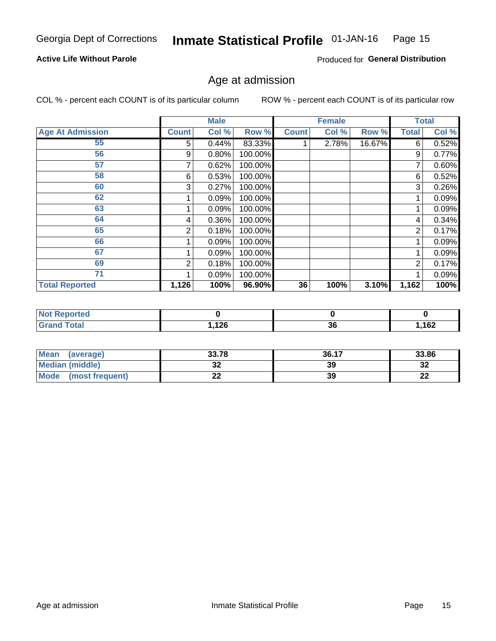#### Inmate Statistical Profile 01-JAN-16 Page 15

### **Active Life Without Parole**

Produced for General Distribution

# Age at admission

COL % - percent each COUNT is of its particular column

|                         |              | <b>Male</b> |         |              | <b>Female</b> |        |                | <b>Total</b> |
|-------------------------|--------------|-------------|---------|--------------|---------------|--------|----------------|--------------|
| <b>Age At Admission</b> | <b>Count</b> | Col %       | Row %   | <b>Count</b> | Col %         | Row %  | <b>Total</b>   | Col %        |
| 55                      | 5.           | 0.44%       | 83.33%  |              | 2.78%         | 16.67% | 6              | 0.52%        |
| 56                      | 9            | 0.80%       | 100.00% |              |               |        | 9              | 0.77%        |
| 57                      |              | 0.62%       | 100.00% |              |               |        | 7              | 0.60%        |
| 58                      | 6            | 0.53%       | 100.00% |              |               |        | 6              | 0.52%        |
| 60                      | 3            | 0.27%       | 100.00% |              |               |        | 3              | 0.26%        |
| 62                      |              | 0.09%       | 100.00% |              |               |        |                | 0.09%        |
| 63                      |              | 0.09%       | 100.00% |              |               |        |                | 0.09%        |
| 64                      | 4            | 0.36%       | 100.00% |              |               |        | 4              | 0.34%        |
| 65                      | 2            | 0.18%       | 100.00% |              |               |        | $\overline{2}$ | 0.17%        |
| 66                      |              | 0.09%       | 100.00% |              |               |        |                | 0.09%        |
| 67                      |              | 0.09%       | 100.00% |              |               |        |                | 0.09%        |
| 69                      | 2            | 0.18%       | 100.00% |              |               |        | 2              | 0.17%        |
| 71                      |              | 0.09%       | 100.00% |              |               |        |                | 0.09%        |
| <b>Total Reported</b>   | 1,126        | 100%        | 96.90%  | 36           | 100%          | 3.10%  | 1,162          | 100%         |

| <b>Not Reported</b>          |      |          |       |
|------------------------------|------|----------|-------|
| <b>Total</b><br><b>Grand</b> | ,126 | 26<br>эc | 1,162 |

| <b>Mean</b><br>(average) | 33.78 | 36.17 | 33.86    |
|--------------------------|-------|-------|----------|
| Median (middle)          | JZ    | 39    | 32       |
| Mode<br>(most frequent)  | --    | 39    | n.<br>LL |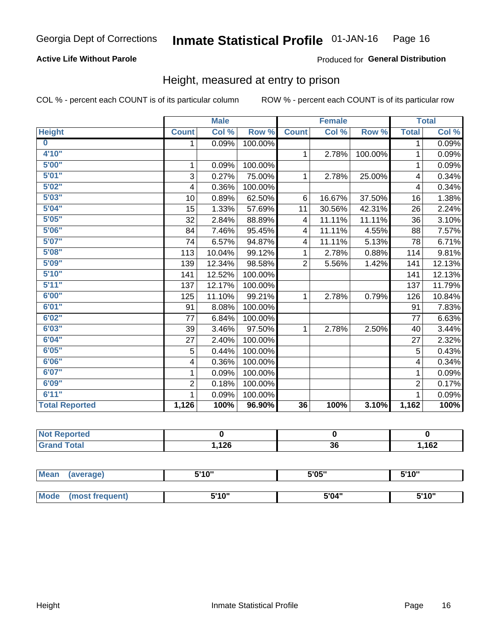### **Active Life Without Parole**

### Produced for General Distribution

# Height, measured at entry to prison

COL % - percent each COUNT is of its particular column

|                         |                | <b>Male</b> |         |                | <b>Female</b> |         |                | <b>Total</b> |
|-------------------------|----------------|-------------|---------|----------------|---------------|---------|----------------|--------------|
| <b>Height</b>           | <b>Count</b>   | Col %       | Row %   | <b>Count</b>   | Col %         | Row %   | <b>Total</b>   | Col %        |
| $\overline{\mathbf{0}}$ | 1              | 0.09%       | 100.00% |                |               |         | 1              | 0.09%        |
| 4'10"                   |                |             |         | $\mathbf{1}$   | 2.78%         | 100.00% | 1              | 0.09%        |
| 5'00''                  | 1              | 0.09%       | 100.00% |                |               |         | 1              | 0.09%        |
| 5'01"                   | 3              | 0.27%       | 75.00%  | 1              | 2.78%         | 25.00%  | 4              | 0.34%        |
| 5'02"                   | 4              | 0.36%       | 100.00% |                |               |         | 4              | 0.34%        |
| 5'03''                  | 10             | 0.89%       | 62.50%  | 6              | 16.67%        | 37.50%  | 16             | 1.38%        |
| 5'04"                   | 15             | 1.33%       | 57.69%  | 11             | 30.56%        | 42.31%  | 26             | 2.24%        |
| 5'05"                   | 32             | 2.84%       | 88.89%  | 4              | 11.11%        | 11.11%  | 36             | 3.10%        |
| 5'06''                  | 84             | 7.46%       | 95.45%  | 4              | 11.11%        | 4.55%   | 88             | 7.57%        |
| 5'07''                  | 74             | 6.57%       | 94.87%  | 4              | 11.11%        | 5.13%   | 78             | 6.71%        |
| 5'08''                  | 113            | 10.04%      | 99.12%  | 1              | 2.78%         | 0.88%   | 114            | 9.81%        |
| 5'09''                  | 139            | 12.34%      | 98.58%  | $\overline{2}$ | 5.56%         | 1.42%   | 141            | 12.13%       |
| 5'10''                  | 141            | 12.52%      | 100.00% |                |               |         | 141            | 12.13%       |
| 5'11''                  | 137            | 12.17%      | 100.00% |                |               |         | 137            | 11.79%       |
| 6'00''                  | 125            | 11.10%      | 99.21%  | $\mathbf{1}$   | 2.78%         | 0.79%   | 126            | 10.84%       |
| 6'01''                  | 91             | 8.08%       | 100.00% |                |               |         | 91             | 7.83%        |
| 6'02"                   | 77             | 6.84%       | 100.00% |                |               |         | 77             | 6.63%        |
| 6'03''                  | 39             | 3.46%       | 97.50%  | $\mathbf{1}$   | 2.78%         | 2.50%   | 40             | 3.44%        |
| 6'04"                   | 27             | 2.40%       | 100.00% |                |               |         | 27             | 2.32%        |
| 6'05"                   | 5              | 0.44%       | 100.00% |                |               |         | 5              | 0.43%        |
| 6'06''                  | 4              | 0.36%       | 100.00% |                |               |         | 4              | 0.34%        |
| 6'07''                  | 1              | 0.09%       | 100.00% |                |               |         | 1              | 0.09%        |
| 6'09''                  | $\overline{2}$ | 0.18%       | 100.00% |                |               |         | $\overline{2}$ | 0.17%        |
| 6'11''                  |                | 0.09%       | 100.00% |                |               |         |                | 0.09%        |
| <b>Total Reported</b>   | 1,126          | 100%        | 96.90%  | 36             | 100%          | 3.10%   | 1,162          | 100%         |

| NOT.<br>Reported<br>$\sim$ |      |    |             |
|----------------------------|------|----|-------------|
| $f$ $f \circ f \circ f$    | ,126 | 36 | 102<br>∣ O∠ |

| <b>Mean</b> | (average)       | 5'10" | 5'05" | 5'10"<br>J |
|-------------|-----------------|-------|-------|------------|
|             |                 |       |       |            |
| <b>Mode</b> | (most frequent) | 5'10" | 5'04" | 5'10"      |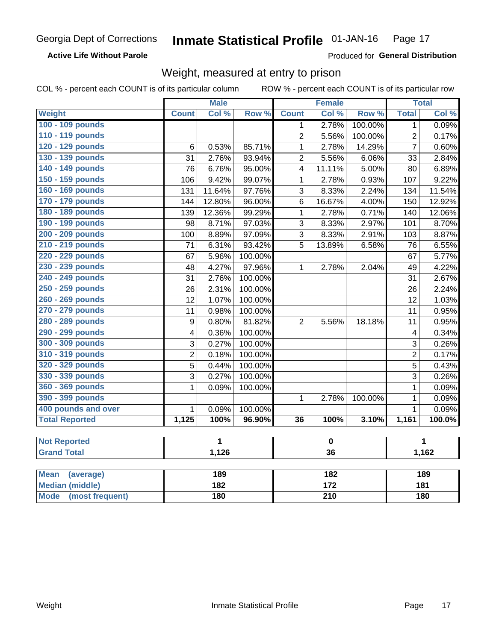### **Active Life Without Parole**

**Produced for General Distribution** 

# Weight, measured at entry to prison

COL % - percent each COUNT is of its particular column

|                       |                  | <b>Male</b> |         |                         | <b>Female</b> |         |                | <b>Total</b> |
|-----------------------|------------------|-------------|---------|-------------------------|---------------|---------|----------------|--------------|
| <b>Weight</b>         | <b>Count</b>     | Col%        | Row %   | <b>Count</b>            | Col %         | Row %   | <b>Total</b>   | Col %        |
| 100 - 109 pounds      |                  |             |         | 1                       | 2.78%         | 100.00% | 1              | 0.09%        |
| 110 - 119 pounds      |                  |             |         | $\overline{2}$          | 5.56%         | 100.00% | $\overline{2}$ | 0.17%        |
| 120 - 129 pounds      | 6                | 0.53%       | 85.71%  | 1                       | 2.78%         | 14.29%  | $\overline{7}$ | 0.60%        |
| 130 - 139 pounds      | 31               | 2.76%       | 93.94%  | $\overline{2}$          | 5.56%         | 6.06%   | 33             | 2.84%        |
| 140 - 149 pounds      | 76               | 6.76%       | 95.00%  | $\overline{\mathbf{4}}$ | 11.11%        | 5.00%   | 80             | 6.89%        |
| 150 - 159 pounds      | 106              | 9.42%       | 99.07%  | 1                       | 2.78%         | 0.93%   | 107            | 9.22%        |
| 160 - 169 pounds      | 131              | 11.64%      | 97.76%  | 3                       | 8.33%         | 2.24%   | 134            | 11.54%       |
| 170 - 179 pounds      | 144              | 12.80%      | 96.00%  | 6                       | 16.67%        | 4.00%   | 150            | 12.92%       |
| 180 - 189 pounds      | 139              | 12.36%      | 99.29%  | 1                       | 2.78%         | 0.71%   | 140            | 12.06%       |
| 190 - 199 pounds      | 98               | 8.71%       | 97.03%  | 3                       | 8.33%         | 2.97%   | 101            | 8.70%        |
| 200 - 209 pounds      | 100              | 8.89%       | 97.09%  | 3                       | 8.33%         | 2.91%   | 103            | 8.87%        |
| 210 - 219 pounds      | 71               | 6.31%       | 93.42%  | 5                       | 13.89%        | 6.58%   | 76             | 6.55%        |
| 220 - 229 pounds      | 67               | 5.96%       | 100.00% |                         |               |         | 67             | 5.77%        |
| 230 - 239 pounds      | 48               | 4.27%       | 97.96%  | 1                       | 2.78%         | 2.04%   | 49             | 4.22%        |
| 240 - 249 pounds      | 31               | 2.76%       | 100.00% |                         |               |         | 31             | 2.67%        |
| 250 - 259 pounds      | 26               | 2.31%       | 100.00% |                         |               |         | 26             | 2.24%        |
| 260 - 269 pounds      | $\overline{12}$  | 1.07%       | 100.00% |                         |               |         | 12             | 1.03%        |
| 270 - 279 pounds      | 11               | 0.98%       | 100.00% |                         |               |         | 11             | 0.95%        |
| 280 - 289 pounds      | $\boldsymbol{9}$ | 0.80%       | 81.82%  | $\overline{2}$          | 5.56%         | 18.18%  | 11             | 0.95%        |
| 290 - 299 pounds      | 4                | 0.36%       | 100.00% |                         |               |         | 4              | 0.34%        |
| 300 - 309 pounds      | 3                | 0.27%       | 100.00% |                         |               |         | 3              | 0.26%        |
| 310 - 319 pounds      | $\overline{2}$   | 0.18%       | 100.00% |                         |               |         | $\overline{2}$ | 0.17%        |
| 320 - 329 pounds      | 5                | 0.44%       | 100.00% |                         |               |         | 5              | 0.43%        |
| 330 - 339 pounds      | $\overline{3}$   | 0.27%       | 100.00% |                         |               |         | 3              | 0.26%        |
| 360 - 369 pounds      | 1                | 0.09%       | 100.00% |                         |               |         | 1              | 0.09%        |
| 390 - 399 pounds      |                  |             |         | $\mathbf{1}$            | 2.78%         | 100.00% | $\mathbf{1}$   | 0.09%        |
| 400 pounds and over   | $\mathbf{1}$     | 0.09%       | 100.00% |                         |               |         | $\mathbf{1}$   | 0.09%        |
| <b>Total Reported</b> | 1,125            | 100%        | 96.90%  | 36                      | 100%          | 3.10%   | 1,161          | 100.0%       |
|                       |                  |             |         |                         |               |         |                |              |
| <b>Not Reported</b>   |                  | 1           |         |                         | $\bf{0}$      |         |                | 1            |
| <b>Grand Total</b>    |                  | 1,126       |         |                         | 36            |         |                | 1,162        |
|                       |                  |             |         |                         |               |         |                |              |

| Mean<br>(average)              | 189 | 182 | 189 |
|--------------------------------|-----|-----|-----|
| <b>Median (middle)</b>         | 182 | 172 | 181 |
| <b>Mode</b><br>(most frequent) | 180 | 210 | 180 |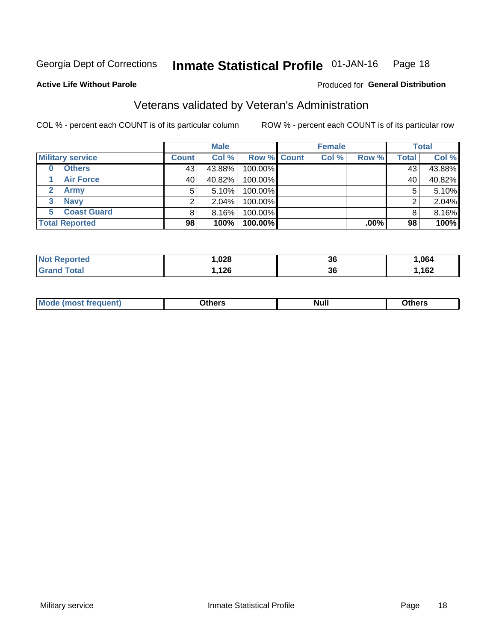#### Inmate Statistical Profile 01-JAN-16 Page 18

Produced for General Distribution

#### **Active Life Without Parole**

# Veterans validated by Veteran's Administration

COL % - percent each COUNT is of its particular column

|                         | <b>Male</b>  |          |             | <b>Female</b> |       |         | <b>Total</b> |        |
|-------------------------|--------------|----------|-------------|---------------|-------|---------|--------------|--------|
| <b>Military service</b> | <b>Count</b> | Col %    | Row % Count |               | Col % | Row %   | <b>Total</b> | Col %  |
| <b>Others</b><br>0      | 43           | 43.88%   | 100.00%     |               |       |         | 43           | 43.88% |
| <b>Air Force</b>        | 40           | 40.82%   | 100.00%     |               |       |         | 40           | 40.82% |
| Army                    | 5            | 5.10%    | 100.00%     |               |       |         | 5            | 5.10%  |
| <b>Navy</b><br>3        |              | 2.04%    | 100.00%     |               |       |         | ⌒            | 2.04%  |
| <b>Coast Guard</b><br>5 |              | $8.16\%$ | 100.00%     |               |       |         |              | 8.16%  |
| <b>Total Reported</b>   | 98           | 100%     | $100.00\%$  |               |       | $.00\%$ | 98           | 100%   |

| rreo<br>N | ,028           | 36 | .064 |
|-----------|----------------|----|------|
| $F = 4.5$ | ィクピ<br>, $120$ | 36 | ,162 |

| Mo<br><b>Null</b><br>วthers<br>_____<br>____<br>____ |
|------------------------------------------------------|
|------------------------------------------------------|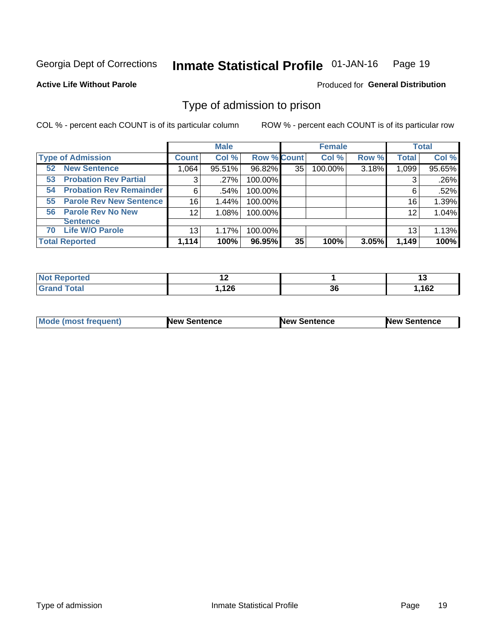#### Inmate Statistical Profile 01-JAN-16 Page 19

**Active Life Without Parole** 

Produced for General Distribution

# Type of admission to prison

COL % - percent each COUNT is of its particular column

|                                      |                 | <b>Male</b> |                    |    | <b>Female</b> |       |              | <b>Total</b> |
|--------------------------------------|-----------------|-------------|--------------------|----|---------------|-------|--------------|--------------|
| <b>Type of Admission</b>             | <b>Count</b>    | Col %       | <b>Row % Count</b> |    | Col %         | Row % | <b>Total</b> | Col %        |
| <b>New Sentence</b><br>52            | 1,064           | 95.51%      | 96.82%             | 35 | 100.00%       | 3.18% | 1,099        | 95.65%       |
| <b>Probation Rev Partial</b><br>53   | 3               | .27%        | 100.00%            |    |               |       | 3            | .26%         |
| <b>Probation Rev Remainder</b><br>54 | 6               | .54%        | 100.00%            |    |               |       | 6            | .52%         |
| <b>Parole Rev New Sentence</b><br>55 | 16              | 1.44%       | 100.00%            |    |               |       | 16           | 1.39%        |
| 56 Parole Rev No New                 | 12 <sub>2</sub> | 1.08%       | 100.00%            |    |               |       | 12           | 1.04%        |
| <b>Sentence</b>                      |                 |             |                    |    |               |       |              |              |
| <b>Life W/O Parole</b><br>70         | 13              | 1.17%       | 100.00%            |    |               |       | 13           | 1.13%        |
| <b>Total Reported</b>                | 1,114           | 100%        | 96.95%             | 35 | 100%          | 3.05% | 1,149        | 100%         |

| <b>Reported</b><br><b>NOT</b> |               |          |      |
|-------------------------------|---------------|----------|------|
| <b>cotal</b>                  | 10C<br>I, IZU | ^^<br>კე | ,162 |

|--|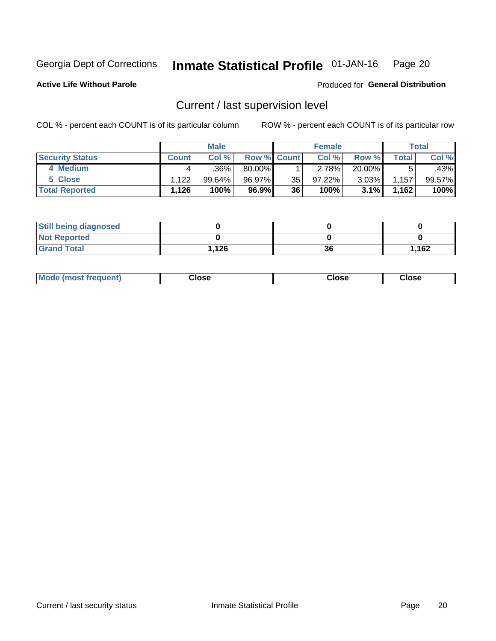#### Inmate Statistical Profile 01-JAN-16 Page 20

**Active Life Without Parole** 

Produced for General Distribution

# Current / last supervision level

COL % - percent each COUNT is of its particular column

|                        |              | <b>Male</b> |                    |    | <b>Female</b> |          |       | <b>Total</b> |
|------------------------|--------------|-------------|--------------------|----|---------------|----------|-------|--------------|
| <b>Security Status</b> | <b>Count</b> | Col%        | <b>Row % Count</b> |    | Col %         | Row %    | Total | Col %        |
| 4 Medium               |              | $.36\%$     | $80.00\%$          |    | 2.78%         | 20.00%   |       | .43%         |
| 5 Close                | ا 122. ا     | 99.64%      | 96.97%             | 35 | 97.22%        | $3.03\%$ | 1,157 | 99.57%       |
| <b>Total Reported</b>  | 1,126        | 100%        | 96.9%              | 36 | 100%          | 3.1%     | 1,162 | 100%         |

| <b>Still being diagnosed</b> |      |    |       |
|------------------------------|------|----|-------|
| <b>Not Reported</b>          |      |    |       |
| <b>Grand Total</b>           | .126 | 36 | 1.162 |

| <b>AhoM</b><br>rreauent) | <b>Close</b> | Close | Close |
|--------------------------|--------------|-------|-------|
|                          |              |       |       |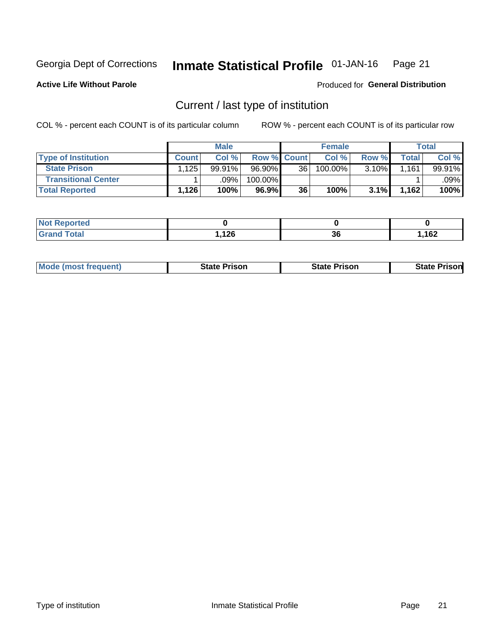#### Inmate Statistical Profile 01-JAN-16 Page 21

**Active Life Without Parole** 

Produced for General Distribution

# Current / last type of institution

COL % - percent each COUNT is of its particular column

|                            |       | <b>Male</b> |                    |                 | <b>Female</b> |       |               | <b>Total</b> |
|----------------------------|-------|-------------|--------------------|-----------------|---------------|-------|---------------|--------------|
| <b>Type of Institution</b> | Count | Col %       | <b>Row % Count</b> |                 | Col %         | Row % | $\tau$ otal i | Col %        |
| <b>State Prison</b>        | .125  | 99.91%      | $96.90\%$          | 36 <sup>1</sup> | 100.00%       | 3.10% | .161          | 99.91%       |
| <b>Transitional Center</b> |       | .09%        | 100.00%            |                 |               |       |               | $.09\%$ $ $  |
| <b>Total Reported</b>      | 1,126 | 100%        | 96.9%              | 36              | 100%          | 3.1%  | 1,162         | 100%         |

| <b>eported</b> |      |    |     |
|----------------|------|----|-----|
| <b>otal</b>    | ィクピ  | 2C | 162 |
|                | 14 Y | ად | 10Z |

|  | <b>Mode (most frequent)</b> | State Prison | <b>State Prison</b> | risonl<br>State |
|--|-----------------------------|--------------|---------------------|-----------------|
|--|-----------------------------|--------------|---------------------|-----------------|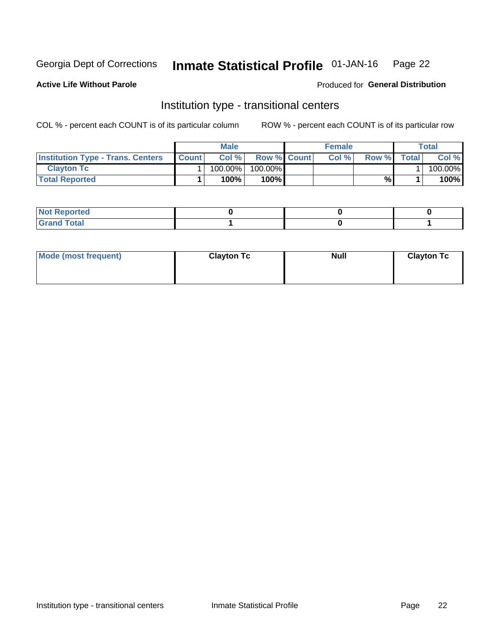#### Inmate Statistical Profile 01-JAN-16 Page 22

### **Active Life Without Parole**

### Produced for General Distribution

# Institution type - transitional centers

COL % - percent each COUNT is of its particular column

|                                          |              | <b>Male</b> |                    | <b>Female</b> |       |              | <b>Total</b> |
|------------------------------------------|--------------|-------------|--------------------|---------------|-------|--------------|--------------|
| <b>Institution Type - Trans. Centers</b> | <b>Count</b> | Col%        | <b>Row % Count</b> | Col%          | Row % | <b>Total</b> | Col %        |
| <b>Clayton Tc</b>                        |              | 100.00%     | 100.00%            |               |       |              | 100.00%      |
| <b>Total Reported</b>                    |              | $100\%$     | 100%               |               | %     |              | 100%         |

| <b>Not Reported</b>    |  |  |
|------------------------|--|--|
| <b>Total</b><br>re e d |  |  |

| Mode (most frequent) | <b>Clayton Tc</b> | <b>Null</b> | <b>Clayton Tc</b> |
|----------------------|-------------------|-------------|-------------------|
|                      |                   |             |                   |
|                      |                   |             |                   |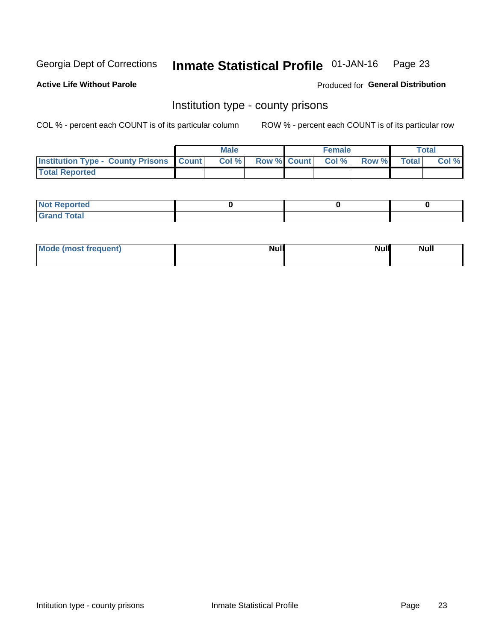#### Inmate Statistical Profile 01-JAN-16 Page 23

**Active Life Without Parole** 

Produced for General Distribution

# Institution type - county prisons

COL % - percent each COUNT is of its particular column

|                                                    | <b>Male</b> |  | <b>Female</b>            |             | <b>Total</b> |
|----------------------------------------------------|-------------|--|--------------------------|-------------|--------------|
| <b>Institution Type - County Prisons   Count  </b> | Col %       |  | <b>Row % Count Col %</b> | Row % Total | Col %        |
| <b>Total Reported</b>                              |             |  |                          |             |              |

| <b>Not Reported</b>   |  |  |
|-----------------------|--|--|
| <b>Total</b><br>Granc |  |  |

| Mode (most frequent) | <b>Null</b> | <b>Null</b><br><b>Null</b> |
|----------------------|-------------|----------------------------|
|                      |             |                            |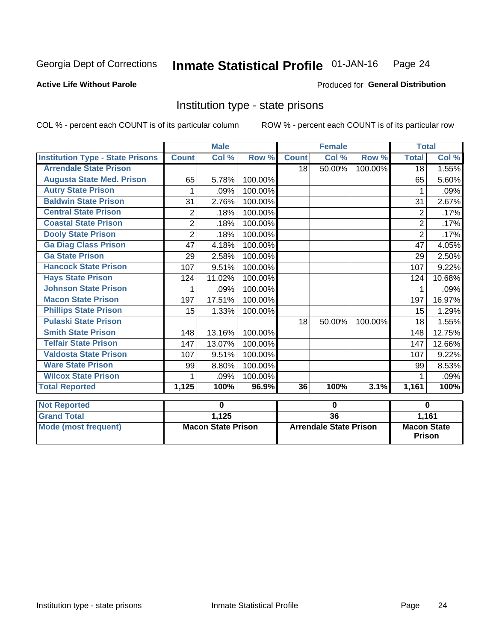#### Inmate Statistical Profile 01-JAN-16 Page 24

### **Active Life Without Parole**

### Produced for General Distribution

# Institution type - state prisons

|                                         |                | <b>Male</b>               |         |                 | <b>Female</b>                 |            | <b>Total</b>                 |          |
|-----------------------------------------|----------------|---------------------------|---------|-----------------|-------------------------------|------------|------------------------------|----------|
| <b>Institution Type - State Prisons</b> | <b>Count</b>   | Col %                     | Row %   | <b>Count</b>    | Col %                         | Row %      | <b>Total</b>                 | Col %    |
| <b>Arrendale State Prison</b>           |                |                           |         | 18              | 50.00%                        | $100.00\%$ | 18                           | 1.55%    |
| <b>Augusta State Med. Prison</b>        | 65             | 5.78%                     | 100.00% |                 |                               |            | 65                           | 5.60%    |
| <b>Autry State Prison</b>               |                | .09%                      | 100.00% |                 |                               |            |                              | .09%     |
| <b>Baldwin State Prison</b>             | 31             | 2.76%                     | 100.00% |                 |                               |            | 31                           | 2.67%    |
| <b>Central State Prison</b>             | $\overline{2}$ | .18%                      | 100.00% |                 |                               |            | $\overline{2}$               | .17%     |
| <b>Coastal State Prison</b>             | $\overline{2}$ | .18%                      | 100.00% |                 |                               |            | $\overline{2}$               | .17%     |
| <b>Dooly State Prison</b>               | $\overline{2}$ | .18%                      | 100.00% |                 |                               |            | $\overline{2}$               | .17%     |
| <b>Ga Diag Class Prison</b>             | 47             | 4.18%                     | 100.00% |                 |                               |            | 47                           | 4.05%    |
| <b>Ga State Prison</b>                  | 29             | 2.58%                     | 100.00% |                 |                               |            | 29                           | 2.50%    |
| <b>Hancock State Prison</b>             | 107            | 9.51%                     | 100.00% |                 |                               |            | 107                          | 9.22%    |
| <b>Hays State Prison</b>                | 124            | 11.02%                    | 100.00% |                 |                               |            | 124                          | 10.68%   |
| <b>Johnson State Prison</b>             | 1              | .09%                      | 100.00% |                 |                               |            | 1                            | .09%     |
| <b>Macon State Prison</b>               | 197            | 17.51%                    | 100.00% |                 |                               |            | 197                          | 16.97%   |
| <b>Phillips State Prison</b>            | 15             | 1.33%                     | 100.00% |                 |                               |            | 15                           | 1.29%    |
| <b>Pulaski State Prison</b>             |                |                           |         | 18              | 50.00%                        | 100.00%    | 18                           | 1.55%    |
| <b>Smith State Prison</b>               | 148            | 13.16%                    | 100.00% |                 |                               |            | 148                          | 12.75%   |
| <b>Telfair State Prison</b>             | 147            | 13.07%                    | 100.00% |                 |                               |            | 147                          | 12.66%   |
| <b>Valdosta State Prison</b>            | 107            | 9.51%                     | 100.00% |                 |                               |            | 107                          | 9.22%    |
| <b>Ware State Prison</b>                | 99             | 8.80%                     | 100.00% |                 |                               |            | 99                           | 8.53%    |
| <b>Wilcox State Prison</b>              | 1              | .09%                      | 100.00% |                 |                               |            | 1                            | .09%     |
| <b>Total Reported</b>                   | 1,125          | 100%                      | 96.9%   | 36              | 100%                          | 3.1%       | 1,161                        | 100%     |
| <b>Not Reported</b>                     |                | $\bf{0}$                  |         |                 | $\bf{0}$                      |            |                              | $\bf{0}$ |
| <b>Grand Total</b>                      |                | 1,125                     |         | $\overline{36}$ |                               |            | 1,161                        |          |
| <b>Mode (most frequent)</b>             |                | <b>Macon State Prison</b> |         |                 | <b>Arrendale State Prison</b> |            | <b>Macon State</b><br>Prison |          |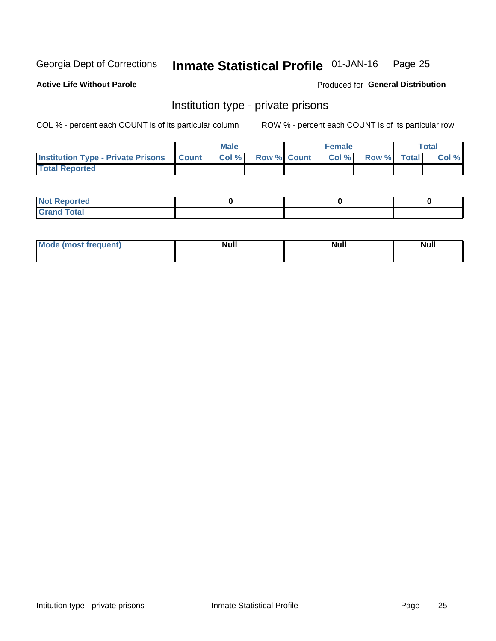#### Inmate Statistical Profile 01-JAN-16 Page 25

**Active Life Without Parole** 

Produced for General Distribution

# Institution type - private prisons

COL % - percent each COUNT is of its particular column

|                                                 | <b>Male</b> |                    | <b>Female</b> |             | Total |
|-------------------------------------------------|-------------|--------------------|---------------|-------------|-------|
| <b>Institution Type - Private Prisons Count</b> | Col%        | <b>Row % Count</b> | Col %         | Row % Total | Col % |
| <b>Total Reported</b>                           |             |                    |               |             |       |

| <b>Not Reported</b>  |  |  |
|----------------------|--|--|
| <b>Total</b><br>C.v. |  |  |

| <b>Mo</b><br>frequent) | <b>Null</b> | <b>Null</b> | . . I *<br><b>IVUII</b> |
|------------------------|-------------|-------------|-------------------------|
|                        |             |             |                         |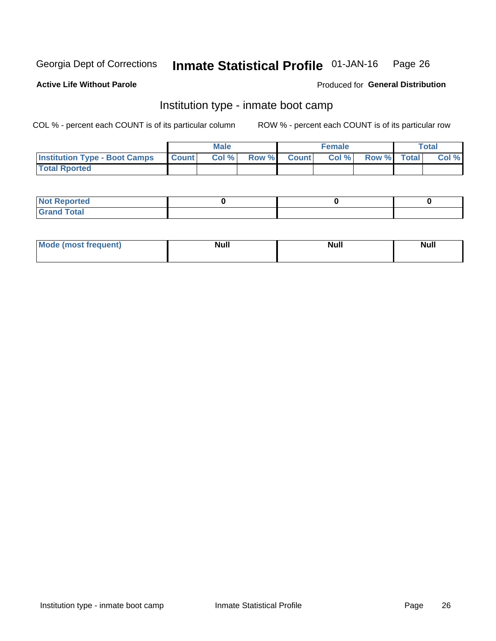#### Inmate Statistical Profile 01-JAN-16 Page 26

#### **Active Life Without Parole**

### Produced for General Distribution

# Institution type - inmate boot camp

COL % - percent each COUNT is of its particular column

|                                      |              | <b>Male</b> |               |              | <b>Female</b> |             | <b>Total</b> |
|--------------------------------------|--------------|-------------|---------------|--------------|---------------|-------------|--------------|
| <b>Institution Type - Boot Camps</b> | <b>Count</b> | Col %       | <b>Row %I</b> | <b>Count</b> | Col %         | Row % Total | Col %        |
| <b>Total Rported</b>                 |              |             |               |              |               |             |              |

| <b>Not Reported</b>            |  |  |
|--------------------------------|--|--|
| <b>Total</b><br>C <sub>r</sub> |  |  |

| Mod<br>uamo | Nul.<br>$- - - - - -$ | <b>Null</b> | <br>uu.<br>------ |
|-------------|-----------------------|-------------|-------------------|
|             |                       |             |                   |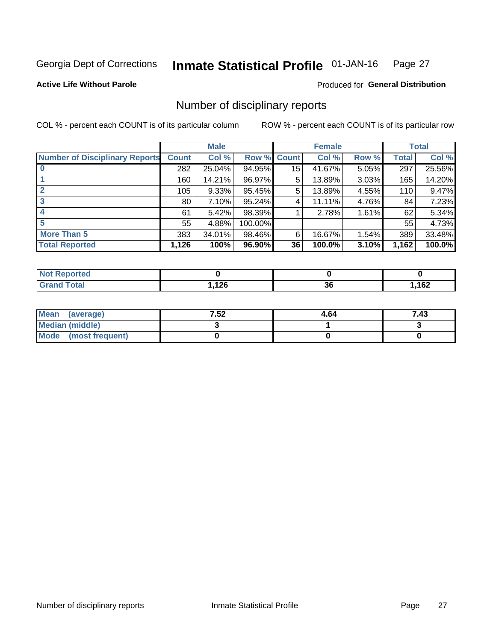#### Inmate Statistical Profile 01-JAN-16 Page 27

**Active Life Without Parole** 

Produced for General Distribution

# Number of disciplinary reports

COL % - percent each COUNT is of its particular column

|                                       |              | <b>Male</b> |                    |    | <b>Female</b> |          |       | <b>Total</b> |
|---------------------------------------|--------------|-------------|--------------------|----|---------------|----------|-------|--------------|
| <b>Number of Disciplinary Reports</b> | <b>Count</b> | Col %       | <b>Row % Count</b> |    | Col %         | Row %    | Total | Col %        |
|                                       | 282          | 25.04%      | 94.95%             | 15 | 41.67%        | $5.05\%$ | 297   | 25.56%       |
|                                       | 160          | 14.21%      | 96.97%             | 5  | 13.89%        | 3.03%    | 165   | 14.20%       |
|                                       | 105          | 9.33%       | 95.45%             | 5  | 13.89%        | 4.55%    | 110   | 9.47%        |
| 3                                     | 80           | 7.10%       | 95.24%             | 4  | 11.11%        | 4.76%    | 84    | 7.23%        |
|                                       | 61           | 5.42%       | 98.39%             |    | 2.78%         | 1.61%    | 62    | 5.34%        |
| 5                                     | 55           | 4.88%       | 100.00%            |    |               |          | 55    | 4.73%        |
| <b>More Than 5</b>                    | 383          | 34.01%      | 98.46%             | 6  | 16.67%        | 1.54%    | 389   | 33.48%       |
| <b>Total Reported</b>                 | 1,126        | 100%        | 96.90%             | 36 | 100.0%        | 3.10%    | 1,162 | 100.0%       |

| NO<br>ueo |                                  |          |     |
|-----------|----------------------------------|----------|-----|
| Гоtal     | 12c<br>$\mathbf{1}$ $\mathbf{2}$ | ^^<br>ად | 162 |

| Mean (average)         | 7.52 | 4.64 | 7.43 |
|------------------------|------|------|------|
| <b>Median (middle)</b> |      |      |      |
| Mode (most frequent)   |      |      |      |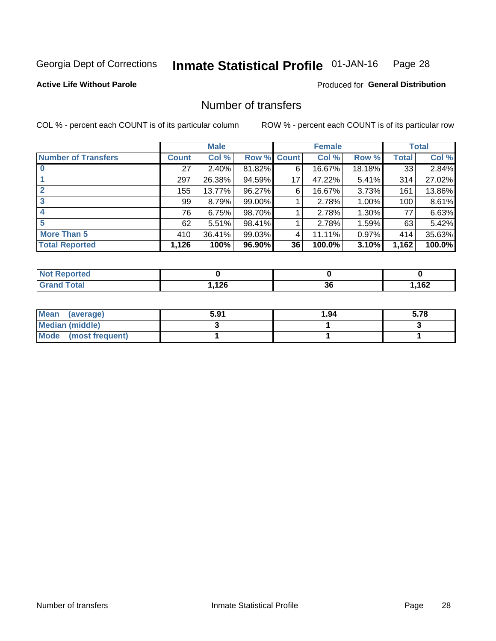#### Inmate Statistical Profile 01-JAN-16 Page 28

### **Active Life Without Parole**

#### Produced for General Distribution

# Number of transfers

COL % - percent each COUNT is of its particular column

|                            |              | <b>Male</b> |             |    | <b>Female</b> |        |              | <b>Total</b> |
|----------------------------|--------------|-------------|-------------|----|---------------|--------|--------------|--------------|
| <b>Number of Transfers</b> | <b>Count</b> | Col %       | Row % Count |    | Col %         | Row %  | <b>Total</b> | Col %        |
|                            | 27           | $2.40\%$    | 81.82%      | 6  | 16.67%        | 18.18% | 33           | 2.84%        |
|                            | 297          | 26.38%      | 94.59%      | 17 | 47.22%        | 5.41%  | 314          | 27.02%       |
| $\mathbf{2}$               | 155          | 13.77%      | 96.27%      | 6  | 16.67%        | 3.73%  | 161          | 13.86%       |
| 3                          | 99           | 8.79%       | 99.00%      |    | 2.78%         | 1.00%  | 100          | 8.61%        |
|                            | 76           | 6.75%       | 98.70%      |    | 2.78%         | 1.30%  | 77           | 6.63%        |
| 5                          | 62           | 5.51%       | 98.41%      |    | 2.78%         | 1.59%  | 63           | 5.42%        |
| <b>More Than 5</b>         | 410          | 36.41%      | 99.03%      | 4  | 11.11%        | 0.97%  | 414          | 35.63%       |
| <b>Total Reported</b>      | 1,126        | 100%        | 96.90%      | 36 | 100.0%        | 3.10%  | 1,162        | 100.0%       |

| NO<br>ueo |                                  |          |     |
|-----------|----------------------------------|----------|-----|
| Гоtal     | 12c<br>$\mathbf{1}$ $\mathbf{2}$ | ^^<br>ად | 162 |

| Mean (average)         | 5.91 | 1.94 | 5.78 |
|------------------------|------|------|------|
| <b>Median (middle)</b> |      |      |      |
| Mode (most frequent)   |      |      |      |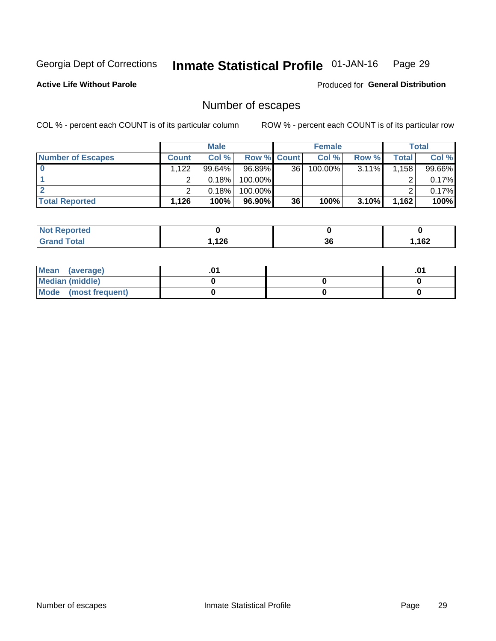#### Inmate Statistical Profile 01-JAN-16 Page 29

#### **Active Life Without Parole**

**Produced for General Distribution** 

# Number of escapes

COL % - percent each COUNT is of its particular column

|                          |              | <b>Male</b> |                    |    | <b>Female</b> |          |       | Total    |
|--------------------------|--------------|-------------|--------------------|----|---------------|----------|-------|----------|
| <b>Number of Escapes</b> | <b>Count</b> | Col %       | <b>Row % Count</b> |    | Col %         | Row %    | Total | Col %    |
|                          | .122         | $99.64\%$   | 96.89%             | 36 | 100.00%       | $3.11\%$ | 1,158 | 99.66%   |
|                          |              | 0.18%       | 100.00%            |    |               |          |       | 0.17%    |
|                          |              | 0.18%       | $100.00\%$         |    |               |          |       | $0.17\%$ |
| <b>Total Reported</b>    | 1,126        | 100%        | 96.90%             | 36 | 100%          | 3.10%    | 1.162 | 100%     |

| <b>Not Reported</b> |       |          |      |
|---------------------|-------|----------|------|
| Total<br>Gra        | l,126 | ^^<br>ახ | ,162 |

| Mean (average)       |  | .v |
|----------------------|--|----|
| Median (middle)      |  |    |
| Mode (most frequent) |  |    |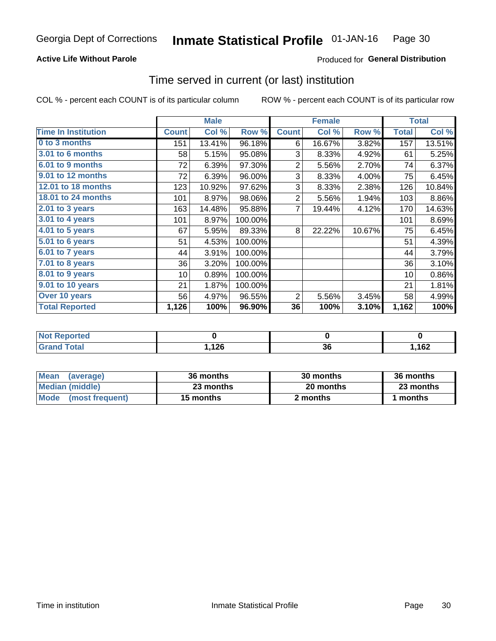### **Active Life Without Parole**

### **Produced for General Distribution**

# Time served in current (or last) institution

COL % - percent each COUNT is of its particular column

|                              |              | <b>Male</b> |         |                | <b>Female</b> |        |              | <b>Total</b> |
|------------------------------|--------------|-------------|---------|----------------|---------------|--------|--------------|--------------|
| <b>Time In Institution</b>   | <b>Count</b> | Col %       | Row %   | <b>Count</b>   | Col %         | Row %  | <b>Total</b> | Col %        |
| 0 to 3 months                | 151          | 13.41%      | 96.18%  | 6              | 16.67%        | 3.82%  | 157          | 13.51%       |
| 3.01 to 6 months             | 58           | 5.15%       | 95.08%  | 3              | 8.33%         | 4.92%  | 61           | 5.25%        |
| 6.01 to 9 months             | 72           | 6.39%       | 97.30%  | $\overline{2}$ | 5.56%         | 2.70%  | 74           | 6.37%        |
| 9.01 to 12 months            | 72           | 6.39%       | 96.00%  | 3              | 8.33%         | 4.00%  | 75           | 6.45%        |
| <b>12.01 to 18 months</b>    | 123          | 10.92%      | 97.62%  | 3              | 8.33%         | 2.38%  | 126          | 10.84%       |
| 18.01 to 24 months           | 101          | 8.97%       | 98.06%  | $\overline{2}$ | 5.56%         | 1.94%  | 103          | 8.86%        |
| $2.01$ to 3 years            | 163          | 14.48%      | 95.88%  | 7              | 19.44%        | 4.12%  | 170          | 14.63%       |
| 3.01 to 4 years              | 101          | 8.97%       | 100.00% |                |               |        | 101          | 8.69%        |
| 4.01 to 5 years              | 67           | 5.95%       | 89.33%  | 8              | 22.22%        | 10.67% | 75           | 6.45%        |
| $\overline{5.01}$ to 6 years | 51           | 4.53%       | 100.00% |                |               |        | 51           | 4.39%        |
| 6.01 to 7 years              | 44           | 3.91%       | 100.00% |                |               |        | 44           | 3.79%        |
| $7.01$ to 8 years            | 36           | 3.20%       | 100.00% |                |               |        | 36           | 3.10%        |
| 8.01 to 9 years              | 10           | 0.89%       | 100.00% |                |               |        | 10           | 0.86%        |
| 9.01 to 10 years             | 21           | 1.87%       | 100.00% |                |               |        | 21           | 1.81%        |
| Over 10 years                | 56           | 4.97%       | 96.55%  | 2              | 5.56%         | 3.45%  | 58           | 4.99%        |
| <b>Total Reported</b>        | 1,126        | 100%        | 96.90%  | 36             | 100%          | 3.10%  | 1,162        | 100%         |

| meo<br><b>NOT</b> |       |                      |     |
|-------------------|-------|----------------------|-----|
| $int^{\bullet}$   | 10C   | $\ddot{\phantom{0}}$ | 162 |
| _____             | 59.14 | Ju                   |     |

| <b>Mean</b><br>(average) | 36 months | 30 months | 36 months |
|--------------------------|-----------|-----------|-----------|
| Median (middle)          | 23 months | 20 months | 23 months |
| Mode (most frequent)     | 15 months | 2 months  | ∣ months  |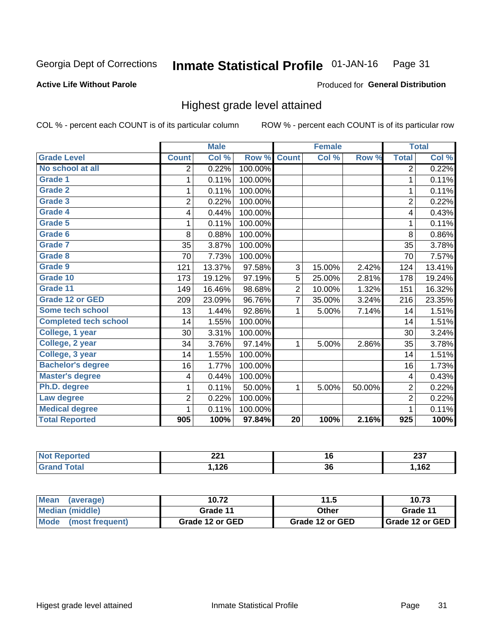#### Inmate Statistical Profile 01-JAN-16 Page 31

#### **Active Life Without Parole**

#### Produced for General Distribution

# Highest grade level attained

COL % - percent each COUNT is of its particular column

|                              |                         | <b>Male</b> |         |                | <b>Female</b> |        |                         | <b>Total</b> |
|------------------------------|-------------------------|-------------|---------|----------------|---------------|--------|-------------------------|--------------|
| <b>Grade Level</b>           | <b>Count</b>            | Col %       | Row %   | <b>Count</b>   | Col %         | Row %  | <b>Total</b>            | Col %        |
| No school at all             | 2                       | 0.22%       | 100.00% |                |               |        | 2                       | 0.22%        |
| Grade 1                      | 1                       | 0.11%       | 100.00% |                |               |        | 1                       | 0.11%        |
| Grade 2                      | 1                       | 0.11%       | 100.00% |                |               |        | $\mathbf 1$             | 0.11%        |
| Grade 3                      | $\overline{2}$          | 0.22%       | 100.00% |                |               |        | $\overline{2}$          | 0.22%        |
| Grade 4                      | 4                       | 0.44%       | 100.00% |                |               |        | 4                       | 0.43%        |
| Grade 5                      | 1                       | 0.11%       | 100.00% |                |               |        | $\mathbf{1}$            | 0.11%        |
| Grade 6                      | 8                       | 0.88%       | 100.00% |                |               |        | 8                       | 0.86%        |
| <b>Grade 7</b>               | 35                      | 3.87%       | 100.00% |                |               |        | 35                      | 3.78%        |
| Grade 8                      | 70                      | 7.73%       | 100.00% |                |               |        | 70                      | 7.57%        |
| Grade 9                      | 121                     | 13.37%      | 97.58%  | 3              | 15.00%        | 2.42%  | 124                     | 13.41%       |
| Grade 10                     | 173                     | 19.12%      | 97.19%  | 5              | 25.00%        | 2.81%  | 178                     | 19.24%       |
| Grade 11                     | 149                     | 16.46%      | 98.68%  | $\overline{2}$ | 10.00%        | 1.32%  | 151                     | 16.32%       |
| <b>Grade 12 or GED</b>       | 209                     | 23.09%      | 96.76%  | $\overline{7}$ | 35.00%        | 3.24%  | 216                     | 23.35%       |
| Some tech school             | 13                      | 1.44%       | 92.86%  | 1              | 5.00%         | 7.14%  | 14                      | 1.51%        |
| <b>Completed tech school</b> | 14                      | 1.55%       | 100.00% |                |               |        | 14                      | 1.51%        |
| College, 1 year              | 30                      | 3.31%       | 100.00% |                |               |        | 30                      | 3.24%        |
| College, 2 year              | 34                      | 3.76%       | 97.14%  | 1              | 5.00%         | 2.86%  | 35                      | 3.78%        |
| College, 3 year              | 14                      | 1.55%       | 100.00% |                |               |        | 14                      | 1.51%        |
| <b>Bachelor's degree</b>     | 16                      | 1.77%       | 100.00% |                |               |        | 16                      | 1.73%        |
| <b>Master's degree</b>       | $\overline{\mathbf{4}}$ | 0.44%       | 100.00% |                |               |        | $\overline{\mathbf{4}}$ | 0.43%        |
| Ph.D. degree                 | 1                       | 0.11%       | 50.00%  | 1              | 5.00%         | 50.00% | $\overline{2}$          | 0.22%        |
| Law degree                   | $\overline{2}$          | 0.22%       | 100.00% |                |               |        | $\overline{2}$          | 0.22%        |
| <b>Medical degree</b>        | 1                       | 0.11%       | 100.00% |                |               |        | 1                       | 0.11%        |
| <b>Total Reported</b>        | 905                     | 100%        | 97.84%  | 20             | 100%          | 2.16%  | 925                     | 100%         |

| rted<br><b>NOT</b> | ົ<br>44 I | $\sim$ | $\sim$<br>ZJ I |
|--------------------|-----------|--------|----------------|
| <b>ota</b>         | 126       | ^'     | ,162           |
| Grar               | 50 µ,     | კხ     |                |

| Mean<br>(average)       | 10.72           | 11.5            | 10.73             |
|-------------------------|-----------------|-----------------|-------------------|
| <b>Median (middle)</b>  | Grade 11        | Other           | Grade 11          |
| Mode<br>(most frequent) | Grade 12 or GED | Grade 12 or GED | I Grade 12 or GED |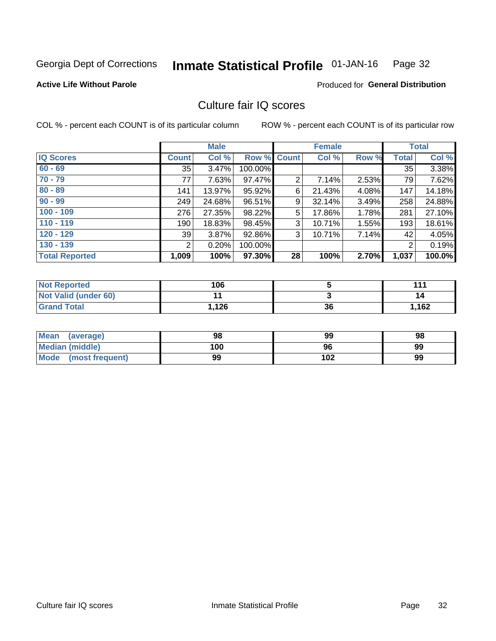#### Inmate Statistical Profile 01-JAN-16 Page 32

Produced for General Distribution

### **Active Life Without Parole**

# Culture fair IQ scores

COL % - percent each COUNT is of its particular column

|                       |                | <b>Male</b> |             |                | <b>Female</b> |       |              | <b>Total</b> |
|-----------------------|----------------|-------------|-------------|----------------|---------------|-------|--------------|--------------|
| <b>IQ Scores</b>      | <b>Count</b>   | Col %       | Row % Count |                | Col %         | Row % | <b>Total</b> | Col %        |
| $60 - 69$             | 35             | 3.47%       | 100.00%     |                |               |       | 35           | 3.38%        |
| $70 - 79$             | 77             | 7.63%       | 97.47%      | $\overline{2}$ | 7.14%         | 2.53% | 79           | 7.62%        |
| $80 - 89$             | 141            | 13.97%      | 95.92%      | 6              | 21.43%        | 4.08% | 147          | 14.18%       |
| $90 - 99$             | 249            | 24.68%      | 96.51%      | 9              | 32.14%        | 3.49% | 258          | 24.88%       |
| $100 - 109$           | 276            | 27.35%      | 98.22%      | 5              | 17.86%        | 1.78% | 281          | 27.10%       |
| $110 - 119$           | 190            | 18.83%      | 98.45%      | 3              | 10.71%        | 1.55% | 193          | 18.61%       |
| $120 - 129$           | 39             | 3.87%       | 92.86%      | 3              | 10.71%        | 7.14% | 42           | 4.05%        |
| $130 - 139$           | $\overline{2}$ | 0.20%       | 100.00%     |                |               |       | 2            | 0.19%        |
| <b>Total Reported</b> | 1,009          | 100%        | 97.30%      | 28             | 100%          | 2.70% | 1,037        | 100.0%       |

| <b>Not Reported</b>  | 106   |    | 44.   |
|----------------------|-------|----|-------|
| Not Valid (under 60) |       |    | 14    |
| <b>Grand Total</b>   | 1,126 | 36 | 1,162 |

| <b>Mean</b><br>(average) | 98  | 99  | 98 |
|--------------------------|-----|-----|----|
| <b>Median (middle)</b>   | 100 | 96  | 99 |
| Mode (most frequent)     | 99  | 102 | 99 |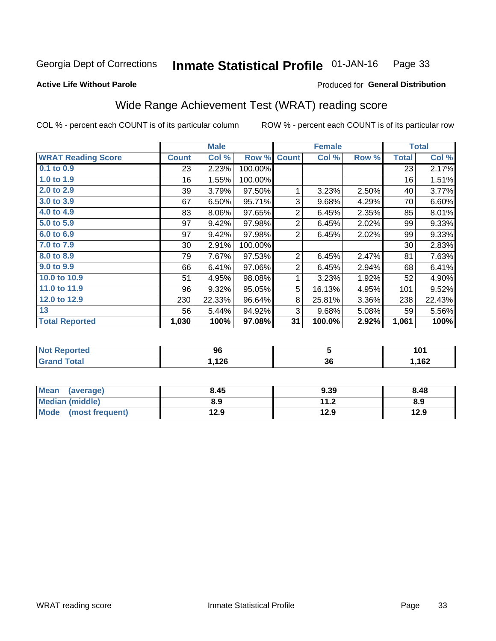#### Inmate Statistical Profile 01-JAN-16 Page 33

#### **Active Life Without Parole**

### Produced for General Distribution

# Wide Range Achievement Test (WRAT) reading score

COL % - percent each COUNT is of its particular column

|                           |              | <b>Male</b> |         |                | <b>Female</b> |       |                 | <b>Total</b> |
|---------------------------|--------------|-------------|---------|----------------|---------------|-------|-----------------|--------------|
| <b>WRAT Reading Score</b> | <b>Count</b> | Col %       | Row %   | <b>Count</b>   | Col %         | Row % | <b>Total</b>    | Col %        |
| $0.1$ to $0.9$            | 23           | 2.23%       | 100.00% |                |               |       | 23              | 2.17%        |
| 1.0 to 1.9                | 16           | 1.55%       | 100.00% |                |               |       | 16              | 1.51%        |
| 2.0 to 2.9                | 39           | 3.79%       | 97.50%  | 1              | 3.23%         | 2.50% | 40              | 3.77%        |
| 3.0 to 3.9                | 67           | 6.50%       | 95.71%  | 3              | 9.68%         | 4.29% | 70              | 6.60%        |
| 4.0 to 4.9                | 83           | 8.06%       | 97.65%  | $\overline{2}$ | 6.45%         | 2.35% | 85              | 8.01%        |
| 5.0 to 5.9                | 97           | 9.42%       | 97.98%  | $\overline{2}$ | 6.45%         | 2.02% | 99              | 9.33%        |
| 6.0 to 6.9                | 97           | 9.42%       | 97.98%  | $\overline{2}$ | 6.45%         | 2.02% | 99              | 9.33%        |
| 7.0 to 7.9                | $30$         | 2.91%       | 100.00% |                |               |       | 30 <sup>1</sup> | 2.83%        |
| 8.0 to 8.9                | 79           | 7.67%       | 97.53%  | $\overline{2}$ | 6.45%         | 2.47% | 81              | 7.63%        |
| 9.0 to 9.9                | 66           | 6.41%       | 97.06%  | $\overline{2}$ | 6.45%         | 2.94% | 68              | 6.41%        |
| 10.0 to 10.9              | 51           | 4.95%       | 98.08%  | 1              | 3.23%         | 1.92% | 52              | 4.90%        |
| 11.0 to 11.9              | 96           | 9.32%       | 95.05%  | 5              | 16.13%        | 4.95% | 101             | 9.52%        |
| 12.0 to 12.9              | 230          | 22.33%      | 96.64%  | 8              | 25.81%        | 3.36% | 238             | 22.43%       |
| 13                        | 56           | 5.44%       | 94.92%  | 3              | 9.68%         | 5.08% | 59              | 5.56%        |
| <b>Total Reported</b>     | 1,030        | 100%        | 97.08%  | 31             | 100.0%        | 2.92% | 1,061           | 100%         |
|                           |              |             |         |                |               |       |                 |              |

| <b>Not Reported</b>   | 96    |          | 101  |
|-----------------------|-------|----------|------|
| <b>Total</b><br>Grand | .126، | ^^<br>ათ | ,162 |

| Mean (average)         | 8.45 | 9.39 | 8.48 |
|------------------------|------|------|------|
| <b>Median (middle)</b> | 8.9  | 11.2 | 8.9  |
| Mode (most frequent)   | 12.9 | 12.9 | 12.9 |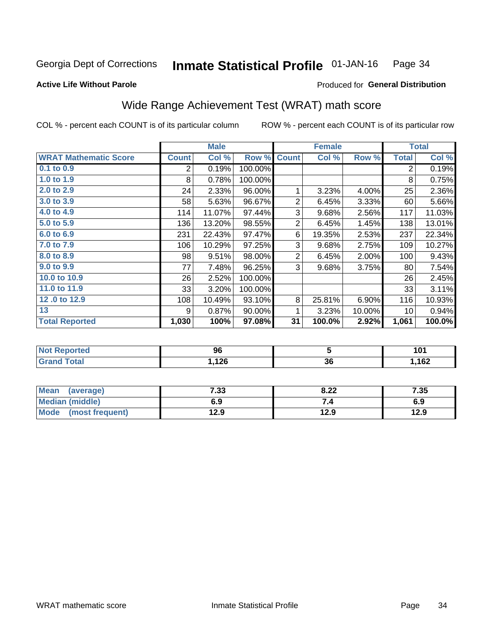#### Inmate Statistical Profile 01-JAN-16 Page 34

### **Active Life Without Parole**

### Produced for General Distribution

# Wide Range Achievement Test (WRAT) math score

COL % - percent each COUNT is of its particular column

|                              |              | <b>Male</b> |         |                | <b>Female</b> |        |              | <b>Total</b>               |
|------------------------------|--------------|-------------|---------|----------------|---------------|--------|--------------|----------------------------|
| <b>WRAT Mathematic Score</b> | <b>Count</b> | Col %       | Row %   | <b>Count</b>   | Col %         | Row %  | <b>Total</b> | $\overline{\text{Col }\%}$ |
| $0.1$ to $0.9$               | 2            | 0.19%       | 100.00% |                |               |        | 2            | 0.19%                      |
| 1.0 to 1.9                   | 8            | 0.78%       | 100.00% |                |               |        | 8            | 0.75%                      |
| 2.0 to 2.9                   | 24           | 2.33%       | 96.00%  | 1              | 3.23%         | 4.00%  | 25           | 2.36%                      |
| 3.0 to 3.9                   | 58           | 5.63%       | 96.67%  | $\overline{2}$ | 6.45%         | 3.33%  | 60           | 5.66%                      |
| 4.0 to 4.9                   | 114          | 11.07%      | 97.44%  | 3              | 9.68%         | 2.56%  | 117          | 11.03%                     |
| 5.0 to 5.9                   | 136          | 13.20%      | 98.55%  | $\overline{2}$ | 6.45%         | 1.45%  | 138          | 13.01%                     |
| 6.0 to 6.9                   | 231          | 22.43%      | 97.47%  | 6              | 19.35%        | 2.53%  | 237          | 22.34%                     |
| 7.0 to 7.9                   | 106          | 10.29%      | 97.25%  | 3              | 9.68%         | 2.75%  | 109          | 10.27%                     |
| 8.0 to 8.9                   | 98           | 9.51%       | 98.00%  | $\overline{2}$ | 6.45%         | 2.00%  | 100          | 9.43%                      |
| 9.0 to 9.9                   | 77           | 7.48%       | 96.25%  | 3              | 9.68%         | 3.75%  | 80           | 7.54%                      |
| 10.0 to 10.9                 | 26           | 2.52%       | 100.00% |                |               |        | 26           | 2.45%                      |
| 11.0 to 11.9                 | 33           | 3.20%       | 100.00% |                |               |        | 33           | 3.11%                      |
| 12.0 to 12.9                 | 108          | 10.49%      | 93.10%  | 8              | 25.81%        | 6.90%  | 116          | 10.93%                     |
| 13                           | 9            | 0.87%       | 90.00%  | 1              | 3.23%         | 10.00% | 10           | 0.94%                      |
| <b>Total Reported</b>        | 1,030        | 100%        | 97.08%  | 31             | 100.0%        | 2.92%  | 1,061        | 100.0%                     |
|                              |              |             |         |                |               |        |              |                            |

| <b>Not Reported</b>   | 96    |          | 101  |
|-----------------------|-------|----------|------|
| <b>Total</b><br>Grand | .126، | ^^<br>ათ | ,162 |

| Mean (average)         | 7.33 | 8.22 | 7.35 |
|------------------------|------|------|------|
| <b>Median (middle)</b> | 6.9  | 74   | 6.9  |
| Mode (most frequent)   | 12.9 | 12.9 | 12.9 |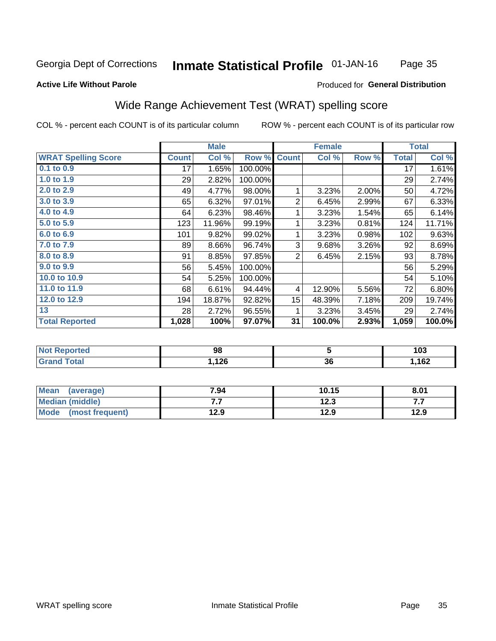#### **Inmate Statistical Profile 01-JAN-16** Page 35

#### **Active Life Without Parole**

### Produced for General Distribution

# Wide Range Achievement Test (WRAT) spelling score

COL % - percent each COUNT is of its particular column

|                                     |              | <b>Male</b> |         |                | <b>Female</b> |       |              | <b>Total</b>     |
|-------------------------------------|--------------|-------------|---------|----------------|---------------|-------|--------------|------------------|
| <b>WRAT Spelling Score</b>          | <b>Count</b> | Col %       | Row %   | <b>Count</b>   | Col %         | Row % | <b>Total</b> | Col %            |
| $0.1$ to $0.9$                      | 17           | 1.65%       | 100.00% |                |               |       | 17           | 1.61%            |
| 1.0 to 1.9                          | 29           | 2.82%       | 100.00% |                |               |       | 29           | 2.74%            |
| 2.0 to 2.9                          | 49           | 4.77%       | 98.00%  | 1              | 3.23%         | 2.00% | 50           | 4.72%            |
| 3.0 to 3.9                          | 65           | 6.32%       | 97.01%  | $\overline{2}$ | 6.45%         | 2.99% | 67           | 6.33%            |
| 4.0 to 4.9                          | 64           | 6.23%       | 98.46%  | 1              | 3.23%         | 1.54% | 65           | 6.14%            |
| 5.0 to 5.9                          | 123          | 11.96%      | 99.19%  | 1              | 3.23%         | 0.81% | 124          | 11.71%           |
| 6.0 to 6.9                          | 101          | 9.82%       | 99.02%  | 1              | 3.23%         | 0.98% | 102          | 9.63%            |
| 7.0 to 7.9                          | 89           | 8.66%       | 96.74%  | 3              | 9.68%         | 3.26% | 92           | 8.69%            |
| 8.0 to 8.9                          | 91           | 8.85%       | 97.85%  | $\overline{2}$ | 6.45%         | 2.15% | 93           | 8.78%            |
| 9.0 to 9.9                          | 56           | 5.45%       | 100.00% |                |               |       | 56           | 5.29%            |
| 10.0 to 10.9                        | 54           | 5.25%       | 100.00% |                |               |       | 54           | 5.10%            |
| 11.0 to 11.9                        | 68           | 6.61%       | 94.44%  | 4              | 12.90%        | 5.56% | 72           | 6.80%            |
| 12.0 to 12.9                        | 194          | 18.87%      | 92.82%  | 15             | 48.39%        | 7.18% | 209          | 19.74%           |
| 13                                  | 28           | 2.72%       | 96.55%  | 1              | 3.23%         | 3.45% | 29           | 2.74%            |
| <b>Total Reported</b>               | 1,028        | 100%        | 97.07%  | 31             | 100.0%        | 2.93% | 1,059        | 100.0%           |
| <b>All and Photographs and Call</b> |              | $\sim$      |         |                | -             |       |              | $\overline{100}$ |

| опео | 98            |    | .<br>l U.J |
|------|---------------|----|------------|
|      | ィクベ<br>, I ∠O | 36 | 400<br>V4  |

| <b>Mean</b><br>(average) | 7.94 | 10.15 | 8.01 |
|--------------------------|------|-------|------|
| Median (middle)          | .    | 12.3  |      |
| Mode<br>(most frequent)  | 12.9 | 12.9  | 12.9 |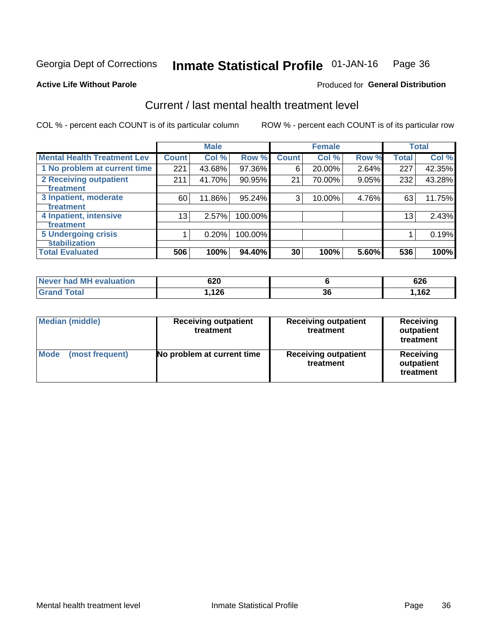#### Inmate Statistical Profile 01-JAN-16 Page 36

#### **Active Life Without Parole**

### **Produced for General Distribution**

# Current / last mental health treatment level

COL % - percent each COUNT is of its particular column

|                                    |              | <b>Male</b> |           |              | <b>Female</b> |       |                 | <b>Total</b> |
|------------------------------------|--------------|-------------|-----------|--------------|---------------|-------|-----------------|--------------|
| <b>Mental Health Treatment Lev</b> | <b>Count</b> | Col %       | Row %     | <b>Count</b> | Col %         | Row % | <b>Total</b>    | Col %        |
| 1 No problem at current time       | 221          | 43.68%      | 97.36%    | 6            | 20.00%        | 2.64% | 227             | 42.35%       |
| <b>2 Receiving outpatient</b>      | 211          | 41.70%      | 90.95%    | 21           | 70.00%        | 9.05% | 232             | 43.28%       |
| <b>Treatment</b>                   |              |             |           |              |               |       |                 |              |
| 3 Inpatient, moderate              | 60           | 11.86%      | $95.24\%$ | 3            | 10.00%        | 4.76% | 63              | 11.75%       |
| Treatment                          |              |             |           |              |               |       |                 |              |
| 4 Inpatient, intensive             | 13           | 2.57%       | 100.00%   |              |               |       | 13 <sub>1</sub> | 2.43%        |
| Treatment                          |              |             |           |              |               |       |                 |              |
| <b>5 Undergoing crisis</b>         |              | 0.20%       | 100.00%   |              |               |       |                 | 0.19%        |
| <b>stabilization</b>               |              |             |           |              |               |       |                 |              |
| <b>Total Evaluated</b>             | 506          | 100%        | 94.40%    | 30           | 100%          | 5.60% | 536             | 100%         |

| Never had MH<br>evaluation | 620         |           | υ∠υ |
|----------------------------|-------------|-----------|-----|
| <b>otal</b>                | 10C<br>14 Y | n r<br>კხ | 162 |

| <b>Median (middle)</b>  | <b>Receiving outpatient</b><br>treatment | <b>Receiving outpatient</b><br>treatment | <b>Receiving</b><br>outpatient<br>treatment |  |
|-------------------------|------------------------------------------|------------------------------------------|---------------------------------------------|--|
| Mode<br>(most frequent) | No problem at current time               | <b>Receiving outpatient</b><br>treatment | Receiving<br>outpatient<br>treatment        |  |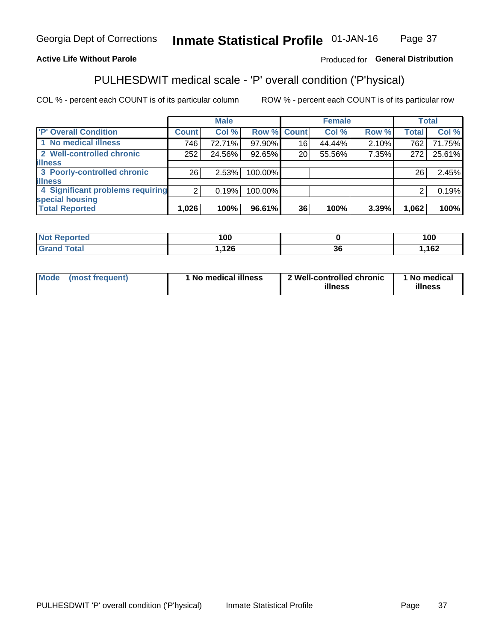#### **Inmate Statistical Profile 01-JAN-16** Page 37

### **Active Life Without Parole**

### Produced for General Distribution

# PULHESDWIT medical scale - 'P' overall condition ('P'hysical)

COL % - percent each COUNT is of its particular column

|                                  |                 | <b>Male</b> |             |    | <b>Female</b> |       |              | <b>Total</b> |
|----------------------------------|-----------------|-------------|-------------|----|---------------|-------|--------------|--------------|
| 'P' Overall Condition            | <b>Count</b>    | Col %       | Row % Count |    | Col %         | Row % | <b>Total</b> | Col %        |
| 1 No medical illness             | 746             | 72.71%      | 97.90%      | 16 | 44.44%        | 2.10% | 762          | 71.75%       |
| 2 Well-controlled chronic        | 252             | 24.56%      | 92.65%      | 20 | 55.56%        | 7.35% | 272          | 25.61%       |
| <b>illness</b>                   |                 |             |             |    |               |       |              |              |
| 3 Poorly-controlled chronic      | 26 <sub>1</sub> | 2.53%       | 100.00%     |    |               |       | 26           | 2.45%        |
| <b>illness</b>                   |                 |             |             |    |               |       |              |              |
| 4 Significant problems requiring | 2 <sub>1</sub>  | 0.19%       | 100.00%     |    |               |       | 2            | 0.19%        |
| special housing                  |                 |             |             |    |               |       |              |              |
| <b>Total Reported</b>            | 1,026           | 100%        | 96.61%      | 36 | 100%          | 3.39% | 1,062        | 100%         |

| 100            |        | 100 |
|----------------|--------|-----|
| $\overline{A}$ | $\sim$ | 100 |
| $\sim$         | JС     | ם ש |

| <b>Mode</b> | (most frequent) | 1 No medical illness | 2 Well-controlled chronic<br>illness | 1 No medical<br>illness |
|-------------|-----------------|----------------------|--------------------------------------|-------------------------|
|-------------|-----------------|----------------------|--------------------------------------|-------------------------|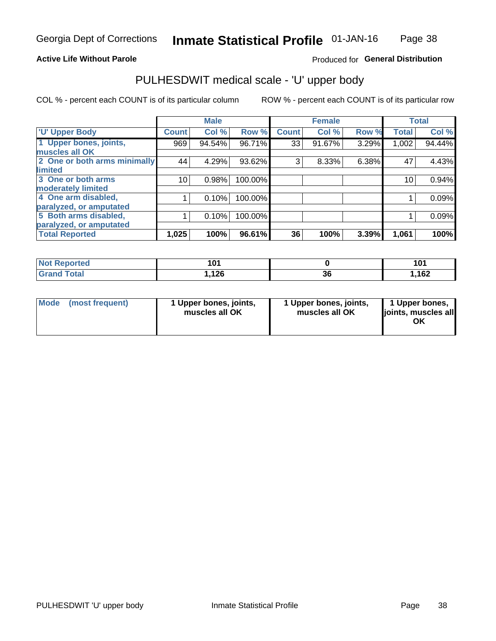### **Active Life Without Parole**

### Produced for General Distribution

# PULHESDWIT medical scale - 'U' upper body

COL % - percent each COUNT is of its particular column

|                              |              | <b>Male</b> |         |              | <b>Female</b> |       |              | <b>Total</b> |
|------------------------------|--------------|-------------|---------|--------------|---------------|-------|--------------|--------------|
| <b>U' Upper Body</b>         | <b>Count</b> | Col %       | Row %   | <b>Count</b> | Col %         | Row % | <b>Total</b> | Col %        |
| 1 Upper bones, joints,       | 969          | 94.54%      | 96.71%  | 33           | 91.67%        | 3.29% | 1,002        | 94.44%       |
| muscles all OK               |              |             |         |              |               |       |              |              |
| 2 One or both arms minimally | 44           | 4.29%       | 93.62%  | 3            | 8.33%         | 6.38% | 47           | 4.43%        |
| limited                      |              |             |         |              |               |       |              |              |
| 3 One or both arms           | 10           | 0.98%       | 100.00% |              |               |       | 10           | 0.94%        |
| <b>moderately limited</b>    |              |             |         |              |               |       |              |              |
| 4 One arm disabled,          |              | 0.10%       | 100.00% |              |               |       |              | 0.09%        |
| paralyzed, or amputated      |              |             |         |              |               |       |              |              |
| 5 Both arms disabled,        |              | 0.10%       | 100.00% |              |               |       |              | 0.09%        |
| paralyzed, or amputated      |              |             |         |              |               |       |              |              |
| <b>Total Reported</b>        | 1,025        | 100%        | 96.61%  | 36           | 100%          | 3.39% | 1,061        | 100%         |

| <b>Not Reported</b>                   | 1 N 1<br>ו ש |          |              |
|---------------------------------------|--------------|----------|--------------|
| <b>Total</b><br><b>Grand</b><br>Grand | 12c<br>0∡ا,. | ^^<br>ახ | 100<br>ـ⊿סו. |

| Mode (most frequent) | 1 Upper bones, joints,<br>muscles all OK | 1 Upper bones, joints,<br>muscles all OK | 1 Upper bones,<br>joints, muscles all<br>ΟK |
|----------------------|------------------------------------------|------------------------------------------|---------------------------------------------|
|----------------------|------------------------------------------|------------------------------------------|---------------------------------------------|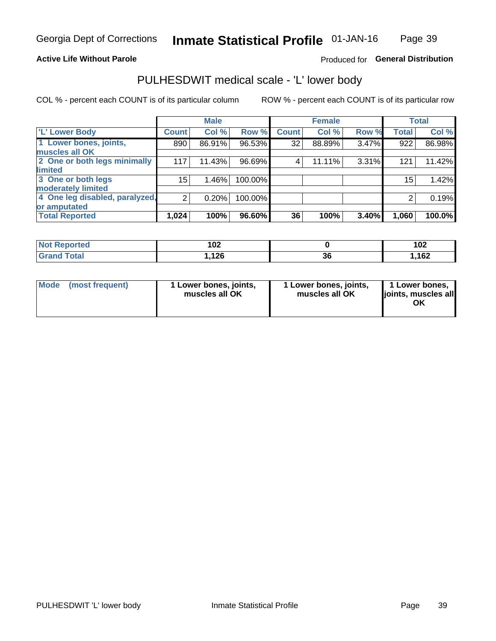### **Active Life Without Parole**

### Produced for General Distribution

# PULHESDWIT medical scale - 'L' lower body

COL % - percent each COUNT is of its particular column

|                                     | <b>Male</b> |              | <b>Female</b>                                             |       |                         | <b>Total</b> |
|-------------------------------------|-------------|--------------|-----------------------------------------------------------|-------|-------------------------|--------------|
| <b>Count</b>                        | Col %       | <b>Count</b> | Col %                                                     |       | <b>Total</b>            | Col %        |
| 890                                 | 86.91%      | 32           | 88.89%                                                    |       | 922                     | 86.98%       |
|                                     |             |              |                                                           |       |                         |              |
| 2 One or both legs minimally<br>117 | 11.43%      | 4            | 11.11%                                                    |       | 121                     | 11.42%       |
|                                     |             |              |                                                           |       |                         |              |
| 15                                  | 1.46%       |              |                                                           |       | 15                      | 1.42%        |
|                                     |             |              |                                                           |       |                         |              |
| 4 One leg disabled, paralyzed,<br>2 | 0.20%       |              |                                                           |       | 2                       | 0.19%        |
|                                     |             |              |                                                           |       |                         |              |
| 1,024                               | 100%        | 36           | 100%                                                      | 3.40% | 1,060                   | 100.0%       |
|                                     |             |              | Row %<br>96.53%<br>96.69%<br>100.00%<br>100.00%<br>96.60% |       | Row %<br>3.47%<br>3.31% |              |

| <b>Not Reported</b> | 102  |          | 102  |
|---------------------|------|----------|------|
| <b>Grand Total</b>  | ,126 | ~~<br>ად | ,162 |

| Mode | (most frequent) | 1 Lower bones, joints,<br>muscles all OK | 1 Lower bones, joints,<br>muscles all OK | 1 Lower bones,<br>ljoints, muscles all<br>ΟK |
|------|-----------------|------------------------------------------|------------------------------------------|----------------------------------------------|
|------|-----------------|------------------------------------------|------------------------------------------|----------------------------------------------|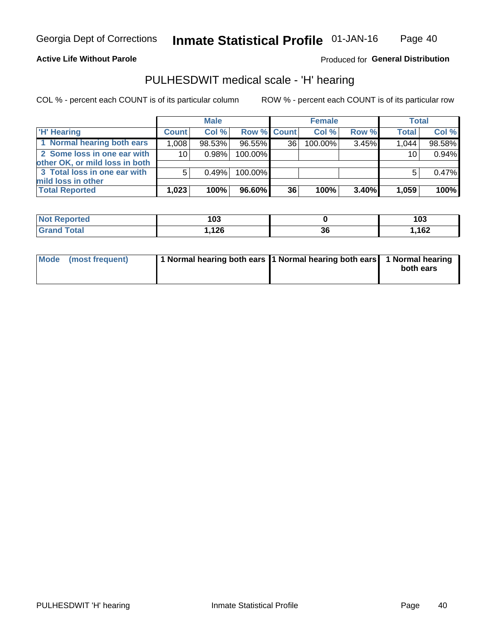### **Active Life Without Parole**

### Produced for General Distribution

# PULHESDWIT medical scale - 'H' hearing

COL % - percent each COUNT is of its particular column

|                                                               |                 | <b>Male</b> |             |    | <b>Female</b> |       | <b>Total</b>    |        |
|---------------------------------------------------------------|-----------------|-------------|-------------|----|---------------|-------|-----------------|--------|
| <b>H'</b> Hearing                                             | <b>Count</b>    | Col %       | Row % Count |    | Col%          | Row % | <b>Total</b>    | Col %  |
| 1 Normal hearing both ears                                    | 1,008           | 98.53%      | 96.55%      | 36 | 100.00%       | 3.45% | 1,044           | 98.58% |
| 2 Some loss in one ear with<br>other OK, or mild loss in both | 10 <sup>1</sup> | 0.98%       | 100.00%     |    |               |       | 10 <sub>1</sub> | 0.94%  |
| 3 Total loss in one ear with<br>mild loss in other            | 5               | 0.49%       | 100.00%     |    |               |       | 5               | 0.47%  |
| <b>Total Reported</b>                                         | 1,023           | 100%        | 96.60%      | 36 | 100%          | 3.40% | 1,059           | 100%   |

| <b>Not</b><br>Reported | 103        |    | 103  |
|------------------------|------------|----|------|
| <b>Total</b>           | ィった<br>59. | 36 | 162, |

| Mode (most frequent) | 1 Normal hearing both ears 1 Normal hearing both ears 1 Normal hearing | both ears |
|----------------------|------------------------------------------------------------------------|-----------|
|----------------------|------------------------------------------------------------------------|-----------|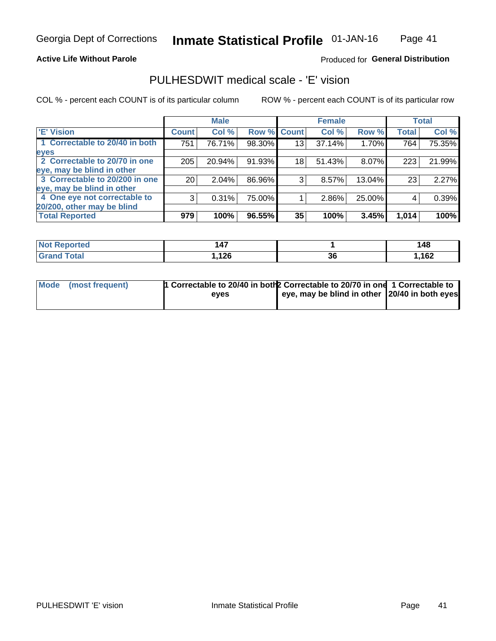#### **Active Life Without Parole**

### Produced for General Distribution

# PULHESDWIT medical scale - 'E' vision

COL % - percent each COUNT is of its particular column

|                                |              | <b>Male</b> |             |    | <b>Female</b> |        |              | <b>Total</b> |
|--------------------------------|--------------|-------------|-------------|----|---------------|--------|--------------|--------------|
| <b>E' Vision</b>               | <b>Count</b> | Col %       | Row % Count |    | Col %         | Row %  | <b>Total</b> | Col %        |
| 1 Correctable to 20/40 in both | 751          | 76.71%      | 98.30%      | 13 | 37.14%        | 1.70%  | 764          | 75.35%       |
| eyes                           |              |             |             |    |               |        |              |              |
| 2 Correctable to 20/70 in one  | 205          | 20.94%      | 91.93%      | 18 | 51.43%        | 8.07%  | 223          | 21.99%       |
| eye, may be blind in other     |              |             |             |    |               |        |              |              |
| 3 Correctable to 20/200 in one | 20           | 2.04%       | 86.96%      | 3  | 8.57%         | 13.04% | 23           | 2.27%        |
| eye, may be blind in other     |              |             |             |    |               |        |              |              |
| 4 One eye not correctable to   | 3            | 0.31%       | 75.00%      |    | 2.86%         | 25.00% | 4            | 0.39%        |
| 20/200, other may be blind     |              |             |             |    |               |        |              |              |
| <b>Total Reported</b>          | 979          | 100%        | 96.55%      | 35 | 100%          | 3.45%  | 1,014        | 100%         |

| <b>Not Reported</b> | $\overline{A7}$ |           | 148 |
|---------------------|-----------------|-----------|-----|
| Total               | 126.،           | ^^<br>.st | 162 |

| Mode (most frequent) | 1 Correctable to 20/40 in both 2 Correctable to 20/70 in one 1 Correctable to<br>eves | eye, may be blind in other 20/40 in both eyes |  |
|----------------------|---------------------------------------------------------------------------------------|-----------------------------------------------|--|
|                      |                                                                                       |                                               |  |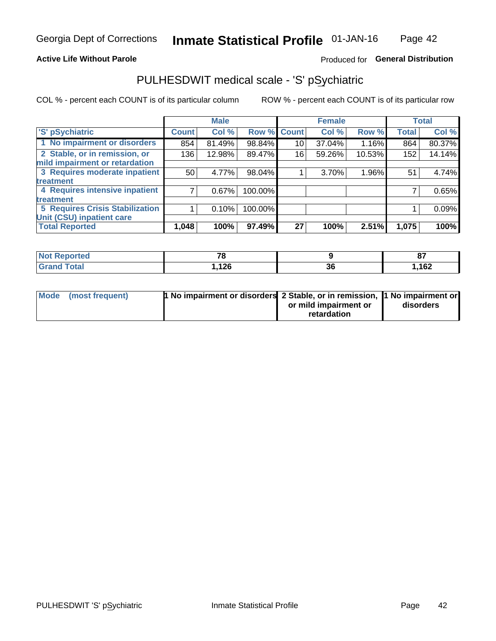### **Active Life Without Parole**

### Produced for General Distribution

# PULHESDWIT medical scale - 'S' pSychiatric

COL % - percent each COUNT is of its particular column

|                                        |              | <b>Male</b> |             |    | <b>Female</b> |        |              | <b>Total</b> |
|----------------------------------------|--------------|-------------|-------------|----|---------------|--------|--------------|--------------|
| 'S' pSychiatric                        | <b>Count</b> | Col %       | Row % Count |    | Col %         | Row %  | <b>Total</b> | Col %        |
| 1 No impairment or disorders           | 854          | 81.49%      | 98.84%      | 10 | 37.04%        | 1.16%  | 864          | 80.37%       |
| 2 Stable, or in remission, or          | 136          | 12.98%      | 89.47%      | 16 | 59.26%        | 10.53% | 152          | 14.14%       |
| mild impairment or retardation         |              |             |             |    |               |        |              |              |
| 3 Requires moderate inpatient          | 50           | 4.77%       | 98.04%      |    | 3.70%         | 1.96%  | 51           | 4.74%        |
| treatment                              |              |             |             |    |               |        |              |              |
| 4 Requires intensive inpatient         |              | 0.67%       | 100.00%     |    |               |        |              | 0.65%        |
| treatment                              |              |             |             |    |               |        |              |              |
| <b>5 Requires Crisis Stabilization</b> |              | 0.10%       | 100.00%     |    |               |        |              | 0.09%        |
| Unit (CSU) inpatient care              |              |             |             |    |               |        |              |              |
| <b>Total Reported</b>                  | 1,048        | 100%        | 97.49%      | 27 | 100%          | 2.51%  | 1,075        | 100%         |

| <b>Not Reported</b>           | $\mathbf{z}$ |          | ~-<br>o, |
|-------------------------------|--------------|----------|----------|
| <b>Total</b><br><b>'Grand</b> | ,126         | ^^<br>ათ | ,162     |

| Mode (most frequent) | <b>1 No impairment or disorders 2 Stable, or in remission, 1 No impairment or</b> |                       |           |
|----------------------|-----------------------------------------------------------------------------------|-----------------------|-----------|
|                      |                                                                                   | or mild impairment or | disorders |
|                      |                                                                                   | retardation           |           |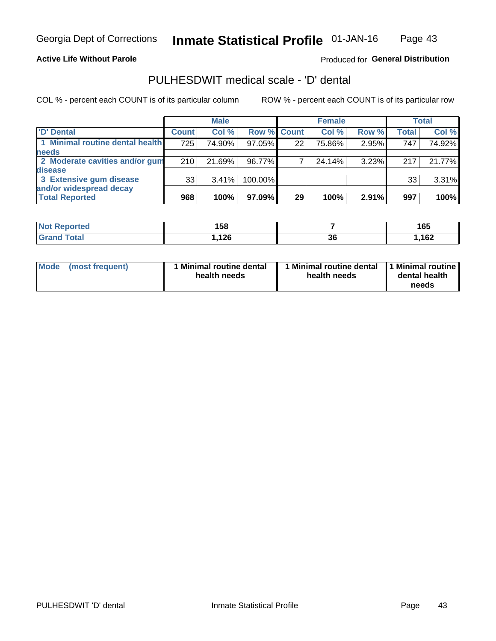### **Active Life Without Parole**

### Produced for General Distribution

# PULHESDWIT medical scale - 'D' dental

COL % - percent each COUNT is of its particular column

|                                 |              | <b>Male</b> |             |    | <b>Female</b> |       |              | Total  |
|---------------------------------|--------------|-------------|-------------|----|---------------|-------|--------------|--------|
| <b>D'</b> Dental                | <b>Count</b> | Col %       | Row % Count |    | Col %         | Row % | <b>Total</b> | Col %  |
| 1 Minimal routine dental health | 725          | 74.90%      | 97.05%      | 22 | 75.86%        | 2.95% | 747          | 74.92% |
| <b>needs</b>                    |              |             |             |    |               |       |              |        |
| 2 Moderate cavities and/or gum  | 210          | 21.69%      | 96.77%      |    | 24.14%        | 3.23% | 217          | 21.77% |
| <b>disease</b>                  |              |             |             |    |               |       |              |        |
| 3 Extensive gum disease         | 33           | 3.41%       | 100.00%     |    |               |       | 33           | 3.31%  |
| and/or widespread decay         |              |             |             |    |               |       |              |        |
| <b>Total Reported</b>           | 968          | 100%        | 97.09%      | 29 | 100%          | 2.91% | 997          | 100%   |

| prtea<br><b>NOT</b> | 158          |          | <b>16F</b><br>ט ו |
|---------------------|--------------|----------|-------------------|
| <b>Total</b>        | ィクピ<br>, IZU | n,<br>კე | 1,162             |

| <b>Mode</b>     | Minimal routine dental | 1 Minimal routine dental 1 Minimal routine | dental health |
|-----------------|------------------------|--------------------------------------------|---------------|
| (most frequent) | health needs           | health needs                               | needs         |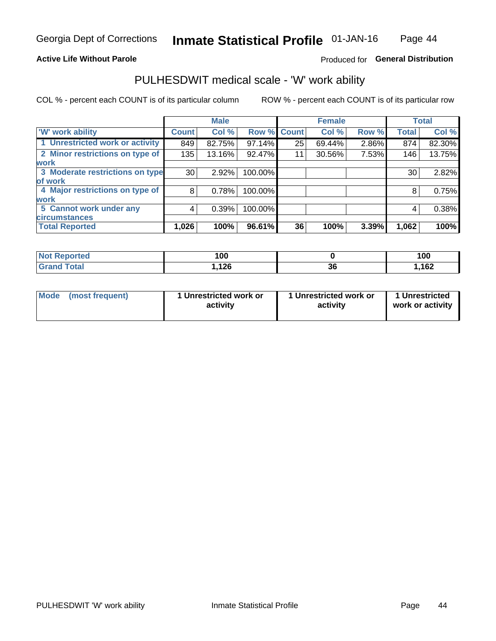### **Active Life Without Parole**

### Produced for General Distribution

# PULHESDWIT medical scale - 'W' work ability

COL % - percent each COUNT is of its particular column

|                                 |              | <b>Male</b> |         |             | <b>Female</b> |       |              | <b>Total</b> |
|---------------------------------|--------------|-------------|---------|-------------|---------------|-------|--------------|--------------|
| <b>W' work ability</b>          | <b>Count</b> | Col %       |         | Row % Count | Col %         | Row % | <b>Total</b> | Col %        |
| 1 Unrestricted work or activity | 849          | 82.75%      | 97.14%  | 25          | 69.44%        | 2.86% | 874          | 82.30%       |
| 2 Minor restrictions on type of | 135          | 13.16%      | 92.47%  | 11          | 30.56%        | 7.53% | 146          | 13.75%       |
| <b>work</b>                     |              |             |         |             |               |       |              |              |
| 3 Moderate restrictions on type | 30           | 2.92%       | 100.00% |             |               |       | 30           | 2.82%        |
| lof work                        |              |             |         |             |               |       |              |              |
| 4 Major restrictions on type of | 8            | 0.78%       | 100.00% |             |               |       | 8            | 0.75%        |
| <b>work</b>                     |              |             |         |             |               |       |              |              |
| 5 Cannot work under any         | 4            | 0.39%       | 100.00% |             |               |       | 4            | 0.38%        |
| <b>circumstances</b>            |              |             |         |             |               |       |              |              |
| <b>Total Reported</b>           | 1,026        | 100%        | 96.61%  | 36          | 100%          | 3.39% | 1,062        | 100%         |

| <b>Reported</b><br><b>Not</b> | 1 N N<br>טע ו |          | 100  |
|-------------------------------|---------------|----------|------|
| <b>Total</b>                  | 10C           | 96<br>ად | ,162 |

| <b>Mode</b> | (most frequent) | 1 Unrestricted work or<br>activity | 1 Unrestricted work or<br>activity | 1 Unrestricted<br>work or activity |
|-------------|-----------------|------------------------------------|------------------------------------|------------------------------------|
|-------------|-----------------|------------------------------------|------------------------------------|------------------------------------|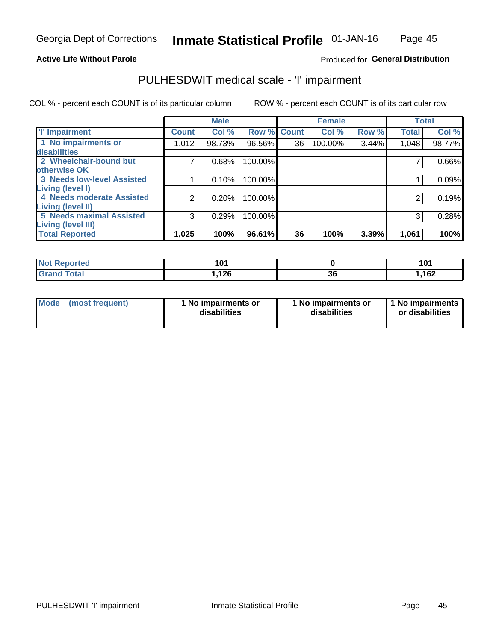#### **Active Life Without Parole**

### Produced for General Distribution

# PULHESDWIT medical scale - 'I' impairment

|                                                              |              | <b>Male</b> |             |    | <b>Female</b> |       |              | <b>Total</b> |
|--------------------------------------------------------------|--------------|-------------|-------------|----|---------------|-------|--------------|--------------|
| <b>T' Impairment</b>                                         | <b>Count</b> | Col %       | Row % Count |    | Col %         | Row % | <b>Total</b> | Col %        |
| 1 No impairments or                                          | 1,012        | 98.73%      | 96.56%      | 36 | 100.00%       | 3.44% | 1,048        | 98.77%       |
| disabilities<br>2 Wheelchair-bound but<br>otherwise OK       |              | 0.68%       | 100.00%     |    |               |       |              | 0.66%        |
| <b>3 Needs low-level Assisted</b><br>Living (level I)        |              | 0.10%       | 100.00%     |    |               |       |              | 0.09%        |
| 4 Needs moderate Assisted<br>Living (level II)               |              | 0.20%       | 100.00%     |    |               |       |              | 0.19%        |
| <b>5 Needs maximal Assisted</b><br><b>Living (level III)</b> | 3            | 0.29%       | 100.00%     |    |               |       | 3            | 0.28%        |
| <b>Total Reported</b>                                        | 1,025        | 100%        | 96.61%      | 36 | 100%          | 3.39% | 1,061        | 100%         |

| eported     | 4 N 4<br>. ש |          | 101  |
|-------------|--------------|----------|------|
| <b>otal</b> | ,126         | ^^<br>კხ | ,162 |

| Mode | (most frequent) | 1 No impairments or<br>disabilities | 1 No impairments or<br>disabilities | 1 No impairments<br>or disabilities |
|------|-----------------|-------------------------------------|-------------------------------------|-------------------------------------|
|------|-----------------|-------------------------------------|-------------------------------------|-------------------------------------|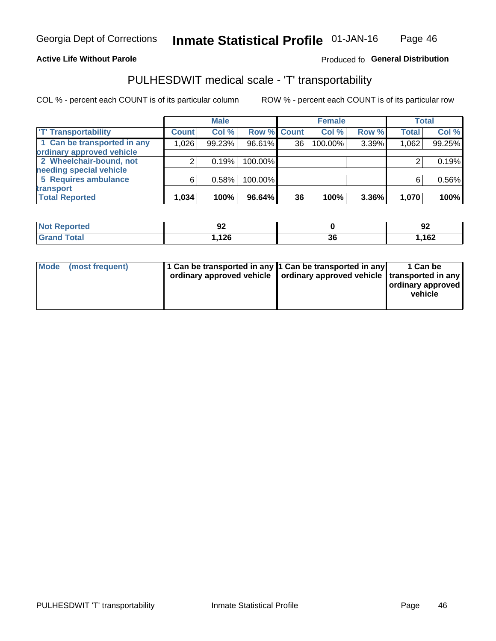#### **Active Life Without Parole**

### Produced fo General Distribution

# PULHESDWIT medical scale - 'T' transportability

COL % - percent each COUNT is of its particular column

|                             |              | <b>Male</b> |             |    | <b>Female</b> |       |              | <b>Total</b> |
|-----------------------------|--------------|-------------|-------------|----|---------------|-------|--------------|--------------|
| <b>TT Transportability</b>  | <b>Count</b> | Col %       | Row % Count |    | Col %         | Row % | <b>Total</b> | Col %        |
| 1 Can be transported in any | 1,026        | 99.23%      | 96.61%      | 36 | 100.00%       | 3.39% | 1,062        | 99.25%       |
| ordinary approved vehicle   |              |             |             |    |               |       |              |              |
| 2 Wheelchair-bound, not     |              | 0.19%       | 100.00%     |    |               |       |              | 0.19%        |
| needing special vehicle     |              |             |             |    |               |       |              |              |
| 5 Requires ambulance        | ี            | 0.58%       | 100.00%     |    |               |       |              | 0.56%        |
| transport                   |              |             |             |    |               |       |              |              |
| <b>Total Reported</b>       | 1,034        | 100%        | 96.64%      | 36 | 100%          | 3.36% | 1,070        | 100%         |

| NI (<br>oorted | n,<br>JŁ<br>$\sim$ |    | ΩC<br>94 |
|----------------|--------------------|----|----------|
|                | 126, ا             | ად | ,162     |

| Mode (most frequent) | 1 Can be transported in any 1 Can be transported in any | ordinary approved vehicle   ordinary approved vehicle   transported in any | 1 Can be<br>ordinary approved<br>vehicle |
|----------------------|---------------------------------------------------------|----------------------------------------------------------------------------|------------------------------------------|
|                      |                                                         |                                                                            |                                          |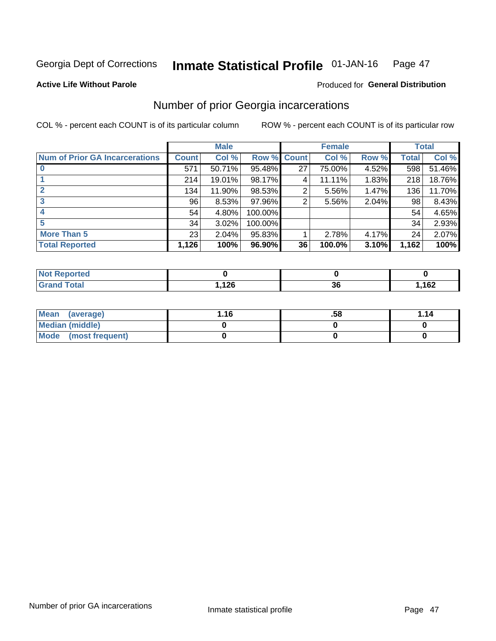#### Inmate Statistical Profile 01-JAN-16 Page 47

**Active Life Without Parole** 

### **Produced for General Distribution**

# Number of prior Georgia incarcerations

COL % - percent each COUNT is of its particular column

|                                       |              | <b>Male</b> |                    |    | <b>Female</b> |       |       | <b>Total</b> |
|---------------------------------------|--------------|-------------|--------------------|----|---------------|-------|-------|--------------|
| <b>Num of Prior GA Incarcerations</b> | <b>Count</b> | Col %       | <b>Row % Count</b> |    | Col %         | Row % | Total | Col %        |
|                                       | 571          | 50.71%      | 95.48%             | 27 | 75.00%        | 4.52% | 598   | 51.46%       |
|                                       | 214          | 19.01%      | 98.17%             | 4  | 11.11%        | 1.83% | 218   | 18.76%       |
|                                       | 134          | 11.90%      | 98.53%             | 2  | 5.56%         | 1.47% | 136   | 11.70%       |
| 3                                     | 96           | 8.53%       | 97.96%             | 2  | 5.56%         | 2.04% | 98    | 8.43%        |
| 4                                     | 54           | 4.80%       | 100.00%            |    |               |       | 54    | 4.65%        |
| 5                                     | 34           | 3.02%       | 100.00%            |    |               |       | 34    | 2.93%        |
| <b>More Than 5</b>                    | 23           | 2.04%       | 95.83%             |    | 2.78%         | 4.17% | 24    | 2.07%        |
| <b>Total Reported</b>                 | 1,126        | 100%        | 96.90%             | 36 | 100.0%        | 3.10% | 1,162 | 100%         |

| orted<br><b>NI</b> |       |                      |      |
|--------------------|-------|----------------------|------|
| <b>Total</b>       | מר ו  | $\ddot{\phantom{0}}$ | ,162 |
| $\mathbf{v}$ and   | 7,120 | 36                   |      |

| Mean (average)         | 1.16 | .58 | 1.14 |
|------------------------|------|-----|------|
| <b>Median (middle)</b> |      |     |      |
| Mode (most frequent)   |      |     |      |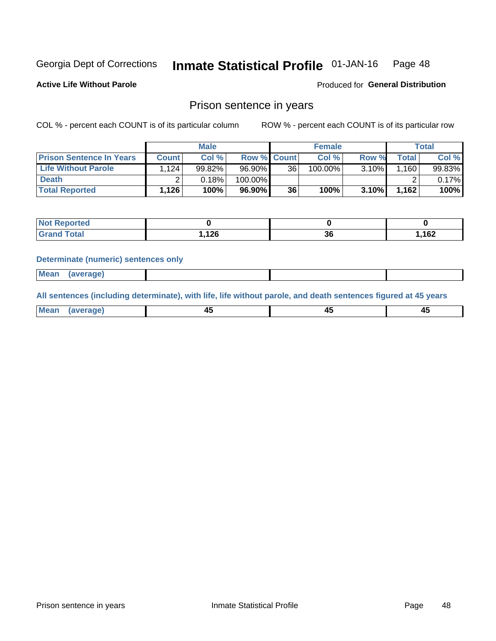#### Inmate Statistical Profile 01-JAN-16 Page 48

**Active Life Without Parole** 

Produced for General Distribution

### Prison sentence in years

COL % - percent each COUNT is of its particular column

ROW % - percent each COUNT is of its particular row

|                                 |              | <b>Male</b> |                    |    | <b>Female</b> |       |              | Total     |
|---------------------------------|--------------|-------------|--------------------|----|---------------|-------|--------------|-----------|
| <b>Prison Sentence In Years</b> | <b>Count</b> | Col %       | <b>Row % Count</b> |    | Col %         | Row % | <b>Total</b> | Col %     |
| <b>Life Without Parole</b>      | 124. ا       | 99.82%      | 96.90%             | 36 | 100.00%       | 3.10% | 1,160        | $99.83\%$ |
| <b>Death</b>                    |              | 0.18%       | 100.00%            |    |               |       |              | $0.17\%$  |
| <b>Total Reported</b>           | 1,126        | 100%        | $96.90\%$          | 36 | 100%          | 3.10% | 1,162        | 100%      |

| ported<br><b>NOT</b> |               |              |        |
|----------------------|---------------|--------------|--------|
| <b>Total</b>         | 12C<br>. I 20 | $\sim$<br>ათ | 162, ا |

#### **Determinate (numeric) sentences only**

| ' Mea<br><b>Service</b> A<br>ЯМА. |  |  |  |
|-----------------------------------|--|--|--|
|                                   |  |  |  |

All sentences (including determinate), with life, life without parole, and death sentences figured at 45 years

| Me: |  |  |  |
|-----|--|--|--|
|     |  |  |  |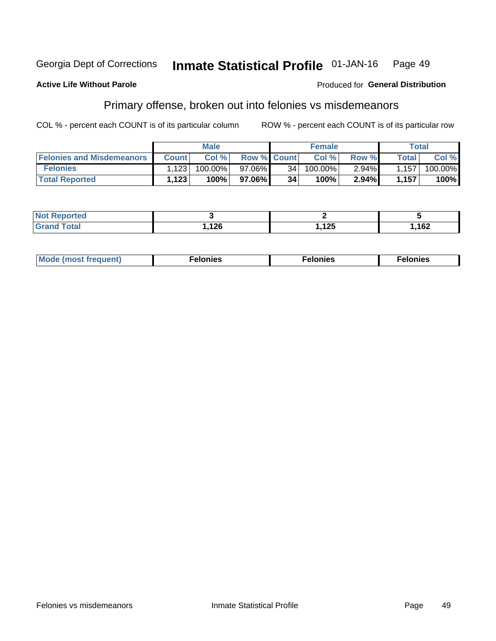#### **Georgia Dept of Corrections** Inmate Statistical Profile 01-JAN-16 Page 49

#### **Active Life Without Parole**

### Produced for General Distribution

# Primary offense, broken out into felonies vs misdemeanors

COL % - percent each COUNT is of its particular column

|                                  |              | <b>Male</b> |                    |                 | <b>Female</b> |          |         | Total   |
|----------------------------------|--------------|-------------|--------------------|-----------------|---------------|----------|---------|---------|
| <b>Felonies and Misdemeanors</b> | <b>Count</b> | Col %       | <b>Row % Count</b> |                 | Col%          | Row %    | Total i | Col %   |
| <b>Felonies</b>                  | .123         | $100.00\%$  | 97.06%             | 34 <sup>1</sup> | $100.00\%$    | $2.94\%$ | 1,157   | 100.00% |
| <b>Total Reported</b>            | .123         | $100\%$     | 97.06%)            | 34              | 100%          | $2.94\%$ | 1,157   | 100%    |

| <b>Not Reported</b> |              |              |       |
|---------------------|--------------|--------------|-------|
| <b>Grand Total</b>  | 12C<br>. ובט | イクベ<br>, 12J | 1,162 |

| $Mc$<br>equent)<br>нез<br>$\sim$<br>. | onies<br>. | <b>onies</b><br>. |
|---------------------------------------|------------|-------------------|
|---------------------------------------|------------|-------------------|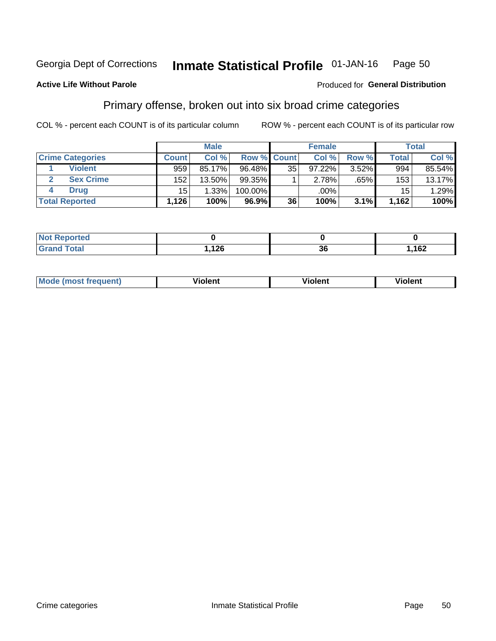#### Inmate Statistical Profile 01-JAN-16 Page 50

### **Active Life Without Parole**

### Produced for General Distribution

# Primary offense, broken out into six broad crime categories

COL % - percent each COUNT is of its particular column

|                         |              | <b>Male</b> |             |    | <b>Female</b> |       |                 | Total  |
|-------------------------|--------------|-------------|-------------|----|---------------|-------|-----------------|--------|
| <b>Crime Categories</b> | <b>Count</b> | Col%        | Row % Count |    | Col %         | Row % | <b>Total</b>    | Col %  |
| <b>Violent</b>          | 959          | 85.17%      | 96.48%      | 35 | 97.22%        | 3.52% | 994             | 85.54% |
| <b>Sex Crime</b>        | 152          | $13.50\%$   | $99.35\%$   |    | 2.78%         | .65%  | 153             | 13.17% |
| <b>Drug</b>             | 15           | 1.33%       | 100.00%     |    | .00%          |       | 15 <sup>1</sup> | 1.29%  |
| <b>Total Reported</b>   | .126         | 100%        | $96.9\%$    | 36 | 100%          | 3.1%  | 1.162           | 100%   |

| _____ | ィった<br>$\sim$ | 20<br>ುಒ | 162 |
|-------|---------------|----------|-----|

| <b>Mode (most frequent)</b> | .             |         | .     |
|-----------------------------|---------------|---------|-------|
|                             | <b>ïolent</b> | ∕iolent | ∍lent |
|                             |               |         |       |
|                             |               |         |       |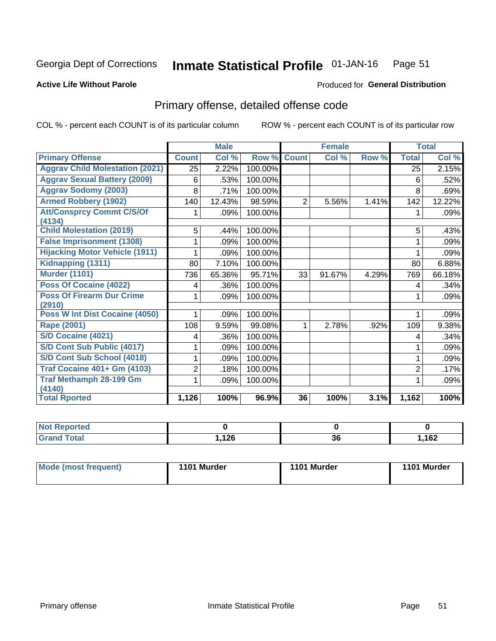#### Inmate Statistical Profile 01-JAN-16 Page 51

#### **Active Life Without Parole**

#### Produced for General Distribution

# Primary offense, detailed offense code

COL % - percent each COUNT is of its particular column

|                                            |                 | <b>Male</b> |         |                | <b>Female</b> |       | <b>Total</b>    |         |
|--------------------------------------------|-----------------|-------------|---------|----------------|---------------|-------|-----------------|---------|
| <b>Primary Offense</b>                     | <b>Count</b>    | Col %       | Row %   | <b>Count</b>   | Col %         | Row % | <b>Total</b>    | Col %   |
| <b>Aggrav Child Molestation (2021)</b>     | $\overline{25}$ | 2.22%       | 100.00% |                |               |       | $\overline{25}$ | 2.15%   |
| <b>Aggrav Sexual Battery (2009)</b>        | 6               | .53%        | 100.00% |                |               |       | 6               | .52%    |
| <b>Aggrav Sodomy (2003)</b>                | 8               | .71%        | 100.00% |                |               |       | 8               | .69%    |
| <b>Armed Robbery (1902)</b>                | 140             | 12.43%      | 98.59%  | $\overline{2}$ | 5.56%         | 1.41% | 142             | 12.22%  |
| <b>Att/Consprcy Commt C/S/Of</b><br>(4134) |                 | .09%        | 100.00% |                |               |       | 1               | $.09\%$ |
| <b>Child Molestation (2019)</b>            | 5               | .44%        | 100.00% |                |               |       | 5               | .43%    |
| <b>False Imprisonment (1308)</b>           |                 | .09%        | 100.00% |                |               |       |                 | .09%    |
| <b>Hijacking Motor Vehicle (1911)</b>      |                 | .09%        | 100.00% |                |               |       |                 | .09%    |
| Kidnapping (1311)                          | 80              | 7.10%       | 100.00% |                |               |       | 80              | 6.88%   |
| <b>Murder (1101)</b>                       | 736             | 65.36%      | 95.71%  | 33             | 91.67%        | 4.29% | 769             | 66.18%  |
| <b>Poss Of Cocaine (4022)</b>              | 4               | .36%        | 100.00% |                |               |       | 4               | .34%    |
| <b>Poss Of Firearm Dur Crime</b><br>(2910) | 1               | .09%        | 100.00% |                |               |       | 1               | .09%    |
| Poss W Int Dist Cocaine (4050)             |                 | .09%        | 100.00% |                |               |       |                 | .09%    |
| Rape (2001)                                | 108             | 9.59%       | 99.08%  | 1              | 2.78%         | .92%  | 109             | 9.38%   |
| <b>S/D Cocaine (4021)</b>                  | 4               | .36%        | 100.00% |                |               |       | 4               | .34%    |
| S/D Cont Sub Public (4017)                 |                 | .09%        | 100.00% |                |               |       | 1               | $.09\%$ |
| S/D Cont Sub School (4018)                 |                 | .09%        | 100.00% |                |               |       |                 | .09%    |
| <b>Traf Cocaine 401+ Gm (4103)</b>         | 2               | .18%        | 100.00% |                |               |       | $\overline{2}$  | .17%    |
| <b>Traf Methamph 28-199 Gm</b><br>(4140)   |                 | .09%        | 100.00% |                |               |       |                 | .09%    |
| <b>Total Rported</b>                       | 1,126           | 100%        | 96.9%   | 36             | 100%          | 3.1%  | 1,162           | 100%    |

| 10C    | ^^ | 162 |
|--------|----|-----|
| $\sim$ | JС | 10Z |

| 1101 Murder<br>Mode (most frequent)<br>1101 Murder | 1101 Murder |
|----------------------------------------------------|-------------|
|----------------------------------------------------|-------------|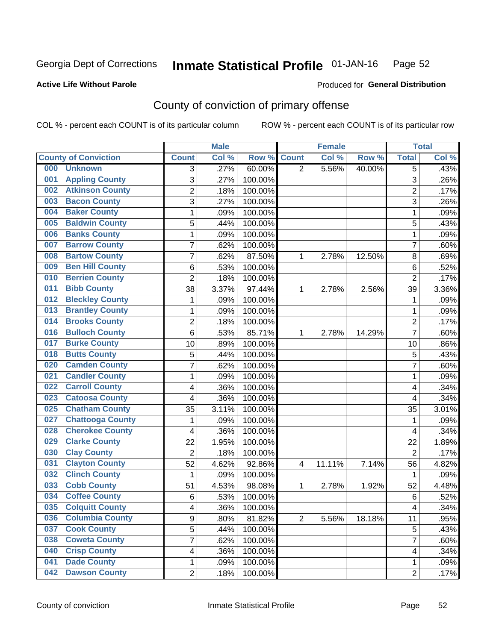#### Inmate Statistical Profile 01-JAN-16 Page 52

**Active Life Without Parole** 

Produced for General Distribution

# County of conviction of primary offense

COL % - percent each COUNT is of its particular column

|                                |                | <b>Male</b> |         |                | <b>Female</b> |        |                | <b>Total</b> |
|--------------------------------|----------------|-------------|---------|----------------|---------------|--------|----------------|--------------|
| <b>County of Conviction</b>    | <b>Count</b>   | Col %       | Row %   | <b>Count</b>   | Col %         | Row %  | <b>Total</b>   | Col %        |
| 000<br><b>Unknown</b>          | 3              | .27%        | 60.00%  | $\overline{2}$ | 5.56%         | 40.00% | 5              | .43%         |
| <b>Appling County</b><br>001   | 3              | .27%        | 100.00% |                |               |        | 3              | .26%         |
| <b>Atkinson County</b><br>002  | $\overline{2}$ | .18%        | 100.00% |                |               |        | $\overline{2}$ | .17%         |
| <b>Bacon County</b><br>003     | $\overline{3}$ | .27%        | 100.00% |                |               |        | $\overline{3}$ | .26%         |
| <b>Baker County</b><br>004     | 1              | .09%        | 100.00% |                |               |        | 1              | .09%         |
| <b>Baldwin County</b><br>005   | 5              | .44%        | 100.00% |                |               |        | 5              | .43%         |
| <b>Banks County</b><br>006     | 1              | .09%        | 100.00% |                |               |        | 1              | .09%         |
| <b>Barrow County</b><br>007    | 7              | .62%        | 100.00% |                |               |        | $\overline{7}$ | .60%         |
| <b>Bartow County</b><br>008    | 7              | .62%        | 87.50%  | 1              | 2.78%         | 12.50% | 8              | .69%         |
| <b>Ben Hill County</b><br>009  | 6              | .53%        | 100.00% |                |               |        | 6              | .52%         |
| <b>Berrien County</b><br>010   | $\overline{2}$ | .18%        | 100.00% |                |               |        | $\overline{2}$ | .17%         |
| <b>Bibb County</b><br>011      | 38             | 3.37%       | 97.44%  | 1              | 2.78%         | 2.56%  | 39             | 3.36%        |
| <b>Bleckley County</b><br>012  | 1              | .09%        | 100.00% |                |               |        | 1              | .09%         |
| <b>Brantley County</b><br>013  | 1              | .09%        | 100.00% |                |               |        | 1              | .09%         |
| <b>Brooks County</b><br>014    | $\overline{2}$ | .18%        | 100.00% |                |               |        | $\overline{2}$ | .17%         |
| <b>Bulloch County</b><br>016   | 6              | .53%        | 85.71%  | 1              | 2.78%         | 14.29% | $\overline{7}$ | .60%         |
| <b>Burke County</b><br>017     | 10             | .89%        | 100.00% |                |               |        | 10             | .86%         |
| <b>Butts County</b><br>018     | 5              | .44%        | 100.00% |                |               |        | 5              | .43%         |
| <b>Camden County</b><br>020    | $\overline{7}$ | .62%        | 100.00% |                |               |        | $\overline{7}$ | .60%         |
| <b>Candler County</b><br>021   | 1              | .09%        | 100.00% |                |               |        | 1              | .09%         |
| <b>Carroll County</b><br>022   | 4              | .36%        | 100.00% |                |               |        | 4              | .34%         |
| <b>Catoosa County</b><br>023   | 4              | .36%        | 100.00% |                |               |        | 4              | .34%         |
| <b>Chatham County</b><br>025   | 35             | 3.11%       | 100.00% |                |               |        | 35             | 3.01%        |
| <b>Chattooga County</b><br>027 | 1              | .09%        | 100.00% |                |               |        | 1              | .09%         |
| <b>Cherokee County</b><br>028  | 4              | .36%        | 100.00% |                |               |        | 4              | .34%         |
| <b>Clarke County</b><br>029    | 22             | 1.95%       | 100.00% |                |               |        | 22             | 1.89%        |
| <b>Clay County</b><br>030      | $\overline{2}$ | .18%        | 100.00% |                |               |        | $\overline{2}$ | .17%         |
| <b>Clayton County</b><br>031   | 52             | 4.62%       | 92.86%  | 4              | 11.11%        | 7.14%  | 56             | 4.82%        |
| <b>Clinch County</b><br>032    | 1              | .09%        | 100.00% |                |               |        | 1              | .09%         |
| <b>Cobb County</b><br>033      | 51             | 4.53%       | 98.08%  | 1              | 2.78%         | 1.92%  | 52             | 4.48%        |
| <b>Coffee County</b><br>034    | 6              | .53%        | 100.00% |                |               |        | $6\phantom{1}$ | .52%         |
| 035<br><b>Colquitt County</b>  | 4              | .36%        | 100.00% |                |               |        | 4              | .34%         |
| <b>Columbia County</b><br>036  | 9              | .80%        | 81.82%  | $\overline{2}$ | 5.56%         | 18.18% | 11             | .95%         |
| 037<br><b>Cook County</b>      | 5              | .44%        | 100.00% |                |               |        | 5              | .43%         |
| <b>Coweta County</b><br>038    | 7              | .62%        | 100.00% |                |               |        | $\overline{7}$ | .60%         |
| <b>Crisp County</b><br>040     | 4              | .36%        | 100.00% |                |               |        | 4              | .34%         |
| <b>Dade County</b><br>041      | 1              | .09%        | 100.00% |                |               |        | 1              | .09%         |
| <b>Dawson County</b><br>042    | $\overline{2}$ | .18%        | 100.00% |                |               |        | $\overline{2}$ | .17%         |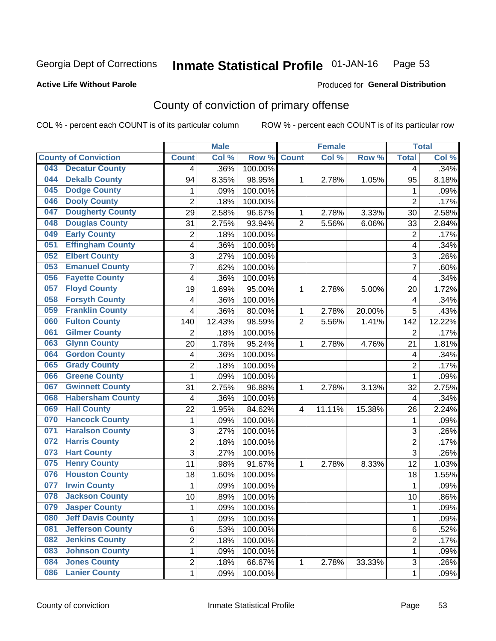#### Inmate Statistical Profile 01-JAN-16 Page 53

### **Active Life Without Parole**

### Produced for General Distribution

# County of conviction of primary offense

COL % - percent each COUNT is of its particular column

|                                 |                | <b>Male</b> |         |                | <b>Female</b> |        |                | <b>Total</b> |
|---------------------------------|----------------|-------------|---------|----------------|---------------|--------|----------------|--------------|
| <b>County of Conviction</b>     | <b>Count</b>   | Col %       | Row %   | <b>Count</b>   | Col %         | Row %  | <b>Total</b>   | Col %        |
| <b>Decatur County</b><br>043    | 4              | .36%        | 100.00% |                |               |        | 4              | .34%         |
| <b>Dekalb County</b><br>044     | 94             | 8.35%       | 98.95%  | 1              | 2.78%         | 1.05%  | 95             | 8.18%        |
| <b>Dodge County</b><br>045      | 1              | .09%        | 100.00% |                |               |        | 1              | .09%         |
| <b>Dooly County</b><br>046      | $\overline{2}$ | .18%        | 100.00% |                |               |        | $\overline{2}$ | .17%         |
| <b>Dougherty County</b><br>047  | 29             | 2.58%       | 96.67%  | 1              | 2.78%         | 3.33%  | 30             | 2.58%        |
| <b>Douglas County</b><br>048    | 31             | 2.75%       | 93.94%  | $\overline{2}$ | 5.56%         | 6.06%  | 33             | 2.84%        |
| <b>Early County</b><br>049      | 2              | .18%        | 100.00% |                |               |        | $\overline{2}$ | .17%         |
| <b>Effingham County</b><br>051  | 4              | .36%        | 100.00% |                |               |        | 4              | .34%         |
| <b>Elbert County</b><br>052     | 3              | .27%        | 100.00% |                |               |        | 3              | .26%         |
| <b>Emanuel County</b><br>053    | 7              | .62%        | 100.00% |                |               |        | 7              | .60%         |
| <b>Fayette County</b><br>056    | 4              | .36%        | 100.00% |                |               |        | 4              | .34%         |
| <b>Floyd County</b><br>057      | 19             | 1.69%       | 95.00%  | 1              | 2.78%         | 5.00%  | 20             | 1.72%        |
| <b>Forsyth County</b><br>058    | 4              | .36%        | 100.00% |                |               |        | 4              | .34%         |
| <b>Franklin County</b><br>059   | 4              | .36%        | 80.00%  | 1              | 2.78%         | 20.00% | 5              | .43%         |
| <b>Fulton County</b><br>060     | 140            | 12.43%      | 98.59%  | $\overline{2}$ | 5.56%         | 1.41%  | 142            | 12.22%       |
| <b>Gilmer County</b><br>061     | $\overline{2}$ | .18%        | 100.00% |                |               |        | $\overline{2}$ | .17%         |
| <b>Glynn County</b><br>063      | 20             | 1.78%       | 95.24%  | 1              | 2.78%         | 4.76%  | 21             | 1.81%        |
| <b>Gordon County</b><br>064     | 4              | .36%        | 100.00% |                |               |        | 4              | .34%         |
| <b>Grady County</b><br>065      | $\overline{2}$ | .18%        | 100.00% |                |               |        | $\overline{2}$ | .17%         |
| <b>Greene County</b><br>066     | 1              | .09%        | 100.00% |                |               |        | $\mathbf{1}$   | .09%         |
| <b>Gwinnett County</b><br>067   | 31             | 2.75%       | 96.88%  | 1              | 2.78%         | 3.13%  | 32             | 2.75%        |
| <b>Habersham County</b><br>068  | 4              | .36%        | 100.00% |                |               |        | 4              | .34%         |
| <b>Hall County</b><br>069       | 22             | 1.95%       | 84.62%  | 4              | 11.11%        | 15.38% | 26             | 2.24%        |
| <b>Hancock County</b><br>070    | 1              | .09%        | 100.00% |                |               |        | 1              | .09%         |
| <b>Haralson County</b><br>071   | 3              | .27%        | 100.00% |                |               |        | 3              | .26%         |
| <b>Harris County</b><br>072     | $\overline{2}$ | .18%        | 100.00% |                |               |        | $\overline{2}$ | .17%         |
| <b>Hart County</b><br>073       | 3              | .27%        | 100.00% |                |               |        | $\overline{3}$ | .26%         |
| <b>Henry County</b><br>075      | 11             | .98%        | 91.67%  | 1              | 2.78%         | 8.33%  | 12             | 1.03%        |
| <b>Houston County</b><br>076    | 18             | 1.60%       | 100.00% |                |               |        | 18             | 1.55%        |
| <b>Irwin County</b><br>077      | 1              | .09%        | 100.00% |                |               |        | $\mathbf{1}$   | .09%         |
| <b>Jackson County</b><br>078    | 10             | .89%        | 100.00% |                |               |        | 10             | .86%         |
| 079<br><b>Jasper County</b>     | 1              | .09%        | 100.00% |                |               |        | 1              | .09%         |
| <b>Jeff Davis County</b><br>080 | 1              | .09%        | 100.00% |                |               |        | $\mathbf{1}$   | .09%         |
| <b>Jefferson County</b><br>081  | 6              | .53%        | 100.00% |                |               |        | 6              | .52%         |
| <b>Jenkins County</b><br>082    | $\overline{c}$ | .18%        | 100.00% |                |               |        | $\overline{2}$ | .17%         |
| <b>Johnson County</b><br>083    | 1              | .09%        | 100.00% |                |               |        | $\mathbf{1}$   | .09%         |
| <b>Jones County</b><br>084      | $\overline{2}$ | .18%        | 66.67%  | 1              | 2.78%         | 33.33% | 3              | .26%         |
| <b>Lanier County</b><br>086     | $\mathbf{1}$   | .09%        | 100.00% |                |               |        | $\mathbf 1$    | .09%         |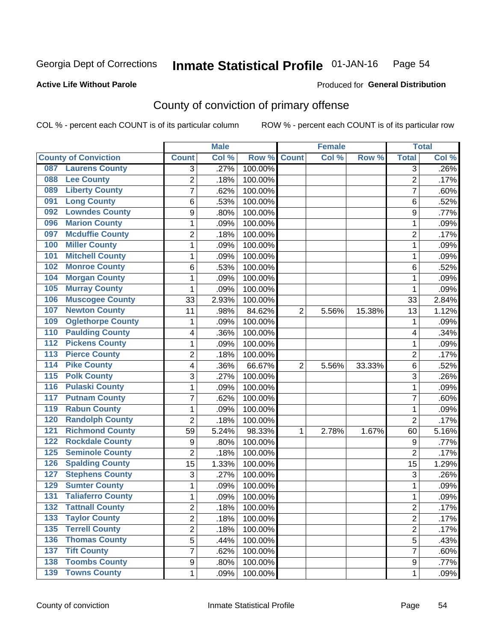#### Inmate Statistical Profile 01-JAN-16 Page 54

### **Active Life Without Parole**

# **Produced for General Distribution**

# County of conviction of primary offense

COL % - percent each COUNT is of its particular column

|                                           |                | <b>Male</b> |         |                | <b>Female</b> |        |                | <b>Total</b> |
|-------------------------------------------|----------------|-------------|---------|----------------|---------------|--------|----------------|--------------|
| <b>County of Conviction</b>               | <b>Count</b>   | Col %       | Row %   | <b>Count</b>   | Col %         | Row %  | <b>Total</b>   | Col %        |
| <b>Laurens County</b><br>087              | 3              | .27%        | 100.00% |                |               |        | 3              | $.26\%$      |
| <b>Lee County</b><br>088                  | $\overline{2}$ | .18%        | 100.00% |                |               |        | $\overline{2}$ | .17%         |
| <b>Liberty County</b><br>089              | $\overline{7}$ | .62%        | 100.00% |                |               |        | $\overline{7}$ | .60%         |
| <b>Long County</b><br>091                 | 6              | .53%        | 100.00% |                |               |        | 6              | .52%         |
| <b>Lowndes County</b><br>092              | 9              | .80%        | 100.00% |                |               |        | 9              | .77%         |
| <b>Marion County</b><br>096               | $\mathbf{1}$   | .09%        | 100.00% |                |               |        | $\mathbf{1}$   | .09%         |
| <b>Mcduffie County</b><br>097             | $\overline{2}$ | .18%        | 100.00% |                |               |        | $\overline{2}$ | .17%         |
| <b>Miller County</b><br>100               | 1              | .09%        | 100.00% |                |               |        | $\mathbf{1}$   | .09%         |
| <b>Mitchell County</b><br>101             | 1              | .09%        | 100.00% |                |               |        | 1              | .09%         |
| <b>Monroe County</b><br>102               | 6              | .53%        | 100.00% |                |               |        | 6              | .52%         |
| <b>Morgan County</b><br>104               | 1              | .09%        | 100.00% |                |               |        | 1              | .09%         |
| <b>Murray County</b><br>105               | 1              | .09%        | 100.00% |                |               |        | 1              | .09%         |
| <b>Muscogee County</b><br>106             | 33             | 2.93%       | 100.00% |                |               |        | 33             | 2.84%        |
| <b>Newton County</b><br>107               | 11             | .98%        | 84.62%  | $\overline{2}$ | 5.56%         | 15.38% | 13             | 1.12%        |
| <b>Oglethorpe County</b><br>109           | 1              | .09%        | 100.00% |                |               |        | 1              | .09%         |
| <b>Paulding County</b><br>110             | 4              | .36%        | 100.00% |                |               |        | 4              | .34%         |
| <b>Pickens County</b><br>$\overline{112}$ | $\mathbf{1}$   | .09%        | 100.00% |                |               |        | 1              | .09%         |
| <b>Pierce County</b><br>$\overline{113}$  | $\overline{2}$ | .18%        | 100.00% |                |               |        | $\overline{2}$ | .17%         |
| <b>Pike County</b><br>$\overline{114}$    | 4              | .36%        | 66.67%  | $\overline{2}$ | 5.56%         | 33.33% | 6              | .52%         |
| <b>Polk County</b><br>$\overline{115}$    | 3              | .27%        | 100.00% |                |               |        | 3              | .26%         |
| <b>Pulaski County</b><br>116              | $\mathbf{1}$   | .09%        | 100.00% |                |               |        | $\mathbf{1}$   | .09%         |
| <b>Putnam County</b><br>117               | $\overline{7}$ | .62%        | 100.00% |                |               |        | $\overline{7}$ | .60%         |
| <b>Rabun County</b><br>119                | $\mathbf{1}$   | .09%        | 100.00% |                |               |        | 1              | .09%         |
| <b>Randolph County</b><br>120             | $\overline{2}$ | .18%        | 100.00% |                |               |        | $\overline{2}$ | .17%         |
| <b>Richmond County</b><br>121             | 59             | 5.24%       | 98.33%  | 1              | 2.78%         | 1.67%  | 60             | 5.16%        |
| <b>Rockdale County</b><br>122             | 9              | .80%        | 100.00% |                |               |        | 9              | .77%         |
| <b>Seminole County</b><br>125             | $\overline{2}$ | .18%        | 100.00% |                |               |        | $\overline{2}$ | .17%         |
| <b>Spalding County</b><br>126             | 15             | 1.33%       | 100.00% |                |               |        | 15             | 1.29%        |
| <b>Stephens County</b><br>127             | 3              | .27%        | 100.00% |                |               |        | 3              | .26%         |
| <b>Sumter County</b><br>129               | 1              | .09%        | 100.00% |                |               |        | $\mathbf{1}$   | .09%         |
| <b>Taliaferro County</b><br>131           | 1              | .09%        | 100.00% |                |               |        | 1              | .09%         |
| 132<br><b>Tattnall County</b>             | 2              | .18%        | 100.00% |                |               |        | 2              | .17%         |
| <b>Taylor County</b><br>133               | 2              | .18%        | 100.00% |                |               |        | $\overline{2}$ | .17%         |
| <b>Terrell County</b><br>$\overline{135}$ | $\overline{2}$ | .18%        | 100.00% |                |               |        | $\overline{2}$ | .17%         |
| <b>Thomas County</b><br>136               | 5              | .44%        | 100.00% |                |               |        | $\overline{5}$ | .43%         |
| <b>Tift County</b><br>137                 | 7              | .62%        | 100.00% |                |               |        | $\overline{7}$ | .60%         |
| <b>Toombs County</b><br>138               | 9              | .80%        | 100.00% |                |               |        | 9              | .77%         |
| 139 Towns County                          | 1              | .09%        | 100.00% |                |               |        | $\mathbf 1$    | .09%         |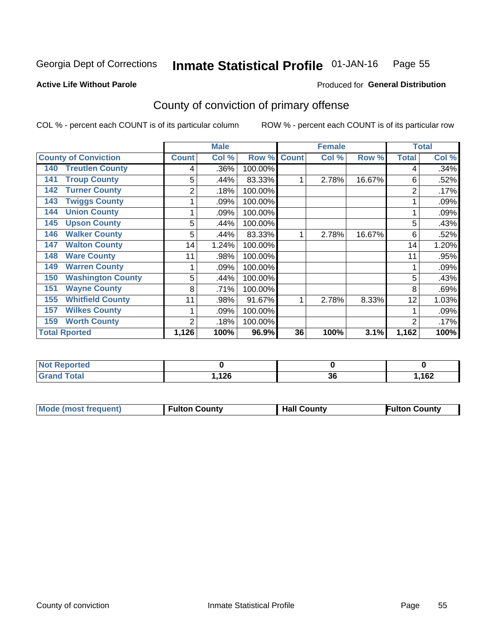#### Inmate Statistical Profile 01-JAN-16 Page 55

#### **Active Life Without Parole**

### **Produced for General Distribution**

# County of conviction of primary offense

COL % - percent each COUNT is of its particular column

|                                 |              | <b>Male</b> |         |              | <b>Female</b> |        | <b>Total</b>   |       |
|---------------------------------|--------------|-------------|---------|--------------|---------------|--------|----------------|-------|
| <b>County of Conviction</b>     | <b>Count</b> | Col %       | Row %   | <b>Count</b> | Col %         | Row %  | <b>Total</b>   | Col % |
| <b>Treutlen County</b><br>140   | 4            | .36%        | 100.00% |              |               |        | 4              | .34%  |
| <b>Troup County</b><br>141      | 5            | .44%        | 83.33%  |              | 2.78%         | 16.67% | 6              | .52%  |
| <b>Turner County</b><br>142     | 2            | .18%        | 100.00% |              |               |        | 2              | .17%  |
| <b>Twiggs County</b><br>143     |              | .09%        | 100.00% |              |               |        |                | .09%  |
| <b>Union County</b><br>144      |              | .09%        | 100.00% |              |               |        |                | .09%  |
| <b>Upson County</b><br>145      | 5            | .44%        | 100.00% |              |               |        | 5              | .43%  |
| <b>Walker County</b><br>146     | 5            | .44%        | 83.33%  |              | 2.78%         | 16.67% | 6              | .52%  |
| <b>Walton County</b><br>147     | 14           | 1.24%       | 100.00% |              |               |        | 14             | 1.20% |
| <b>Ware County</b><br>148       | 11           | .98%        | 100.00% |              |               |        | 11             | .95%  |
| <b>Warren County</b><br>149     |              | .09%        | 100.00% |              |               |        |                | .09%  |
| <b>Washington County</b><br>150 | 5            | .44%        | 100.00% |              |               |        | 5              | .43%  |
| <b>Wayne County</b><br>151      | 8            | .71%        | 100.00% |              |               |        | 8              | .69%  |
| <b>Whitfield County</b><br>155  | 11           | .98%        | 91.67%  |              | 2.78%         | 8.33%  | 12             | 1.03% |
| <b>Wilkes County</b><br>157     |              | .09%        | 100.00% |              |               |        |                | .09%  |
| <b>Worth County</b><br>159      | 2            | .18%        | 100.00% |              |               |        | $\overline{2}$ | .17%  |
| <b>Total Rported</b>            | 1,126        | 100%        | 96.9%   | 36           | 100%          | 3.1%   | 1,162          | 100%  |

| N<br>$\blacksquare$ |            |         |      |
|---------------------|------------|---------|------|
|                     | 12c<br>14V | ົ<br>ად | ,162 |

| <b>Mode (most frequent)</b> | <b>Fulton County</b> | <b>Hall County</b> | <b>Fulton County</b> |
|-----------------------------|----------------------|--------------------|----------------------|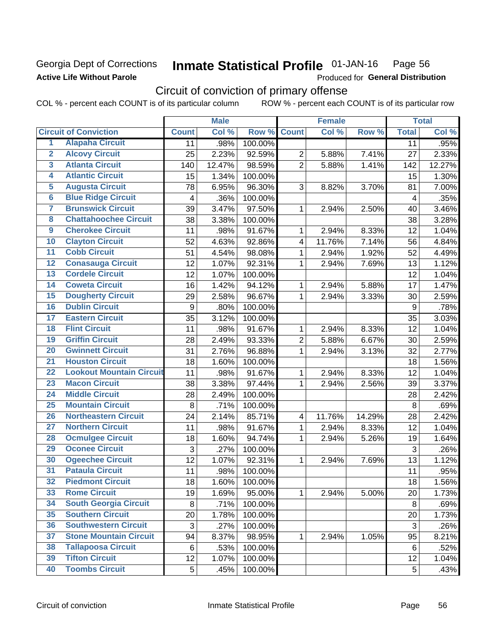## **Georgia Dept of Corrections Active Life Without Parole**

#### Inmate Statistical Profile 01-JAN-16 Page 56

Produced for General Distribution

# Circuit of conviction of primary offense

|                         |                                 |                  | <b>Male</b> |         |                         | <b>Female</b> |        |                         | <b>Total</b> |
|-------------------------|---------------------------------|------------------|-------------|---------|-------------------------|---------------|--------|-------------------------|--------------|
|                         | <b>Circuit of Conviction</b>    | <b>Count</b>     | Col %       | Row %   | <b>Count</b>            | Col %         | Row %  | <b>Total</b>            | Col%         |
| 1                       | <b>Alapaha Circuit</b>          | 11               | .98%        | 100.00% |                         |               |        | 11                      | .95%         |
| $\overline{2}$          | <b>Alcovy Circuit</b>           | 25               | 2.23%       | 92.59%  | $\overline{2}$          | 5.88%         | 7.41%  | 27                      | 2.33%        |
| $\overline{\mathbf{3}}$ | <b>Atlanta Circuit</b>          | 140              | 12.47%      | 98.59%  | $\overline{2}$          | 5.88%         | 1.41%  | 142                     | 12.27%       |
| 4                       | <b>Atlantic Circuit</b>         | 15               | 1.34%       | 100.00% |                         |               |        | 15                      | 1.30%        |
| 5                       | <b>Augusta Circuit</b>          | 78               | 6.95%       | 96.30%  | 3                       | 8.82%         | 3.70%  | 81                      | 7.00%        |
| $\overline{\bf{6}}$     | <b>Blue Ridge Circuit</b>       | 4                | .36%        | 100.00% |                         |               |        | $\overline{\mathbf{4}}$ | .35%         |
| 7                       | <b>Brunswick Circuit</b>        | 39               | 3.47%       | 97.50%  | 1                       | 2.94%         | 2.50%  | 40                      | 3.46%        |
| $\overline{\mathbf{8}}$ | <b>Chattahoochee Circuit</b>    | 38               | 3.38%       | 100.00% |                         |               |        | 38                      | 3.28%        |
| $\overline{9}$          | <b>Cherokee Circuit</b>         | 11               | .98%        | 91.67%  | 1                       | 2.94%         | 8.33%  | 12                      | 1.04%        |
| 10                      | <b>Clayton Circuit</b>          | 52               | 4.63%       | 92.86%  | $\overline{\mathbf{4}}$ | 11.76%        | 7.14%  | 56                      | 4.84%        |
| $\overline{11}$         | <b>Cobb Circuit</b>             | 51               | 4.54%       | 98.08%  | 1                       | 2.94%         | 1.92%  | 52                      | 4.49%        |
| $\overline{12}$         | <b>Conasauga Circuit</b>        | 12               | 1.07%       | 92.31%  | 1                       | 2.94%         | 7.69%  | 13                      | 1.12%        |
| 13                      | <b>Cordele Circuit</b>          | 12               | 1.07%       | 100.00% |                         |               |        | 12                      | 1.04%        |
| 14                      | <b>Coweta Circuit</b>           | 16               | 1.42%       | 94.12%  | $\mathbf{1}$            | 2.94%         | 5.88%  | 17                      | 1.47%        |
| 15                      | <b>Dougherty Circuit</b>        | 29               | 2.58%       | 96.67%  | 1                       | 2.94%         | 3.33%  | 30                      | 2.59%        |
| 16                      | <b>Dublin Circuit</b>           | $\boldsymbol{9}$ | .80%        | 100.00% |                         |               |        | 9                       | .78%         |
| 17                      | <b>Eastern Circuit</b>          | 35               | 3.12%       | 100.00% |                         |               |        | 35                      | 3.03%        |
| 18                      | <b>Flint Circuit</b>            | 11               | .98%        | 91.67%  | 1                       | 2.94%         | 8.33%  | 12                      | 1.04%        |
| 19                      | <b>Griffin Circuit</b>          | 28               | 2.49%       | 93.33%  | $\overline{2}$          | 5.88%         | 6.67%  | 30                      | 2.59%        |
| 20                      | <b>Gwinnett Circuit</b>         | 31               | 2.76%       | 96.88%  | $\mathbf 1$             | 2.94%         | 3.13%  | 32                      | 2.77%        |
| $\overline{21}$         | <b>Houston Circuit</b>          | 18               | 1.60%       | 100.00% |                         |               |        | 18                      | 1.56%        |
| $\overline{22}$         | <b>Lookout Mountain Circuit</b> | 11               | .98%        | 91.67%  | $\mathbf{1}$            | 2.94%         | 8.33%  | 12                      | 1.04%        |
| $\overline{23}$         | <b>Macon Circuit</b>            | 38               | 3.38%       | 97.44%  | 1                       | 2.94%         | 2.56%  | 39                      | 3.37%        |
| $\overline{24}$         | <b>Middle Circuit</b>           | 28               | 2.49%       | 100.00% |                         |               |        | 28                      | 2.42%        |
| 25                      | <b>Mountain Circuit</b>         | 8                | .71%        | 100.00% |                         |               |        | 8                       | .69%         |
| 26                      | <b>Northeastern Circuit</b>     | 24               | 2.14%       | 85.71%  | $\overline{\mathbf{4}}$ | 11.76%        | 14.29% | 28                      | 2.42%        |
| $\overline{27}$         | <b>Northern Circuit</b>         | 11               | .98%        | 91.67%  | 1                       | 2.94%         | 8.33%  | 12                      | 1.04%        |
| 28                      | <b>Ocmulgee Circuit</b>         | 18               | 1.60%       | 94.74%  | 1                       | 2.94%         | 5.26%  | 19                      | 1.64%        |
| 29                      | <b>Oconee Circuit</b>           | 3                | .27%        | 100.00% |                         |               |        | 3                       | .26%         |
| 30                      | <b>Ogeechee Circuit</b>         | 12               | 1.07%       | 92.31%  | $\mathbf 1$             | 2.94%         | 7.69%  | 13                      | 1.12%        |
| $\overline{31}$         | <b>Pataula Circuit</b>          | 11               | .98%        | 100.00% |                         |               |        | 11                      | .95%         |
| $\overline{32}$         | <b>Piedmont Circuit</b>         | 18               | 1.60%       | 100.00% |                         |               |        | 18                      | 1.56%        |
| 33                      | <b>Rome Circuit</b>             | 19               | 1.69%       | 95.00%  | $\mathbf{1}$            | 2.94%         | 5.00%  | 20                      | 1.73%        |
| 34                      | <b>South Georgia Circuit</b>    | 8                | .71%        | 100.00% |                         |               |        | 8                       | .69%         |
| 35                      | <b>Southern Circuit</b>         | 20               | 1.78%       | 100.00% |                         |               |        | 20                      | 1.73%        |
| 36                      | <b>Southwestern Circuit</b>     | 3                | .27%        | 100.00% |                         |               |        | 3                       | .26%         |
| 37                      | <b>Stone Mountain Circuit</b>   | 94               | 8.37%       | 98.95%  | 1                       | 2.94%         | 1.05%  | 95                      | 8.21%        |
| 38                      | <b>Tallapoosa Circuit</b>       | 6                | .53%        | 100.00% |                         |               |        | 6                       | .52%         |
| 39                      | <b>Tifton Circuit</b>           | 12               | 1.07%       | 100.00% |                         |               |        | 12                      | 1.04%        |
| 40                      | <b>Toombs Circuit</b>           | 5 <sup>1</sup>   | .45%        | 100.00% |                         |               |        | 5                       | .43%         |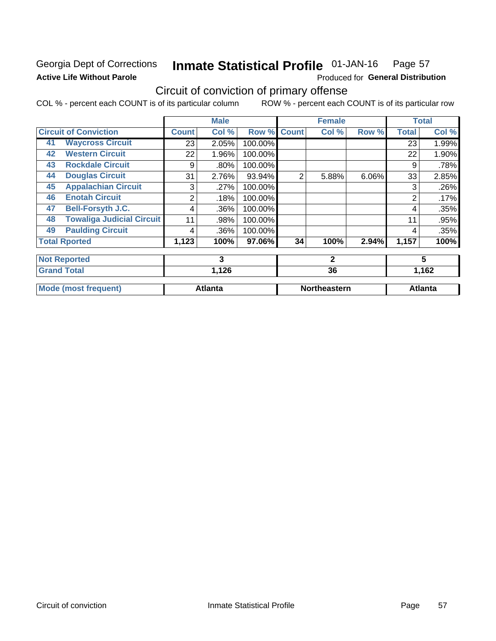# **Georgia Dept of Corrections Active Life Without Parole**

#### Inmate Statistical Profile 01-JAN-16 Page 57

Produced for General Distribution

# Circuit of conviction of primary offense

|    |                                  | <b>Male</b>  |                |         |              | <b>Female</b>       |       | <b>Total</b> |                |
|----|----------------------------------|--------------|----------------|---------|--------------|---------------------|-------|--------------|----------------|
|    | <b>Circuit of Conviction</b>     | <b>Count</b> | Col %          | Row %   | <b>Count</b> | Col %               | Row % | <b>Total</b> | Col %          |
| 41 | <b>Waycross Circuit</b>          | 23           | 2.05%          | 100.00% |              |                     |       | 23           | 1.99%          |
| 42 | <b>Western Circuit</b>           | 22           | 1.96%          | 100.00% |              |                     |       | 22           | 1.90%          |
| 43 | <b>Rockdale Circuit</b>          | 9            | .80%           | 100.00% |              |                     |       | 9            | .78%           |
| 44 | <b>Douglas Circuit</b>           | 31           | 2.76%          | 93.94%  | 2            | 5.88%               | 6.06% | 33           | 2.85%          |
| 45 | <b>Appalachian Circuit</b>       | 3            | .27%           | 100.00% |              |                     |       | 3            | .26%           |
| 46 | <b>Enotah Circuit</b>            | 2            | .18%           | 100.00% |              |                     |       | 2            | .17%           |
| 47 | <b>Bell-Forsyth J.C.</b>         | 4            | .36%           | 100.00% |              |                     |       | 4            | .35%           |
| 48 | <b>Towaliga Judicial Circuit</b> | 11           | .98%           | 100.00% |              |                     |       | 11           | .95%           |
| 49 | <b>Paulding Circuit</b>          | 4            | .36%           | 100.00% |              |                     |       | 4            | .35%           |
|    | <b>Total Rported</b>             | 1,123        | 100%           | 97.06%  | 34           | 100%                | 2.94% | 1,157        | 100%           |
|    | <b>Not Reported</b>              |              | 3              |         |              | $\mathbf{2}$        |       |              | 5              |
|    | <b>Grand Total</b>               |              | 1,126          |         |              | 36                  |       | 1,162        |                |
|    | <b>Mode (most frequent)</b>      |              | <b>Atlanta</b> |         |              | <b>Northeastern</b> |       |              | <b>Atlanta</b> |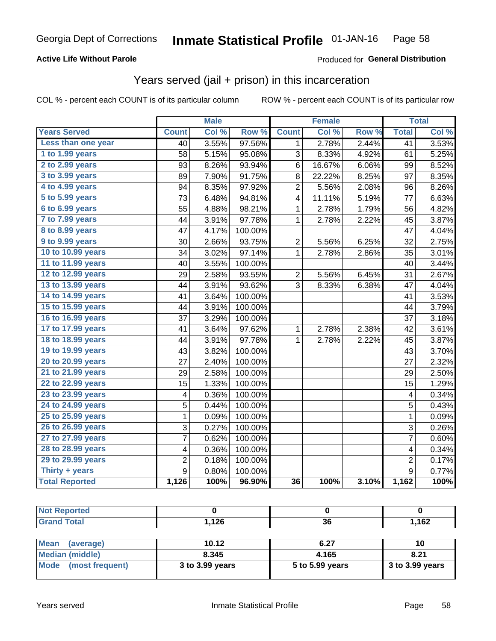### **Active Life Without Parole**

### Produced for General Distribution

# Years served (jail + prison) in this incarceration

COL % - percent each COUNT is of its particular column

|                       |                | <b>Male</b> |         |                         | <b>Female</b> |       |                  | <b>Total</b> |
|-----------------------|----------------|-------------|---------|-------------------------|---------------|-------|------------------|--------------|
| <b>Years Served</b>   | <b>Count</b>   | Col %       | Row %   | <b>Count</b>            | Col %         | Row % | <b>Total</b>     | Col %        |
| Less than one year    | 40             | 3.55%       | 97.56%  | 1                       | 2.78%         | 2.44% | $\overline{41}$  | 3.53%        |
| 1 to 1.99 years       | 58             | 5.15%       | 95.08%  | 3                       | 8.33%         | 4.92% | 61               | 5.25%        |
| 2 to 2.99 years       | 93             | 8.26%       | 93.94%  | 6                       | 16.67%        | 6.06% | 99               | 8.52%        |
| 3 to 3.99 years       | 89             | 7.90%       | 91.75%  | 8                       | 22.22%        | 8.25% | 97               | 8.35%        |
| 4 to 4.99 years       | 94             | 8.35%       | 97.92%  | $\overline{\mathbf{c}}$ | 5.56%         | 2.08% | 96               | 8.26%        |
| 5 to 5.99 years       | 73             | 6.48%       | 94.81%  | 4                       | 11.11%        | 5.19% | 77               | 6.63%        |
| 6 to 6.99 years       | 55             | 4.88%       | 98.21%  | $\mathbf{1}$            | 2.78%         | 1.79% | 56               | 4.82%        |
| 7 to 7.99 years       | 44             | 3.91%       | 97.78%  | 1                       | 2.78%         | 2.22% | 45               | 3.87%        |
| 8 to 8.99 years       | 47             | 4.17%       | 100.00% |                         |               |       | 47               | 4.04%        |
| 9 to 9.99 years       | 30             | 2.66%       | 93.75%  | $\overline{c}$          | 5.56%         | 6.25% | 32               | 2.75%        |
| 10 to 10.99 years     | 34             | 3.02%       | 97.14%  | $\mathbf 1$             | 2.78%         | 2.86% | 35               | 3.01%        |
| 11 to 11.99 years     | 40             | 3.55%       | 100.00% |                         |               |       | 40               | 3.44%        |
| 12 to 12.99 years     | 29             | 2.58%       | 93.55%  | $\overline{2}$          | 5.56%         | 6.45% | 31               | 2.67%        |
| 13 to 13.99 years     | 44             | 3.91%       | 93.62%  | 3                       | 8.33%         | 6.38% | 47               | 4.04%        |
| 14 to 14.99 years     | 41             | 3.64%       | 100.00% |                         |               |       | 41               | 3.53%        |
| 15 to 15.99 years     | 44             | 3.91%       | 100.00% |                         |               |       | 44               | 3.79%        |
| 16 to 16.99 years     | 37             | 3.29%       | 100.00% |                         |               |       | 37               | 3.18%        |
| 17 to 17.99 years     | 41             | 3.64%       | 97.62%  | 1                       | 2.78%         | 2.38% | 42               | 3.61%        |
| 18 to 18.99 years     | 44             | 3.91%       | 97.78%  | 1                       | 2.78%         | 2.22% | 45               | 3.87%        |
| 19 to 19.99 years     | 43             | 3.82%       | 100.00% |                         |               |       | 43               | 3.70%        |
| 20 to 20.99 years     | 27             | 2.40%       | 100.00% |                         |               |       | 27               | 2.32%        |
| 21 to 21.99 years     | 29             | 2.58%       | 100.00% |                         |               |       | 29               | 2.50%        |
| 22 to 22.99 years     | 15             | 1.33%       | 100.00% |                         |               |       | 15               | 1.29%        |
| 23 to 23.99 years     | 4              | 0.36%       | 100.00% |                         |               |       | 4                | 0.34%        |
| 24 to 24.99 years     | 5              | 0.44%       | 100.00% |                         |               |       | 5                | 0.43%        |
| 25 to 25.99 years     | 1              | 0.09%       | 100.00% |                         |               |       | 1                | 0.09%        |
| 26 to 26.99 years     | 3              | 0.27%       | 100.00% |                         |               |       | 3                | 0.26%        |
| 27 to 27.99 years     | $\overline{7}$ | 0.62%       | 100.00% |                         |               |       | $\overline{7}$   | 0.60%        |
| 28 to 28.99 years     | 4              | 0.36%       | 100.00% |                         |               |       | 4                | 0.34%        |
| 29 to 29.99 years     | $\overline{2}$ | 0.18%       | 100.00% |                         |               |       | $\overline{2}$   | 0.17%        |
| Thirty + years        | 9              | 0.80%       | 100.00% |                         |               |       | $\boldsymbol{9}$ | 0.77%        |
| <b>Total Reported</b> | 1,126          | 100%        | 96.90%  | 36                      | 100%          | 3.10% | 1,162            | 100%         |

| тео |                 |              |       |
|-----|-----------------|--------------|-------|
|     | 1 J C<br>, . ZU | $\sim$<br>vu | 1,162 |

| Mean<br>(average)    | 10.12           | 6.27            | 10                |
|----------------------|-----------------|-----------------|-------------------|
| Median (middle)      | 8.345           | 4.165           | 8.21              |
| Mode (most frequent) | 3 to 3.99 years | 5 to 5.99 years | $3$ to 3.99 years |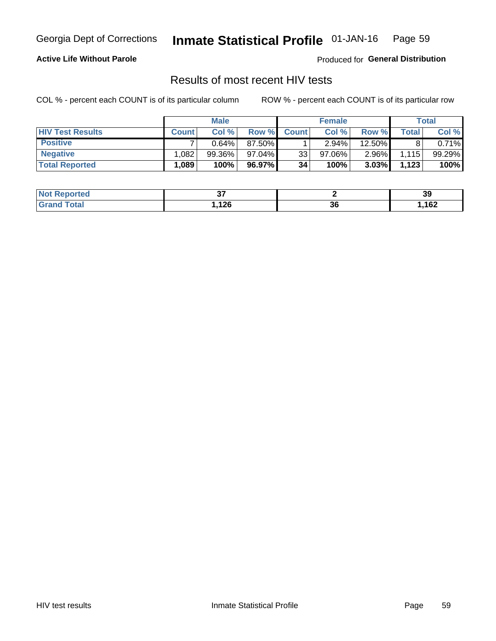#### Inmate Statistical Profile 01-JAN-16 Page 59

### **Active Life Without Parole**

Produced for General Distribution

# Results of most recent HIV tests

COL % - percent each COUNT is of its particular column

|                         | <b>Male</b>  |           |        | <b>Female</b> |           |          | Total |        |
|-------------------------|--------------|-----------|--------|---------------|-----------|----------|-------|--------|
| <b>HIV Test Results</b> | <b>Count</b> | Col%      | Row %I | <b>Count</b>  | Col %     | Row %    | Total | Col %  |
| <b>Positive</b>         |              | $0.64\%$  | 87.50% |               | $2.94\%$  | 12.50%   |       | 0.71%  |
| <b>Negative</b>         | .082         | $99.36\%$ | 97.04% | 33            | $97.06\%$ | $2.96\%$ | 1,115 | 99.29% |
| <b>Total Reported</b>   | .089         | 100%      | 96.97% | 34            | 100%      | 3.03%    | 1,123 | 100%   |

| <b>Not Reported</b>         | ັ    |    | 39   |
|-----------------------------|------|----|------|
| <sup>-</sup> otal<br>∍Greri | ,126 | 36 | ,162 |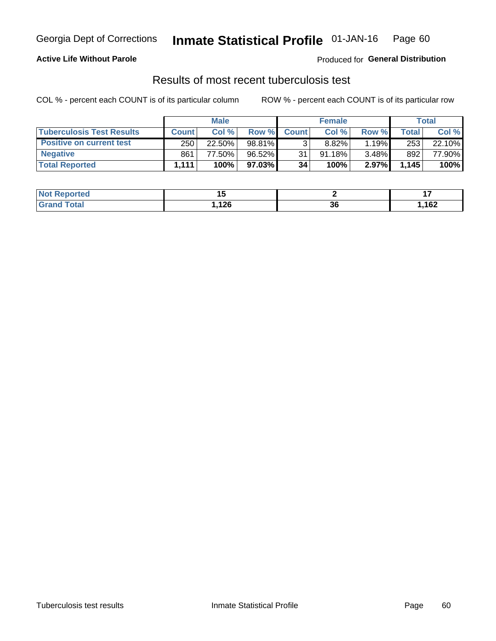# Georgia Dept of Corrections **Inmate Statistical Profile** 01-JAN-16 Page 60

### **Active Life Without Parole**

Produced for **General Distribution**

# Results of most recent tuberculosis test

|                                  | <b>Male</b>  |        |           | <b>Female</b> |           |       | Total |        |
|----------------------------------|--------------|--------|-----------|---------------|-----------|-------|-------|--------|
| <b>Tuberculosis Test Results</b> | <b>Count</b> | Col%   | Row %I    | <b>Count</b>  | Col%      | Row % | Total | Col %  |
| <b>Positive on current test</b>  | 250          | 22.50% | 98.81%    |               | 8.82%     | 1.19% | 253   | 22.10% |
| <b>Negative</b>                  | 861          | 77.50% | $96.52\%$ | 31            | $91.18\%$ | 3.48% | 892   | 77.90% |
| <b>Total Reported</b>            | 1.111        | 100%   | 97.03%    | 34            | 100%      | 2.97% | 1.145 | 100%   |

| <b>Not Reported</b> |      |    | $\blacksquare$ |
|---------------------|------|----|----------------|
| <b>Total</b>        | ,126 | 00 | ,162           |
| . Grori             | __   | ად |                |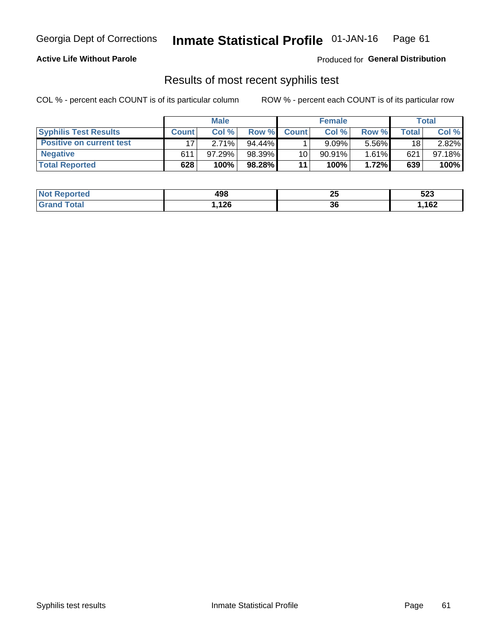# Georgia Dept of Corrections **Inmate Statistical Profile** 01-JAN-16 Page 61

### **Active Life Without Parole**

Produced for **General Distribution**

# Results of most recent syphilis test

|                                 | <b>Male</b>  |           |           | <b>Female</b> |           |          | Total   |        |
|---------------------------------|--------------|-----------|-----------|---------------|-----------|----------|---------|--------|
| <b>Syphilis Test Results</b>    | <b>Count</b> | Col%      | Row %I    | <b>Count</b>  | Col%      | Row %    | ⊤otal ⊦ | Col %  |
| <b>Positive on current test</b> |              | 2.71%     | $94.44\%$ |               | 9.09%     | 5.56%    | 18      | 2.82%  |
| <b>Negative</b>                 | 611          | $97.29\%$ | 98.39%    | 10            | $90.91\%$ | $1.61\%$ | 621     | 97.18% |
| <b>Total Reported</b>           | 628          | 100%      | 98.28%    | 11            | 100%      | 1.72%    | 639     | 100%   |

| <b>Not Reported</b> | 498  | יי<br>∼ | にへへ<br>ວ∠ວ |
|---------------------|------|---------|------------|
| <b>Grand Total</b>  | ,126 | 36      | ,162       |